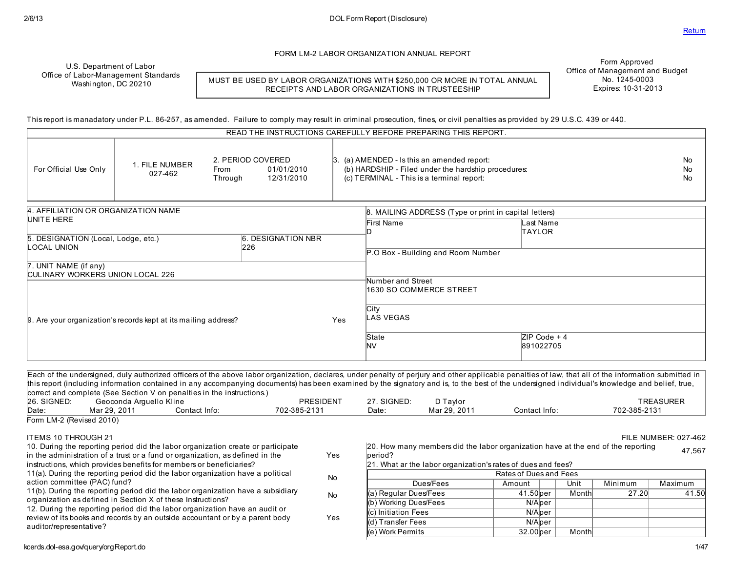FORM LM-2 LABOR ORGANIZATION ANNUAL REPORT

U.S. Department of Labor Office of Labor-Management Standards Washington, DC 20210

MUST BE USED BY LABOR ORGANIZATIONS WITH \$250,000 OR MORE IN TOTAL ANNUAL RECEIPTS AND LABOR ORGANIZATIONS IN TRUSTEESHIP

Form Approved Office of Management and Budget No. 1245-0003 Expires: 10-31-2013

This report is manadatory under P.L. 86-257, asamended. Failure to comply may result in criminal prosecution, fines, or civil penaltiesasprovided by 29 U.S.C. 439 or 440.

|                                                                                        |                           |                                      |                          |               | READ THE INSTRUCTIONS CAREFULLY BEFORE PREPARING THIS REPORT.                                                                                          |                              |  |
|----------------------------------------------------------------------------------------|---------------------------|--------------------------------------|--------------------------|---------------|--------------------------------------------------------------------------------------------------------------------------------------------------------|------------------------------|--|
| For Official Use Only                                                                  | 1. FILE NUMBER<br>027-462 | 2. PERIOD COVERED<br>From<br>Through | 01/01/2010<br>12/31/2010 |               | $\beta$ . (a) AMENDED - Is this an amended report:<br>(b) HARDSHIP - Filed under the hardship procedures:<br>(c) TERMINAL - This is a terminal report: | No<br><b>No</b><br><b>No</b> |  |
| 4. AFFILIATION OR ORGANIZATION NAME                                                    |                           |                                      |                          |               | 8. MAILING ADDRESS (Type or print in capital letters)                                                                                                  |                              |  |
| UNITE HERE                                                                             |                           |                                      |                          |               | First Name                                                                                                                                             | Last Name                    |  |
| <b>6. DESIGNATION NBR</b><br>5. DESIGNATION (Local, Lodge, etc.)<br>LOCAL UNION<br>226 |                           |                                      |                          | <b>TAYLOR</b> |                                                                                                                                                        |                              |  |
|                                                                                        |                           |                                      |                          |               | P.O Box - Building and Room Number                                                                                                                     |                              |  |
| 7. UNIT NAME (if any)<br>CULINARY WORKERS UNION LOCAL 226                              |                           |                                      |                          |               |                                                                                                                                                        |                              |  |
|                                                                                        |                           |                                      |                          |               | <b>Number and Street</b><br>1630 SO COMMERCE STREET                                                                                                    |                              |  |
| 9. Are your organization's records kept at its mailing address?                        |                           | Yes                                  | City<br><b>LAS VEGAS</b> |               |                                                                                                                                                        |                              |  |
|                                                                                        |                           |                                      |                          |               | State<br>lNV                                                                                                                                           | $ZIP Code + 4$<br>891022705  |  |
|                                                                                        |                           |                                      |                          |               |                                                                                                                                                        |                              |  |

Each of the undersigned, duly authorized officersof the above labor organization, declares, under penalty of perjury and other applicable penaltiesof law, that all of the information submitted in this report (including information contained in any accompanying documents) hasbeen examined by the signatory and is, to the best of the undersigned individual's knowledge and belief, true, correct and complete (See Section V on penalties in the instructions.)<br>26. SIGNED: Geoconda Arquello Kline 26. SIGNED: Geoconda Arguello Kline (26. SIGNED: PRESIDENT 27. SIGNED: D Taylor TREASURER PREASURER<br>| Date: Mar 29, 2011 Contact Info: President Contact Info: President Contact Info: President Contact Info: Pre Date: Mar 29, 2011 Contact Info: 702-385-2131 Date: Mar 29, 2011 Contact Info: 702-385-2131 Form LM-2 (Revised 2010) ITEMS 10 THROUGH 21 FILE NUMBER: 027-462 10. During the reporting period did the labor organization create or participate in the administration of a trust or a fund or organization, as defined in the instructions, which provides benefits for members or beneficiaries? Yes 11(a). During the reporting period did the labor organization have a political action committee (PAC) fund? No 11(b). During the reporting period did the labor organization have a subsidiary organization asdefined in Section X of these Instructions? No 12. During the reporting period did the labor organization have an audit or 20. How many membersdid the labor organization have at the end of the reporting beriod? 47,567 21. What ar the labor organization's ratesof duesand fees? Ratesof Duesand Fees Dues/Fees | Amount | Unit | Minimum | Maximum (a) Regular Dues/Fees  $\vert$  41.50 per | Month 27.20 41.50 (b) Working Dues/Fees N/Aper (c) Initiation Fees N/Aper

(d) Transfer Fees N/Aper

(e) Work Permits **1988** 32.00 per Month

Yes

auditor/representative?

review of its books and records by an outside accountant or by a parent body

## kcerds.dol-esa.gov/query/orgReport.do 1/47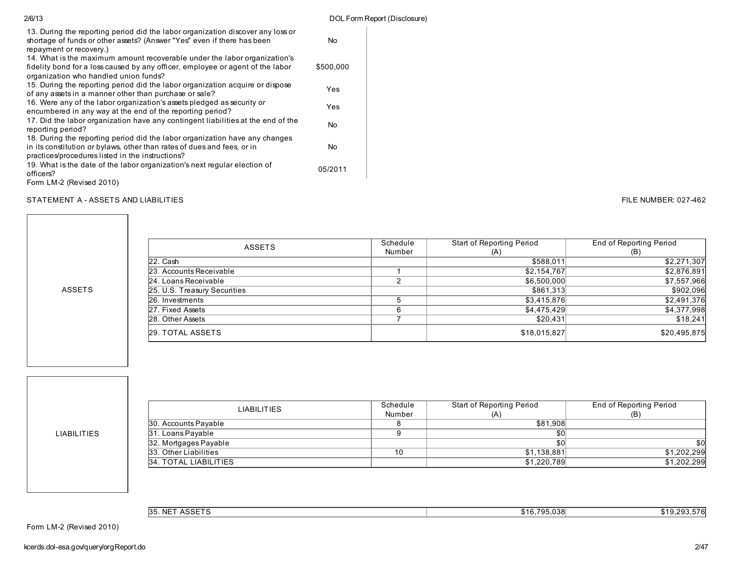| 2/6/13                                                                                                                                                                                                     |           | DOL Form Report (Disclosure) |
|------------------------------------------------------------------------------------------------------------------------------------------------------------------------------------------------------------|-----------|------------------------------|
| 13. During the reporting period did the labor organization discover any loss or<br>shortage of funds or other assets? (Answer "Yes" even if there has been<br>repayment or recovery.)                      | No        |                              |
| 14. What is the maximum amount recoverable under the labor organization's<br>fidelity bond for a loss caused by any officer, employee or agent of the labor<br>organization who handled union funds?       | \$500.000 |                              |
| 15. During the reporting period did the labor organization acquire or dispose<br>of any assets in a manner other than purchase or sale?                                                                    | Yes       |                              |
| 16. Were any of the labor organization's assets pledged as security or<br>encumbered in any way at the end of the reporting period?                                                                        | Yes       |                              |
| 17. Did the labor organization have any contingent liabilities at the end of the<br>reporting period?                                                                                                      | No        |                              |
| 18. During the reporting period did the labor organization have any changes<br>in its constitution or bylaws, other than rates of dues and fees, or in<br>practices/procedures listed in the instructions? | No        |                              |
| 19. What is the date of the labor organization's next regular election of<br>officers?<br>Form LM-2 (Revised 2010)                                                                                         | 05/2011   |                              |

## STATEMENT A - ASSETS AND LIABILITIES **FILE NUMBER: 027-462**

| ASSETS                       | Schedule | Start of Reporting Period | End of Reporting Period |  |
|------------------------------|----------|---------------------------|-------------------------|--|
|                              | Number   | (A)                       | (B)                     |  |
| $22.$ Cash                   |          | \$588,011                 | \$2,271,307             |  |
| 23. Accounts Receivable      |          | \$2,154,767               | \$2,876,891             |  |
| 24. Loans Receivable         |          | \$6,500,000               | \$7,557,966             |  |
| 25. U.S. Treasury Securities |          | \$861,313                 | \$902,096               |  |
| 26. Investments              |          | \$3,415,876               | \$2,491,376             |  |
| 27. Fixed Assets             | ี        | \$4,475,429               | \$4,377,998             |  |
| 28. Other Assets             |          | \$20,431                  | \$18,241                |  |
| 29. TOTAL ASSETS             |          | \$18,015,827              | \$20,495,875            |  |

LIABILITIES

ASSETS

| <b>LIABILITIES</b>    | Schedule<br>Start of Reporting Period<br>Number<br>(A) |             | End of Reporting Period |  |
|-----------------------|--------------------------------------------------------|-------------|-------------------------|--|
| 30. Accounts Payable  |                                                        | \$81.908    |                         |  |
| 31. Loans Payable     |                                                        | \$0         |                         |  |
| 32. Mortgages Payable |                                                        | \$0         | \$0                     |  |
| 33. Other Liabilities | 10                                                     | \$1.138.881 | \$1,202,299             |  |
| 34. TOTAL LIABILITIES |                                                        | \$1,220,789 | \$1,202,299             |  |

| 0.0057<br>∴ NF™<br><b>35</b><br>∼<br>וטר | \$16 795 038 | . T L |
|------------------------------------------|--------------|-------|
|------------------------------------------|--------------|-------|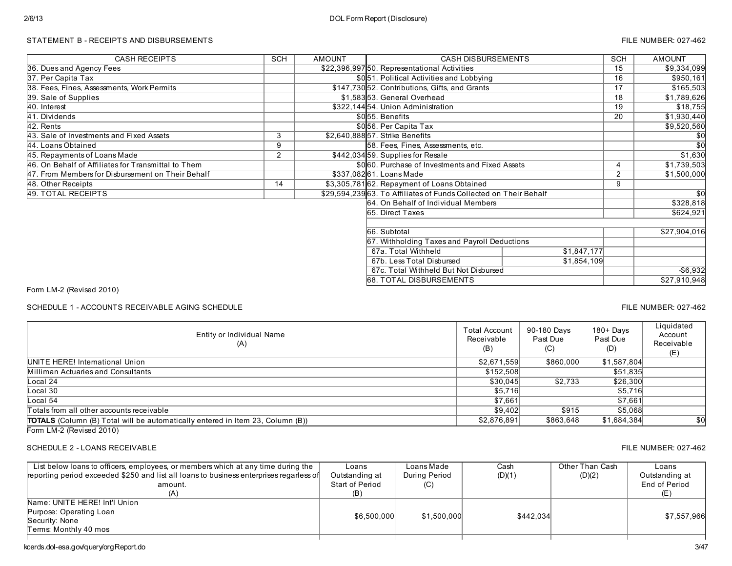### STATEMENT B - RECEIPTS AND DISBURSEMENTS FILE NUMBER: 027-462

| <b>CASH RECEIPTS</b>                                | <b>SCH</b> | <b>AMOUNT</b> | <b>CASH DISBURSEMENTS</b>                                        |             |    | <b>AMOUNT</b>   |
|-----------------------------------------------------|------------|---------------|------------------------------------------------------------------|-------------|----|-----------------|
| 36. Dues and Agency Fees                            |            |               | \$22,396,997 50. Representational Activities                     |             |    | \$9,334,099     |
| 37. Per Capita Tax                                  |            |               | \$051. Political Activities and Lobbying                         |             |    | \$950,161       |
| 38. Fees, Fines, Assessments, Work Permits          |            |               | \$147,730 52. Contributions, Gifts, and Grants                   |             | 17 | \$165,503       |
| 39. Sale of Supplies                                |            |               | \$1,583 53. General Overhead                                     |             | 18 | \$1,789,626     |
| 40. Interest                                        |            |               | \$322,14454. Union Administration                                |             | 19 | \$18,755        |
| 41. Dividends                                       |            |               | \$055. Benefits                                                  |             | 20 | \$1,930,440     |
| 42. Rents                                           |            |               | \$056. Per Capita Tax                                            |             |    | \$9,520,560     |
| 43. Sale of Investments and Fixed Assets            | 3          |               | \$2,640,88857. Strike Benefits                                   |             |    | \$0             |
| 44. Loans Obtained                                  | 9          |               | 58. Fees, Fines, Assessments, etc.                               |             |    | $\overline{30}$ |
| 45. Repayments of Loans Made                        | 2          |               | \$442,03459. Supplies for Resale                                 |             |    | \$1,630         |
| 46. On Behalf of Affiliates for Transmittal to Them |            |               | \$000. Purchase of Investments and Fixed Assets                  |             |    | \$1,739,503     |
| 47. From Members for Disbursement on Their Behalf   |            |               | \$337,08261. Loans Made                                          |             |    | \$1,500,000     |
| 48. Other Receipts                                  | 14         |               | \$3,305,78162. Repayment of Loans Obtained                       |             |    |                 |
| 49. TOTAL RECEIPTS                                  |            |               | \$29,594,23963. To Affiliates of Funds Collected on Their Behalf |             |    | \$0             |
|                                                     |            |               | 64. On Behalf of Individual Members                              |             |    | \$328,818       |
|                                                     |            |               | 65. Direct Taxes                                                 |             |    | \$624,921       |
|                                                     |            |               | 66. Subtotal                                                     |             |    | \$27,904,016    |
|                                                     |            |               | 67. Withholding Taxes and Payroll Deductions                     |             |    |                 |
|                                                     |            |               | 67a. Total Withheld                                              | \$1,847,177 |    |                 |
|                                                     |            |               | 67b. Less Total Disbursed                                        | \$1,854,109 |    |                 |
|                                                     |            |               | 67c. Total Withheld But Not Disbursed                            |             |    | $- $6,932$      |
|                                                     |            |               |                                                                  |             |    | \$27,910,948    |
| 68. TOTAL DISBURSEMENTS                             |            |               |                                                                  |             |    |                 |

Form LM-2 (Revised 2010)

SCHEDULE 1 - ACCOUNTS RECEIVABLE AGING SCHEDULE FILE NUMBER: 027-462

Entity or Individual Name (A) Total Account Receivable (B) 90-180 Days Past Due (C) 180+ Days Past Due (D) **Liquidated** Account Receivable (E)  $\lceil \text{otals} \rceil$  from all other accounts receivable  $$5,068$ TOTALS (Column (B) Total will be automatically entered in Item 23, Column (B)  $$2,876,891$  \$2,876,891 \$863,648 \$1,684,384 \$0 UNITE HERE! International Union \$1,587,804 \$1,587,804 Milliman Actuaries and Consultants **6. 1.835** \$51,835 Local 24 \$30,045 \$2,733 \$26,300 Local 30 \$5,716 \$5,716 Local 54 \$7,661 \$7,661

Form LM-2 (Revised 2010)

### SCHEDULE 2 - LOANS RECEIVABLE FILE NUMBER: 027-462

#### List below loans to officers, employees, or members which at any time during the reporting period exceeded \$250 and list all loans to business enterprises regarless of amount. (A) Loans Outstanding at Start of Period (B) Loans Made During Period (C) Cash (D)(1) Other Than Cash (D)(2) Loans Outstanding at End of Period (E) Name: UNITE HERE! Int'l Union Purpose: Operating Loan Security: None Terms: Monthly 40 mos \$6,500,000 \$1,500,000 \$442,034 \$7,557,966

kcerds.dol-esa.gov/query/orgReport.do 3/47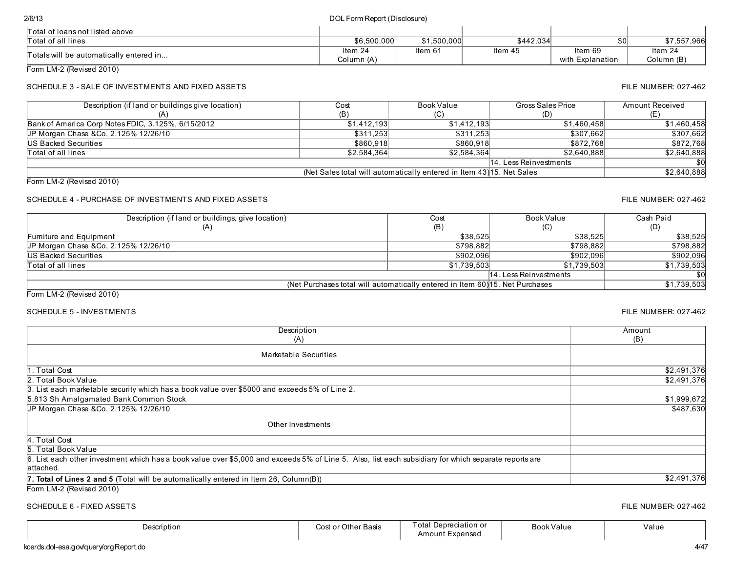| 2/6/13                                  | DOL Form Report (Disclosure) |             |           |                  |             |
|-----------------------------------------|------------------------------|-------------|-----------|------------------|-------------|
| Total of loans not listed above         |                              |             |           |                  |             |
| Total of all lines                      | \$6.500.000                  | \$1.500.000 | \$442.034 | \$0              | \$7,557,966 |
|                                         | Item $24$                    | Item 61     | Item 45   | Item 69          | Item 24     |
| Totals will be automatically entered in | Column (A)                   |             |           | with Explanation | Column (B)  |

Form LM-2 (Revised 2010)

## SCHEDULE 3 - SALE OF INVESTMENTS AND FIXED ASSETS FILE NUMBER: 027-462

| Description (if land or buildings give location)   | Cost        | Book Value                                                            | Gross Sales Price      | Amount Received |
|----------------------------------------------------|-------------|-----------------------------------------------------------------------|------------------------|-----------------|
|                                                    | (B)         |                                                                       | (D)                    |                 |
| Bank of America Corp Notes FDIC, 3.125%, 6/15/2012 | \$1.412.193 | \$1.412.193                                                           | \$1.460.458            | \$1,460,458     |
| UP Morgan Chase & Co. 2.125% 12/26/10              | \$311.253   | \$311.253                                                             | \$307.662              | \$307,662       |
| <b>IUS Backed Securities</b>                       | \$860,918   | \$860.918                                                             | \$872.768              | \$872,768       |
| Total of all lines                                 | \$2,584,364 | \$2,584,364                                                           | \$2.640.888            | \$2,640,888     |
|                                                    |             |                                                                       | 14. Less Reinvestments | \$0             |
|                                                    |             | (Net Sales total will automatically entered in Item 43) 15. Net Sales |                        | \$2,640,888     |

Form LM-2 (Revised 2010)

## SCHEDULE 4 - PURCHASE OF INVESTMENTS AND FIXED ASSETS FILE NUMBER: 027-462

| Description (if land or buildings, give location)                             | Cost        | Book Value             | Cash Paid   |
|-------------------------------------------------------------------------------|-------------|------------------------|-------------|
| (A)                                                                           | (B)         | (C                     | (D)         |
| Fumiture and Equipment                                                        | \$38.525    | \$38.525               | \$38,525    |
| JP Morgan Chase &Co, 2.125% 12/26/10                                          | \$798,882   | \$798.882              | \$798,882   |
| US Backed Securities                                                          | \$902,096   | \$902,096              | \$902,096   |
| Total of all lines                                                            | \$1,739,503 | \$1.739.503            | \$1,739,503 |
|                                                                               |             | 14. Less Reinvestments | \$0         |
| (Net Purchases total will automatically entered in Item 60) 15. Net Purchases |             |                        | \$1,739,503 |

Form LM-2 (Revised 2010)

## SCHEDULE 5 - INVESTMENTS FILE NUMBER: 027-462

| Description                                                                                                                                                         | Amount      |
|---------------------------------------------------------------------------------------------------------------------------------------------------------------------|-------------|
| (A)                                                                                                                                                                 | (B)         |
| Marketable Securities                                                                                                                                               |             |
| 1. Total Cost                                                                                                                                                       | \$2,491,376 |
| 2. Total Book Value                                                                                                                                                 | \$2,491,376 |
| 3. List each marketable security which has a book value over \$5000 and exceeds 5% of Line 2.                                                                       |             |
| 5,813 Sh Amalgamated Bank Common Stock                                                                                                                              | \$1,999,672 |
| JP Morgan Chase & Co. 2.125% 12/26/10                                                                                                                               | \$487,630   |
| Other Investments                                                                                                                                                   |             |
| 4. Total Cost                                                                                                                                                       |             |
| 5. Total Book Value                                                                                                                                                 |             |
| 6. List each other investment which has a book value over \$5,000 and exceeds 5% of Line 5. Also, list each subsidiary for which separate reports are<br>lattached. |             |
| <b>7. Total of Lines 2 and 5</b> (Total will be automatically entered in Item 26, Column(B))                                                                        | \$2,491,376 |
| $T_{\text{atm}}$   M $\Omega$ (Deviced $\Omega$ 040)                                                                                                                |             |

Form LM-2 (Revised 2010)

### SCHEDULE 6 - FIXED ASSETS FILE NUMBER: 027-462

Description **Cost of Other Basis** Total Depreciation or Amount Expensed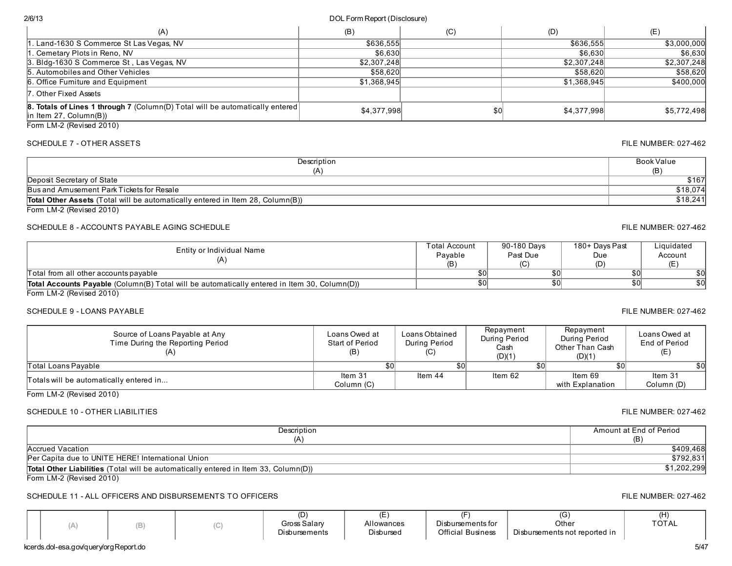## 2/6/13 DOL Form Report (Disclosure)

| (A)                                                                                                               | (B)         | (C) | (D)         | (E)         |
|-------------------------------------------------------------------------------------------------------------------|-------------|-----|-------------|-------------|
| . Land-1630 S Commerce St Las Vegas, NV                                                                           | \$636,555   |     | \$636,555   | \$3,000,000 |
| . Cemetary Plots in Reno, NV                                                                                      | \$6,630     |     | \$6,630     | \$6,630     |
| 3. Bldg-1630 S Commerce St, Las Vegas, NV                                                                         | \$2,307,248 |     | \$2,307,248 | \$2,307,248 |
| 5. Automobiles and Other Vehicles                                                                                 | \$58,620    |     | \$58,620    | \$58,620    |
| 6. Office Furniture and Equipment                                                                                 | \$1,368,945 |     | \$1,368,945 | \$400,000   |
| 7. Other Fixed Assets                                                                                             |             |     |             |             |
| <b>8. Totals of Lines 1 through 7</b> (Column(D) Total will be automatically entered<br>$\ln$ ltem 27, Column(B)) | \$4,377,998 | \$0 | \$4.377.998 | \$5.772.498 |
| Form LM-2 (Revised 2010)                                                                                          |             |     |             |             |

### SCHEDULE 7 - OTHER ASSETS FILE NUMBER: 027-462

| Description                                                                           | Book Value |
|---------------------------------------------------------------------------------------|------------|
| (A'                                                                                   | (B)        |
| Deposit Secretary of State                                                            | \$167      |
| Bus and Amusement Park Tickets for Resale                                             | \$18,074   |
| <b>Total Other Assets</b> (Total will be automatically entered in Item 28, Column(B)) | \$18,241   |
| Form LM-2 (Revised 2010)                                                              |            |

### SCHEDULE 8 - ACCOUNTS PAYABLE AGING SCHEDULE FILE NUMBER: 027-462

| Entity or Individual Name<br>(A)                                                                    | Total Account<br>Pavable<br>(B' | 90-180 Days<br>Past Due<br>(C) | 180+ Davs Past<br>Due | Liquidated<br>Account |
|-----------------------------------------------------------------------------------------------------|---------------------------------|--------------------------------|-----------------------|-----------------------|
| Total from all other accounts payable                                                               |                                 | \$0                            |                       | \$0                   |
| <b>Total Accounts Payable</b> (Column(B) Total will be automatically entered in Item 30, Column(D)) |                                 | \$0                            |                       | \$0                   |
| Form $1 M.2$ (Revised $2010$ )                                                                      |                                 |                                |                       |                       |

Form LM-2 (Revised 2010)

### SCHEDULE 9 - LOANS PAYABLE FILE NUMBER: 027-462

| Source of Loans Payable at Any<br>Time During the Reporting Period | Loans Owed at<br>Start of Period<br>(B) | Loans Obtained<br>During Period<br>(C) | Repayment<br>During Period<br>Cash<br>(D)(1) | Repayment<br>During Period<br>Other Than Cash<br>(D)(1) | Loans Owed at<br>End of Period<br>(E) |
|--------------------------------------------------------------------|-----------------------------------------|----------------------------------------|----------------------------------------------|---------------------------------------------------------|---------------------------------------|
| Total Loans Pavable                                                |                                         | \$01                                   |                                              | \$0l                                                    | \$0                                   |
| Totals will be automatically entered in                            | Item 31                                 | Item 44                                | Item $62$                                    | Item 69                                                 | Item 31                               |
|                                                                    | Column (C)                              |                                        |                                              | with Explanation                                        | Column (D)                            |

Form LM-2 (Revised 2010)

## SCHEDULE 10 - OTHER LIABILITIES FILE NUMBER: 027-462

|  | FILE NUMBER: 027-4 |  |
|--|--------------------|--|
|  |                    |  |

| Description                                                                                | Amount at End of Period |
|--------------------------------------------------------------------------------------------|-------------------------|
|                                                                                            | (B.                     |
| Accrued Vacation                                                                           | \$409,468               |
| Per Capita due to UNITE HERE! International Union                                          | \$792,831               |
| <b>Total Other Liabilities</b> (Total will be automatically entered in Item 33, Column(D)) | ,202,299                |
| $      -$<br>$\mathbf{r}$ $\mathbf{r}$ $\mathbf{r}$                                        |                         |

Form LM-2 (Revised 2010)

## SCHEDULE 11 - ALL OFFICERS AND DISBURSEMENTS TO OFFICERS FILE NUMBER: 027-462

|  |  |  | ιU<br>Gross Salary<br>Distoursements | Allowances<br>Disbursed | - -<br>Distoursements for<br><b>Official Business</b> | . فا<br>Other<br>Disbursements not reported in | (H)<br><b>TOTAL</b> |
|--|--|--|--------------------------------------|-------------------------|-------------------------------------------------------|------------------------------------------------|---------------------|
|--|--|--|--------------------------------------|-------------------------|-------------------------------------------------------|------------------------------------------------|---------------------|

### kcerds.dol-esa.gov/query/orgReport.do 5/47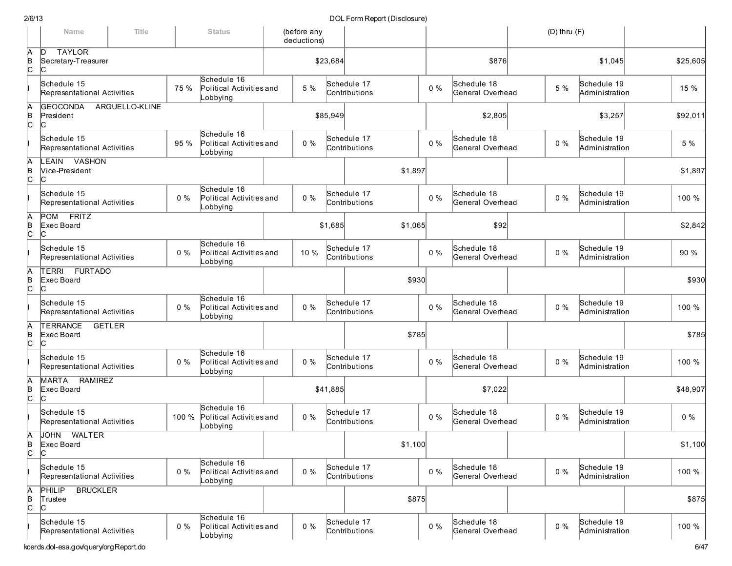|                      | Name                                                | Title          |       | <b>Status</b>                                       | (before any<br>deductions) |          |                              |         |       |                                 | $(D)$ thru $(F)$ |                               |          |
|----------------------|-----------------------------------------------------|----------------|-------|-----------------------------------------------------|----------------------------|----------|------------------------------|---------|-------|---------------------------------|------------------|-------------------------------|----------|
| Ā<br>þ<br>c          | <b>TAYLOR</b><br>D<br>Secretary-Treasurer<br>IС     |                |       |                                                     |                            | \$23,684 |                              |         |       | \$876                           |                  | \$1,045                       | \$25,605 |
|                      | Schedule 15<br>Representational Activities          |                | 75 %  | Schedule 16<br>Political Activities and<br>Lobbying | 5 %                        |          | Schedule 17<br>Contributions |         | $0\%$ | Schedule 18<br>General Overhead | 5 %              | Schedule 19<br>Administration | 15 %     |
| Ā<br>þ<br>c          | <b>GEOCONDA</b><br>President<br>IС                  | ARGUELLO-KLINE |       |                                                     |                            | \$85,949 |                              |         |       | \$2,805                         |                  | \$3,257                       | \$92,011 |
|                      | Schedule 15<br>Representational Activities          |                | 95 %  | Schedule 16<br>Political Activities and<br>_obbying | $0\%$                      |          | Schedule 17<br>Contributions |         | $0\%$ | Schedule 18<br>General Overhead | $0\%$            | Schedule 19<br>Administration | 5 %      |
| Ā<br>þ<br>c          | LEAIN VASHON<br>Vice-President<br>C                 |                |       |                                                     |                            |          |                              | \$1,897 |       |                                 |                  |                               | \$1,897  |
|                      | Schedule 15<br>Representational Activities          |                | 0%    | Schedule 16<br>Political Activities and<br>Lobbying | $0\%$                      |          | Schedule 17<br>Contributions |         | $0\%$ | Schedule 18<br>General Overhead | $0\%$            | Schedule 19<br>Administration | 100 %    |
| Ā<br>∣e<br> C        | <b>FRITZ</b><br>POM<br>Exec Board<br>C              |                |       |                                                     |                            | \$1,685  |                              | \$1,065 |       | \$92                            |                  |                               | \$2,842  |
|                      | Schedule 15<br>Representational Activities          |                | $0\%$ | Schedule 16<br>Political Activities and<br>_obbying | 10 %                       |          | Schedule 17<br>Contributions |         | $0\%$ | Schedule 18<br>General Overhead | $0\%$            | Schedule 19<br>Administration | 90 %     |
| Ā<br>∣e<br> C        | TERRI FURTADO<br>Exec Board<br>IС                   |                |       |                                                     |                            |          |                              | \$930   |       |                                 |                  |                               | \$930    |
|                      | Schedule 15<br>Representational Activities          |                | 0%    | Schedule 16<br>Political Activities and<br>Lobbying | $0\%$                      |          | Schedule 17<br>Contributions |         | $0\%$ | Schedule 18<br>General Overhead | $0\%$            | Schedule 19<br>Administration | 100 %    |
| Ā<br>∣e<br> C        | <b>TERRANCE</b><br><b>GETLER</b><br>Exec Board<br>C |                |       |                                                     |                            |          |                              | \$785   |       |                                 |                  |                               | \$785    |
|                      | Schedule 15<br>Representational Activities          |                | 0%    | Schedule 16<br>Political Activities and<br>Lobbying | $0\%$                      |          | Schedule 17<br>Contributions |         | $0\%$ | Schedule 18<br>General Overhead | $0\%$            | Schedule 19<br>Administration | 100 %    |
| $\frac{A}{C}$        | MARTA RAMIREZ<br>Exec Board<br>ІС                   |                |       |                                                     |                            | \$41,885 |                              |         |       | \$7,022                         |                  |                               | \$48,907 |
|                      | Schedule 15<br>Representational Activities          |                | 100 % | Schedule 16<br>Political Activities and<br>Lobbying | $0\%$                      |          | Schedule 17<br>Contributions |         | $0\%$ | Schedule 18<br>General Overhead | $0\%$            | Schedule 19<br>Administration | $0\%$    |
| A<br>B<br>C          | <b>JOHN</b><br><b>WALTER</b><br>Exec Board<br>IС    |                |       |                                                     |                            |          |                              | \$1,100 |       |                                 |                  |                               | \$1,100  |
|                      | Schedule 15<br>Representational Activities          |                | $0\%$ | Schedule 16<br>Political Activities and<br>Lobbying | $0\%$                      |          | Schedule 17<br>Contributions |         | $0\%$ | Schedule 18<br>General Overhead | $0\%$            | Schedule 19<br>Administration | 100 %    |
| $A$ <sub>B</sub> $C$ | <b>BRUCKLER</b><br><b>PHILIP</b><br>Trustee<br>C    |                |       |                                                     |                            |          |                              | \$875   |       |                                 |                  |                               | \$875    |
|                      | Schedule 15<br>Representational Activities          |                | $0\%$ | Schedule 16<br>Political Activities and<br>Lobbying | $0\%$                      |          | Schedule 17<br>Contributions |         | $0\%$ | Schedule 18<br>General Overhead | $0\%$            | Schedule 19<br>Administration | 100 %    |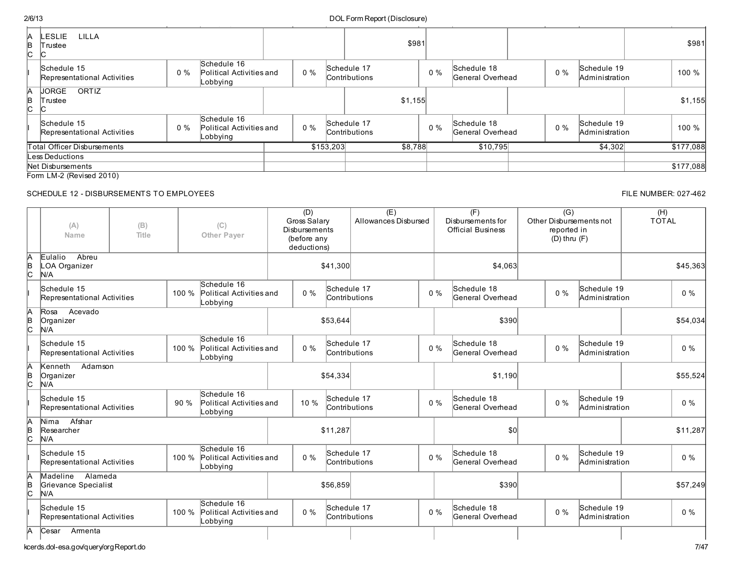## kcerds.dol-esa.gov/query/orgReport.do 7/47

 $(E)$ 

 $(F)$ 

(G)

| А<br>B<br>C. | LILLA<br>LESLIE<br>Trustee<br>◡            |       |                                                     |       |           |                                     | \$981 |       |                                 |       |                               | \$981     |
|--------------|--------------------------------------------|-------|-----------------------------------------------------|-------|-----------|-------------------------------------|-------|-------|---------------------------------|-------|-------------------------------|-----------|
|              | Schedule 15<br>Representational Activities | $0\%$ | Schedule 16<br>Political Activities and<br>Lobbying | $0\%$ |           | Schedule 17<br><b>Contributions</b> |       | $0\%$ | Schedule 18<br>General Overhead | $0\%$ | Schedule 19<br>Administration | 100 %     |
| И<br>B<br>C. | JORGE<br>ORTIZ<br>Trustee<br>U             |       |                                                     |       |           | \$1,155                             |       |       |                                 |       |                               | \$1,155   |
|              | Schedule 15<br>Representational Activities | $0\%$ | Schedule 16<br>Political Activities and<br>Lobbying | $0\%$ |           | Schedule 17<br><b>Contributions</b> |       | $0\%$ | Schedule 18<br>General Overhead | $0\%$ | Schedule 19<br>Administration | 100 %     |
|              | Total Officer Disbursements                |       |                                                     |       | \$153,203 | \$8,788                             |       |       | \$10,795                        |       | \$4,302                       | \$177,088 |
|              | Less Deductions                            |       |                                                     |       |           |                                     |       |       |                                 |       |                               |           |
|              | Net Disbursements                          |       |                                                     |       |           |                                     |       |       |                                 |       |                               | \$177,088 |
|              | Form LM-2 (Revised 2010)                   |       |                                                     |       |           |                                     |       |       |                                 |       |                               |           |

(D)

## SCHEDULE 12 - DISBURSEMENTS TO EMPLOYEES FILE NUMBER: 027-462

| (A)<br>(B)<br>Title<br>Name |                                                    |       | (C)<br><b>Other Paver</b>                                 | Gross Salary<br>Disbursements<br>(before any<br>deductions) |          | Allowances Disbursed         |       | Disbursements for<br><b>Official Business</b> | Other Disbursements not<br>reported in<br>$(D)$ thru $(F)$ |                               | <b>TOTAL</b> |
|-----------------------------|----------------------------------------------------|-------|-----------------------------------------------------------|-------------------------------------------------------------|----------|------------------------------|-------|-----------------------------------------------|------------------------------------------------------------|-------------------------------|--------------|
|                             | Abreu<br>Eulalio<br><b>OA Organizer</b><br>N/A     |       |                                                           | \$41,300                                                    |          |                              |       | \$4,063                                       |                                                            |                               | \$45,363     |
|                             | Schedule 15<br>Representational Activities         | 100 % | Schedule 16<br>Political Activities and<br>_obbying       | $0\%$                                                       |          | Schedule 17<br>Contributions | $0\%$ | Schedule 18<br>General Overhead               | $0\%$                                                      | Schedule 19<br>Administration | $0\%$        |
|                             | Acevado<br>Rosa<br>Organizer<br>N/A                |       |                                                           |                                                             | \$53,644 |                              |       | \$390                                         |                                                            |                               | \$54,034     |
|                             | Schedule 15<br>Representational Activities         |       | Schedule 16<br>100 % Political Activities and<br>Lobbying | $0\%$                                                       |          | Schedule 17<br>Contributions | $0\%$ | Schedule 18<br>General Overhead               | $0\%$                                                      | Schedule 19<br>Administration | $0\%$        |
|                             | Adamson<br>Kenneth<br>Organizer<br>N/A             |       |                                                           |                                                             | \$54,334 |                              |       | \$1,190                                       |                                                            |                               | \$55,524     |
|                             | Schedule 15<br>Representational Activities         | 90%   | Schedule 16<br>Political Activities and<br>_obbying       | 10%                                                         |          | Schedule 17<br>Contributions | $0\%$ | Schedule 18<br>General Overhead               | $0\%$                                                      | Schedule 19<br>Administration | $0\%$        |
|                             | Afshar<br>Nima<br>Researcher<br>N/A                |       |                                                           |                                                             | \$11,287 |                              |       | \$0                                           |                                                            |                               | \$11,287     |
|                             | Schedule 15<br>Representational Activities         | 100 % | Schedule 16<br>Political Activities and<br>_obbying       | $0\%$                                                       |          | Schedule 17<br>Contributions | $0\%$ | Schedule 18<br>General Overhead               | $0\%$                                                      | Schedule 19<br>Administration | $0\%$        |
|                             | Alameda<br>Madeline<br>Grievance Specialist<br>N/A |       |                                                           |                                                             | \$56,859 |                              |       | \$390                                         |                                                            |                               | \$57,249     |
|                             | Schedule 15<br>Representational Activities         | 100 % | Schedule 16<br>Political Activities and<br>_obbying       | $0\%$                                                       |          | Schedule 17<br>Contributions | $0\%$ | Schedule 18<br>General Overhead               | $0\%$                                                      | Schedule 19<br>Administration | $0\%$        |
| A                           | Cesar<br>Armenta                                   |       |                                                           |                                                             |          |                              |       |                                               |                                                            |                               |              |

(H)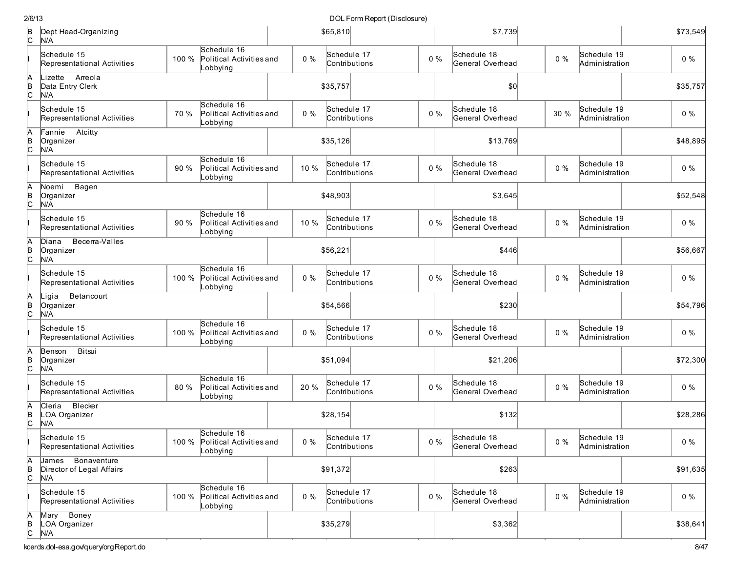| 2/6/13         |                                                          |       |                                                           |       |                              | DOL Form Report (Disclosure) |       |                                 |       |                               |          |
|----------------|----------------------------------------------------------|-------|-----------------------------------------------------------|-------|------------------------------|------------------------------|-------|---------------------------------|-------|-------------------------------|----------|
| $\overline{C}$ | Dept Head-Organizing<br>N/A                              |       |                                                           |       | \$65,810                     |                              |       | \$7,739                         |       |                               | \$73,549 |
|                | Schedule 15<br>Representational Activities               | 100 % | Schedule 16<br>Political Activities and<br>Lobbying       | $0\%$ | Schedule 17<br>Contributions |                              | $0\%$ | Schedule 18<br>General Overhead | $0\%$ | Schedule 19<br>Administration | $0\%$    |
| A<br>B<br>C    | Arreola<br>Lizette<br>Data Entry Clerk<br>N/A            |       |                                                           |       | \$35,757                     |                              |       | \$0                             |       |                               | \$35,757 |
|                | Schedule 15<br>Representational Activities               | 70 %  | Schedule 16<br>Political Activities and<br>Lobbying       | $0\%$ | Schedule 17<br>Contributions |                              | $0\%$ | Schedule 18<br>General Overhead | 30 %  | Schedule 19<br>Administration | $0\%$    |
| A<br>B<br>C    | Fannie Atcitty<br>Organizer<br>N/A                       |       |                                                           |       | \$35,126                     |                              |       | \$13,769                        |       |                               | \$48,895 |
|                | Schedule 15<br>Representational Activities               | 90%   | Schedule 16<br>Political Activities and<br>Lobbying       | 10 %  | Schedule 17<br>Contributions |                              | $0\%$ | Schedule 18<br>General Overhead | $0\%$ | Schedule 19<br>Administration | $0\%$    |
| A<br>B<br>C    | Bagen<br>Noemi<br>Organizer<br>N/A                       |       |                                                           |       | \$48,903                     |                              |       | \$3,645                         |       |                               | \$52,548 |
|                | Schedule 15<br>Representational Activities               | 90 %  | Schedule 16<br>Political Activities and<br>Lobbying       | 10 %  | Schedule 17<br>Contributions |                              | $0\%$ | Schedule 18<br>General Overhead | $0\%$ | Schedule 19<br>Administration | $0\%$    |
| A<br>B<br>C    | Becerra-Valles<br>Diana<br>Organizer<br>N/A              |       |                                                           |       | \$56,221                     |                              |       | \$446                           |       |                               | \$56,667 |
|                | Schedule 15<br>Representational Activities               | 100 % | Schedule 16<br>Political Activities and<br>Lobbying       | $0\%$ | Schedule 17<br>Contributions |                              | $0\%$ | Schedule 18<br>General Overhead | $0\%$ | Schedule 19<br>Administration | $0\%$    |
| A<br>B<br>C    | Betancourt<br>Ligia<br>Organizer<br>N/A                  |       |                                                           |       | \$54,566                     |                              |       | \$230                           |       |                               | \$54,796 |
|                | Schedule 15<br>Representational Activities               | 100 % | Schedule 16<br>Political Activities and<br>_obbying       | $0\%$ | Schedule 17<br>Contributions |                              | $0\%$ | Schedule 18<br>General Overhead | $0\%$ | Schedule 19<br>Administration | $0\%$    |
| A<br>B<br>C    | Bitsui<br>Benson<br>Organizer<br>N/A                     |       |                                                           |       | \$51,094                     |                              |       | \$21,206                        |       |                               | \$72,300 |
|                | Schedule 15<br>Representational Activities               | 80 %  | Schedule 16<br>Political Activities and<br>Lobbying       | 20 %  | Schedule 17<br>Contributions |                              | $0\%$ | Schedule 18<br>General Overhead | $0\%$ | Schedule 19<br>Administration | $0\%$    |
| A<br> в<br> C  | Blecker<br>Cleria<br>LOA Organizer<br>N/A                |       |                                                           |       | \$28,154                     |                              |       | \$132                           |       |                               | \$28,286 |
|                | Schedule 15<br>Representational Activities               |       | Schedule 16<br>100 % Political Activities and<br>Lobbying | $0\%$ | Schedule 17<br>Contributions |                              | $0\%$ | Schedule 18<br>General Overhead | $0\%$ | Schedule 19<br>Administration | $0\%$    |
| A<br>B<br>C    | Bonaventure<br>James<br>Director of Legal Affairs<br>N/A |       |                                                           |       | \$91,372                     |                              |       | \$263                           |       |                               | \$91,635 |
|                | Schedule 15<br>Representational Activities               | 100 % | Schedule 16<br>Political Activities and<br>Lobbying       | $0\%$ | Schedule 17<br>Contributions |                              | $0\%$ | Schedule 18<br>General Overhead | $0\%$ | Schedule 19<br>Administration | $0\%$    |
| A<br>B<br>C    | Boney<br>Mary<br>LOA Organizer<br>N/A                    |       |                                                           |       | \$35,279                     |                              |       | \$3,362                         |       |                               | \$38,641 |

kcerds.dol-esa.gov/query/orgReport.do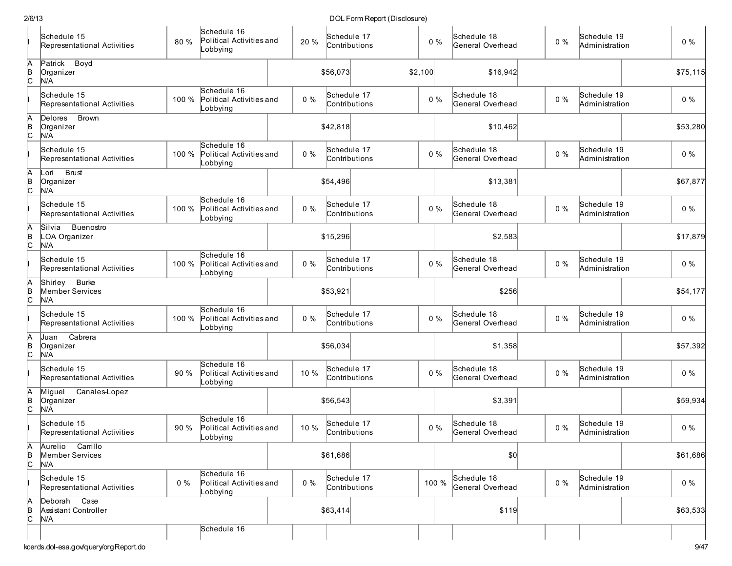|                 | Schedule 15<br>Representational Activities        | 80 %  | Schedule 16<br>Political Activities and<br>Lobbying | 20 %  | Schedule 17<br>Contributions | $0\%$   | Schedule 18<br>General Overhead | $0\%$ | Schedule 19<br>Administration | $0\%$    |
|-----------------|---------------------------------------------------|-------|-----------------------------------------------------|-------|------------------------------|---------|---------------------------------|-------|-------------------------------|----------|
| $\overline{AB}$ | Patrick Boyd<br>Organizer<br>N/A                  |       |                                                     |       | \$56,073                     | \$2,100 | \$16,942                        |       |                               | \$75,115 |
|                 | Schedule 15<br>Representational Activities        | 100 % | Schedule 16<br>Political Activities and<br>Lobbying | $0\%$ | Schedule 17<br>Contributions | $0\%$   | Schedule 18<br>General Overhead | $0\%$ | Schedule 19<br>Administration | $0\%$    |
| A<br>B<br>C     | Delores Brown<br>Organizer<br>N/A                 |       |                                                     |       | \$42,818                     |         | \$10,462                        |       |                               | \$53,280 |
|                 | Schedule 15<br>Representational Activities        | 100 % | Schedule 16<br>Political Activities and<br>Lobbying | $0\%$ | Schedule 17<br>Contributions | $0\%$   | Schedule 18<br>General Overhead | $0\%$ | Schedule 19<br>Administration | $0\%$    |
| A<br>B<br>C     | <b>Brust</b><br>Lori<br>Organizer<br>N/A          |       |                                                     |       | \$54,496                     |         | \$13,381                        |       |                               | \$67,877 |
|                 | Schedule 15<br>Representational Activities        | 100 % | Schedule 16<br>Political Activities and<br>Lobbying | $0\%$ | Schedule 17<br>Contributions | $0\%$   | Schedule 18<br>General Overhead | $0\%$ | Schedule 19<br>Administration | $0\%$    |
| A<br>B<br>C     | Silvia<br>Buenostro<br>LOA Organizer<br>N/A       |       |                                                     |       | \$15,296                     |         | \$2,583                         |       |                               | \$17,879 |
|                 | Schedule 15<br>Representational Activities        | 100 % | Schedule 16<br>Political Activities and<br>_obbying | $0\%$ | Schedule 17<br>Contributions | $0\%$   | Schedule 18<br>General Overhead | $0\%$ | Schedule 19<br>Administration | $0\%$    |
| ļΑ<br>∣e<br>∣c  | <b>Burke</b><br>Shirley<br>Member Services<br>N/A |       |                                                     |       | \$53,921                     |         | \$256                           |       |                               | \$54,177 |
|                 | Schedule 15<br>Representational Activities        | 100 % | Schedule 16<br>Political Activities and<br>_obbying | $0\%$ | Schedule 17<br>Contributions | $0\%$   | Schedule 18<br>General Overhead | $0\%$ | Schedule 19<br>Administration | $0\%$    |
| A<br>B<br>C     | Cabrera<br>Juan<br>Organizer<br>N/A               |       |                                                     |       | \$56,034                     |         | \$1,358                         |       |                               | \$57,392 |
|                 | Schedule 15<br>Representational Activities        | 90 %  | Schedule 16<br>Political Activities and<br>Lobbying | 10 %  | Schedule 17<br>Contributions | $0\%$   | Schedule 18<br>General Overhead | $0\%$ | Schedule 19<br>Administration | $0\%$    |
| A<br>B<br>C     | Miguel<br>Canales-Lopez<br>Organizer<br>N/A       |       |                                                     |       | \$56,543                     |         | \$3,391                         |       |                               | \$59,934 |
|                 | Schedule 15<br>Representational Activities        | 90 %  | Schedule 16<br>Political Activities and<br>obbying. | 10 %  | Schedule 17<br>Contributions | $0\%$   | Schedule 18<br>General Overhead | $0\%$ | Schedule 19<br>Administration | $0\%$    |
| $\frac{A}{C}$   | Aurelio Carrillo<br>Member Services<br>N/A        |       |                                                     |       | \$61,686                     |         | 50                              |       |                               | \$61,686 |
|                 | Schedule 15<br>Representational Activities        | $0\%$ | Schedule 16<br>Political Activities and<br>Lobbying | $0\%$ | Schedule 17<br>Contributions | 100 %   | Schedule 18<br>General Overhead | $0\%$ | Schedule 19<br>Administration | $0\%$    |
| A<br>B<br>C     | Deborah Case<br>Assistant Controller<br>N/A       |       |                                                     |       | \$63,414                     |         | \$119                           |       |                               | \$63,533 |
|                 | kcerds.dol-esa.gov/query/orgReport.do             |       | Schedule 16                                         |       |                              |         |                                 |       |                               | 9/47     |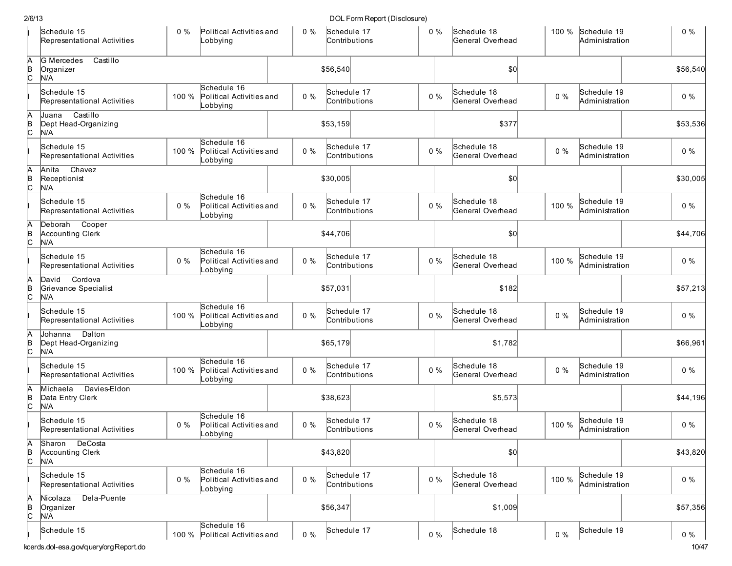|                 | Schedule 15<br>Representational Activities           | $0\%$ | Political Activities and<br>Lobbying                | $0\%$ | Schedule 17<br>Contributions | 0%    | Schedule 18<br>General Overhead |       | 100 % Schedule 19<br>Administration | $0\%$          |
|-----------------|------------------------------------------------------|-------|-----------------------------------------------------|-------|------------------------------|-------|---------------------------------|-------|-------------------------------------|----------------|
| A<br>B<br>C     | Castillo<br><b>G</b> Mercedes<br>Organizer<br>N/A    |       |                                                     |       | \$56,540                     |       | \$0                             |       |                                     | \$56,540       |
|                 | Schedule 15<br>Representational Activities           | 100 % | Schedule 16<br>Political Activities and<br>Lobbying | $0\%$ | Schedule 17<br>Contributions | $0\%$ | Schedule 18<br>General Overhead | $0\%$ | Schedule 19<br>Administration       | $0\%$          |
| A<br> в<br> С   | Castillo<br>Juana<br>Dept Head-Organizing<br>N/A     |       |                                                     |       | \$53,159                     |       | \$377                           |       |                                     | \$53,536       |
|                 | Schedule 15<br>Representational Activities           | 100 % | Schedule 16<br>Political Activities and<br>Lobbying | $0\%$ | Schedule 17<br>Contributions | $0\%$ | Schedule 18<br>General Overhead | $0\%$ | Schedule 19<br>Administration       | $0\%$          |
| A<br>B<br>C     | Chavez<br>Anita<br>Receptionist<br>N/A               |       |                                                     |       | \$30,005                     |       | \$0                             |       |                                     | \$30,005       |
|                 | Schedule 15<br>Representational Activities           | $0\%$ | Schedule 16<br>Political Activities and<br>Lobbying | $0\%$ | Schedule 17<br>Contributions | $0\%$ | Schedule 18<br>General Overhead | 100 % | Schedule 19<br>Administration       | $0\%$          |
| A<br>B<br>C     | Deborah Cooper<br><b>Accounting Clerk</b><br>N/A     |       |                                                     |       | \$44,706                     |       | \$0                             |       |                                     | \$44,706       |
|                 | Schedule 15<br>Representational Activities           | $0\%$ | Schedule 16<br>Political Activities and<br>Lobbying | $0\%$ | Schedule 17<br>Contributions | $0\%$ | Schedule 18<br>General Overhead | 100 % | Schedule 19<br>Administration       | $0\%$          |
| A<br>B<br>C     | David<br>Cordova<br>Grievance Specialist<br>N/A      |       |                                                     |       | \$57,031                     |       | \$182                           |       |                                     | \$57,213       |
|                 | Schedule 15<br>Representational Activities           | 100 % | Schedule 16<br>Political Activities and<br>Lobbying | $0\%$ | Schedule 17<br>Contributions | $0\%$ | Schedule 18<br>General Overhead | $0\%$ | Schedule 19<br>Administration       | $0\%$          |
| A<br>B<br>C     | Johanna<br>Dalton<br>Dept Head-Organizing<br>N/A     |       |                                                     |       | \$65,179                     |       | \$1,782                         |       |                                     | \$66,961       |
|                 | Schedule 15<br>Representational Activities           | 100 % | Schedule 16<br>Political Activities and<br>Lobbying | $0\%$ | Schedule 17<br>Contributions | $0\%$ | Schedule 18<br>General Overhead | $0\%$ | Schedule 19<br>Administration       | $0\%$          |
| A<br>B<br>c     | Davies-Eldon<br>Michaela<br>Data Entry Clerk<br>N/A  |       |                                                     |       | \$38,623                     |       | \$5,573                         |       |                                     | \$44,196       |
|                 | Schedule 15<br>Representational Activities           | $0\%$ | Schedule 16<br>Political Activities and<br>Lobbying | $0\%$ | Schedule 17<br>Contributions | $0\%$ | Schedule 18<br>General Overhead | 100 % | Schedule 19<br>Administration       | $0\%$          |
| $\overline{AB}$ | Sharon DeCosta<br><b>Accounting Clerk</b><br>N/A     |       |                                                     |       | \$43,820                     |       | \$0]                            |       |                                     | \$43,820       |
|                 | Schedule 15<br>Representational Activities           | $0\%$ | Schedule 16<br>Political Activities and<br>Lobbying | $0\%$ | Schedule 17<br>Contributions | $0\%$ | Schedule 18<br>General Overhead | 100 % | Schedule 19<br>Administration       | $0\%$          |
| A<br>B<br>C     | Dela-Puente<br>Nicolaza<br>Organizer<br>N/A          |       |                                                     |       | \$56,347                     |       | \$1,009                         |       |                                     | \$57,356       |
|                 | Schedule 15<br>kcerds.dol-esa.gov/query/orgReport.do |       | Schedule 16<br>100 % Political Activities and       | $0\%$ | Schedule 17                  | $0\%$ | Schedule 18                     | $0\%$ | Schedule 19                         | $0\%$<br>10/47 |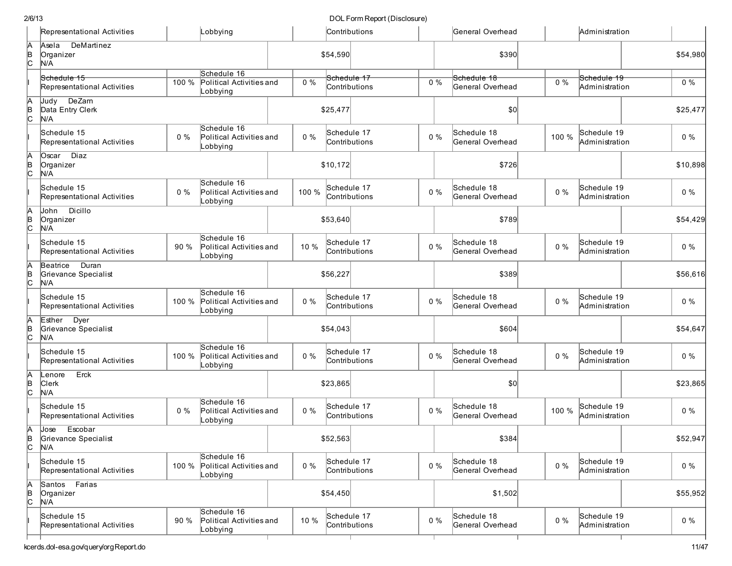| DOL Form Report (Disclosure) |  |
|------------------------------|--|
|------------------------------|--|

|                  | Representational Activities                      |       | Lobbying                                                  |       | Contributions                |       | General Overhead                |       | Administration                |          |
|------------------|--------------------------------------------------|-------|-----------------------------------------------------------|-------|------------------------------|-------|---------------------------------|-------|-------------------------------|----------|
| $A$ <sub>B</sub> | DeMartinez<br>Asela<br>Organizer<br>N/A          |       |                                                           |       | \$54,590                     |       | \$390                           |       |                               | \$54,980 |
|                  | Schedule 15<br>Representational Activities       | 100 % | Schedule 16<br>Political Activities and<br>Lobbying       | $0\%$ | Schedule 17<br>Contributions | $0\%$ | Schedule 18<br>General Overhead | $0\%$ | Schedule 19<br>Administration | $0\%$    |
| A<br>B<br>C      | Judy DeZam<br>Data Entry Clerk<br>N/A            |       |                                                           |       | \$25,477                     |       | \$0                             |       |                               | \$25,477 |
|                  | Schedule 15<br>Representational Activities       | $0\%$ | Schedule 16<br>Political Activities and<br>Lobbying       | $0\%$ | Schedule 17<br>Contributions | $0\%$ | Schedule 18<br>General Overhead | 100 % | Schedule 19<br>Administration | $0\%$    |
| A<br>B<br>C      | Diaz<br>Oscar<br>Organizer<br>N/A                |       |                                                           |       | \$10,172                     |       | \$726                           |       |                               | \$10,898 |
|                  | Schedule 15<br>Representational Activities       | $0\%$ | Schedule 16<br>Political Activities and<br>Lobbying       | 100 % | Schedule 17<br>Contributions | $0\%$ | Schedule 18<br>General Overhead | $0\%$ | Schedule 19<br>Administration | $0\%$    |
| Ā<br>þ<br>c.     | Dicillo<br>John<br>Organizer<br>N/A              |       |                                                           |       | \$53,640                     |       | \$789                           |       |                               | \$54,429 |
|                  | Schedule 15<br>Representational Activities       | 90 %  | Schedule 16<br>Political Activities and<br>Lobbying       | 10 %  | Schedule 17<br>Contributions | $0\%$ | Schedule 18<br>General Overhead | $0\%$ | Schedule 19<br>Administration | $0\%$    |
| Ā<br>þ<br>lc.    | Duran<br>Beatrice<br>Grievance Specialist<br>N/A |       |                                                           |       | \$56,227                     |       | \$389                           |       |                               | \$56,616 |
|                  | Schedule 15<br>Representational Activities       | 100 % | Schedule 16<br>Political Activities and<br>Lobbying       | $0\%$ | Schedule 17<br>Contributions | 0%    | Schedule 18<br>General Overhead | $0\%$ | Schedule 19<br>Administration | $0\%$    |
| в<br> С          | Esther Dyer<br>Grievance Specialist<br>N/A       |       |                                                           |       | \$54,043                     |       | \$604                           |       |                               | \$54,647 |
|                  | Schedule 15<br>Representational Activities       | 100 % | Schedule 16<br>Political Activities and<br>Lobbying       | $0\%$ | Schedule 17<br>Contributions | $0\%$ | Schedule 18<br>General Overhead | $0\%$ | Schedule 19<br>Administration | $0\%$    |
| A<br>B<br>C      | Erck<br>Lenore<br><b>Clerk</b><br>N/A            |       |                                                           |       | \$23,865                     |       | \$0                             |       |                               | \$23,865 |
|                  | Schedule 15<br>Representational Activities       | $0\%$ | Schedule 16<br>Political Activities and<br>Lobbying       | $0\%$ | Schedule 17<br>Contributions | $0\%$ | Schedule 18<br>General Overhead | 100 % | Schedule 19<br>Administration | $0\%$    |
| A<br>le.<br>lc.  | Jose Escobar<br>Grievance Specialist<br>N/A      |       |                                                           |       | \$52,563                     |       | \$384                           |       |                               | \$52,947 |
|                  | Schedule 15<br>Representational Activities       |       | Schedule 16<br>100 % Political Activities and<br>Lobbying | $0\%$ | Schedule 17<br>Contributions | $0\%$ | Schedule 18<br>General Overhead | $0\%$ | Schedule 19<br>Administration | $0\%$    |
| A<br>B<br>C      | Santos Farias<br>Organizer<br>N/A                |       |                                                           |       | \$54,450                     |       | \$1,502                         |       |                               | \$55,952 |
|                  | Schedule 15<br>Representational Activities       | 90%   | Schedule 16<br>Political Activities and<br>Lobbying       | 10 %  | Schedule 17<br>Contributions | $0\%$ | Schedule 18<br>General Overhead | $0\%$ | Schedule 19<br>Administration | $0\%$    |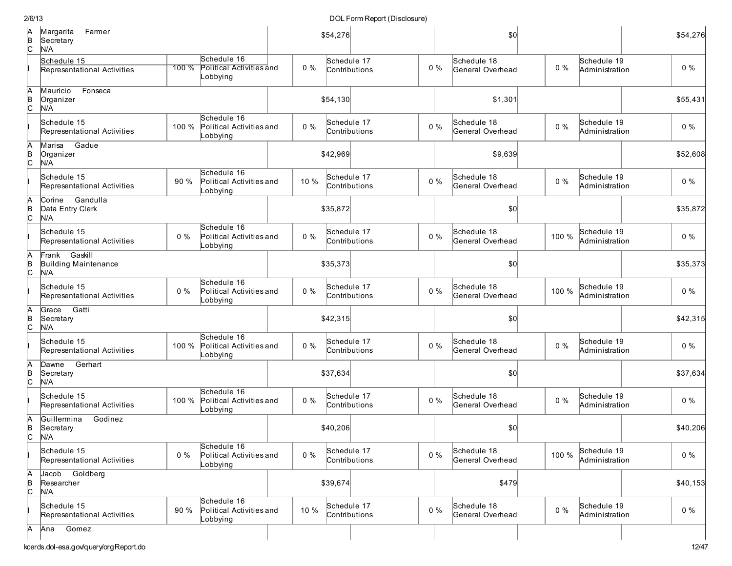| 2/6/13              |                                                 |         |                                                     |       |             | DOL Form Report (Disclosure) |       |                                 |       |                               |          |
|---------------------|-------------------------------------------------|---------|-----------------------------------------------------|-------|-------------|------------------------------|-------|---------------------------------|-------|-------------------------------|----------|
| A<br>B<br>C         | Margarita<br>Farmer<br>Secretary<br>N/A         |         |                                                     |       | \$54,276    |                              |       | \$0                             |       |                               | \$54,276 |
|                     | Schedule 15<br>Representational Activities      | $100\%$ | Schedule 16<br>Political Activities and<br>Lobbying | $0\%$ | Schedule 17 | Contributions                | $0\%$ | Schedule 18<br>General Overhead | $0\%$ | Schedule 19<br>Administration | $0\%$    |
| Ā<br>B<br>C         | Mauricio<br>Fonseca<br>Organizer<br>N/A         |         |                                                     |       | \$54,130    |                              |       | \$1,301                         |       |                               | \$55,431 |
|                     | Schedule 15<br>Representational Activities      | 100 %   | Schedule 16<br>Political Activities and<br>Lobbying | $0\%$ | Schedule 17 | Contributions                | $0\%$ | Schedule 18<br>General Overhead | $0\%$ | Schedule 19<br>Administration | $0\%$    |
| A<br> B<br> C       | Gadue<br>Marisa<br>Organizer<br>N/A             |         |                                                     |       | \$42,969    |                              |       | \$9,639                         |       |                               | \$52,608 |
|                     | Schedule 15<br>Representational Activities      | 90 %    | Schedule 16<br>Political Activities and<br>Lobbying | 10 %  | Schedule 17 | Contributions                | $0\%$ | Schedule 18<br>General Overhead | $0\%$ | Schedule 19<br>Administration | $0\%$    |
| A<br> в<br> С       | Gandulla<br>Corine<br>Data Entry Clerk<br>N/A   |         |                                                     |       | \$35,872    |                              |       | \$0                             |       |                               | \$35,872 |
|                     | Schedule 15<br>Representational Activities      | $0\%$   | Schedule 16<br>Political Activities and<br>Lobbying | $0\%$ | Schedule 17 | Contributions                | $0\%$ | Schedule 18<br>General Overhead | 100 % | Schedule 19<br>Administration | $0\%$    |
| A<br>B<br>C         | Gaskill<br>Frank<br>Building Maintenance<br>N/A |         |                                                     |       | \$35,373    |                              |       | \$0                             |       |                               | \$35,373 |
|                     | Schedule 15<br>Representational Activities      | $0\%$   | Schedule 16<br>Political Activities and<br>Lobbying | $0\%$ | Schedule 17 | Contributions                | $0\%$ | Schedule 18<br>General Overhead | 100 % | Schedule 19<br>Administration | $0\%$    |
| A<br>B<br>C         | Gatti<br>Grace<br>Secretary<br>N/A              |         |                                                     |       | \$42,315    |                              |       | \$0                             |       |                               | \$42,315 |
|                     | Schedule 15<br>Representational Activities      | 100 %   | Schedule 16<br>Political Activities and<br>Lobbying | $0\%$ | Schedule 17 | Contributions                | $0\%$ | Schedule 18<br>General Overhead | $0\%$ | Schedule 19<br>Administration | $0\%$    |
| A<br>B<br>C         | Gerhart<br>Dawne<br>Secretary<br>N/A            |         |                                                     |       | \$37,634    |                              |       | \$0                             |       |                               | \$37,634 |
|                     | Schedule 15<br>Representational Activities      | 100 %   | Schedule 16<br>Political Activities and<br>Lobbying | $0\%$ | Schedule 17 | Contributions                | $0\%$ | Schedule 18<br>General Overhead | $0\%$ | Schedule 19<br>Administration | $0\%$    |
| А<br>lв<br>c        | Guillermina<br>Godinez<br>Secretary<br>N/A      |         |                                                     |       | \$40,206    |                              |       | \$0                             |       |                               | \$40,206 |
|                     | Schedule 15<br>Representational Activities      | $0\%$   | Schedule 16<br>Political Activities and<br>Lobbying | $0\%$ | Schedule 17 | Contributions                | $0\%$ | Schedule 18<br>General Overhead | 100 % | Schedule 19<br>Administration | $0\%$    |
| А<br>$\overline{C}$ | Jacob Goldberg<br>Researcher<br>N/A             |         |                                                     |       | \$39,674    |                              |       | \$479                           |       |                               | \$40,153 |
|                     | Schedule 15<br>Representational Activities      | 90 %    | Schedule 16<br>Political Activities and<br>Lobbying | 10 %  | Schedule 17 | Contributions                | $0\%$ | Schedule 18<br>General Overhead | $0\%$ | Schedule 19<br>Administration | $0\%$    |
| IА                  | Gomez<br> Ana                                   |         |                                                     |       |             |                              |       |                                 |       |                               |          |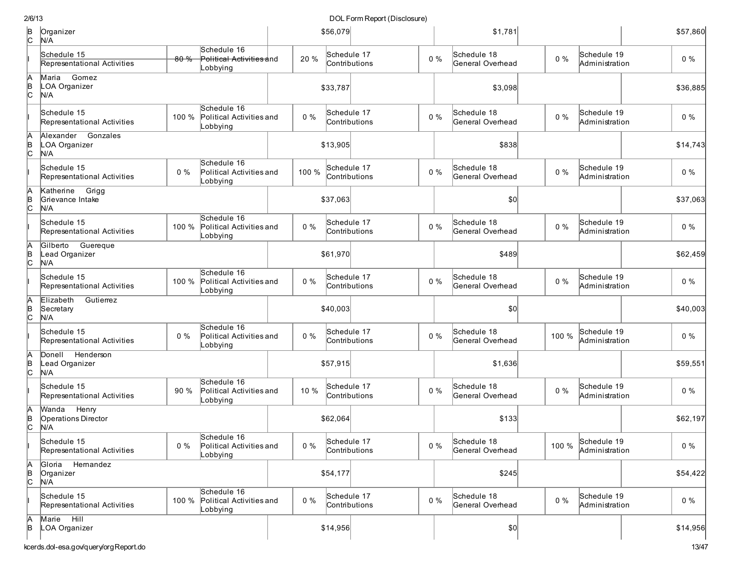| 2/6/13              |                                                  |       |                                                     |       |          | DOL Form Report (Disclosure) |       |                                 |       |                               |          |
|---------------------|--------------------------------------------------|-------|-----------------------------------------------------|-------|----------|------------------------------|-------|---------------------------------|-------|-------------------------------|----------|
| $\overline{c}$      | Organizer<br>N/A                                 |       |                                                     |       | \$56,079 |                              |       | \$1,781                         |       |                               | \$57,860 |
|                     | Schedule 15<br>Representational Activities       | 80%   | Schedule 16<br>Political Activities and<br>_obbying | 20 %  |          | Schedule 17<br>Contributions | $0\%$ | Schedule 18<br>General Overhead | $0\%$ | Schedule 19<br>Administration | $0\%$    |
| A<br>B<br>C         | Maria<br>Gomez<br>LOA Organizer<br>N/A           |       |                                                     |       | \$33,787 |                              |       | \$3,098                         |       |                               | \$36,885 |
|                     | Schedule 15<br>Representational Activities       | 100 % | Schedule 16<br>Political Activities and<br>Lobbying | $0\%$ |          | Schedule 17<br>Contributions | $0\%$ | Schedule 18<br>General Overhead | $0\%$ | Schedule 19<br>Administration | $0\%$    |
| А<br>$\overline{c}$ | Gonzales<br>Alexander<br>LOA Organizer<br>N/A    |       |                                                     |       | \$13,905 |                              |       | \$838                           |       |                               | \$14,743 |
|                     | Schedule 15<br>Representational Activities       | $0\%$ | Schedule 16<br>Political Activities and<br>Lobbying | 100 % |          | Schedule 17<br>Contributions | $0\%$ | Schedule 18<br>General Overhead | $0\%$ | Schedule 19<br>Administration | $0\%$    |
| A<br>B<br>C         | Grigg<br>Katherine<br>Grievance Intake<br>N/A    |       |                                                     |       | \$37,063 |                              |       | \$0                             |       |                               | \$37,063 |
|                     | Schedule 15<br>Representational Activities       | 100 % | Schedule 16<br>Political Activities and<br>Lobbying | $0\%$ |          | Schedule 17<br>Contributions | $0\%$ | Schedule 18<br>General Overhead | $0\%$ | Schedule 19<br>Administration | $0\%$    |
| $\overline{6}$      | Guereque<br>Gilberto<br>Lead Organizer<br>N/A    |       |                                                     |       | \$61,970 |                              |       | \$489                           |       |                               | \$62,459 |
|                     | Schedule 15<br>Representational Activities       | 100 % | Schedule 16<br>Political Activities and<br>Lobbying | $0\%$ |          | Schedule 17<br>Contributions | $0\%$ | Schedule 18<br>General Overhead | $0\%$ | Schedule 19<br>Administration | $0\%$    |
| A<br>B<br>C         | Elizabeth<br>Gutierrez<br>Secretary<br>N/A       |       |                                                     |       | \$40,003 |                              |       | \$0                             |       |                               | \$40,003 |
|                     | Schedule 15<br>Representational Activities       | $0\%$ | Schedule 16<br>Political Activities and<br>Lobbying | $0\%$ |          | Schedule 17<br>Contributions | $0\%$ | Schedule 18<br>General Overhead | 100 % | Schedule 19<br>Administration | $0\%$    |
| A<br>$\overline{c}$ | Henderson<br>Donell<br>Lead Organizer<br>N/A     |       |                                                     |       | \$57,915 |                              |       | \$1,636                         |       |                               | \$59,551 |
|                     | Schedule 15<br>Representational Activities       | 90 %  | Schedule 16<br>Political Activities and<br>Lobbying | 10 %  |          | Schedule 17<br>Contributions | $0\%$ | Schedule 18<br>General Overhead | $0\%$ | Schedule 19<br>Administration | $0\%$    |
| A<br>B<br>C         | Wanda Henry<br><b>Operations Director</b><br>N/A |       |                                                     |       | \$62,064 |                              |       | \$133                           |       |                               | \$62,197 |
|                     | Schedule 15<br>Representational Activities       | $0\%$ | Schedule 16<br>Political Activities and<br>_obbying | $0\%$ |          | Schedule 17<br>Contributions | $0\%$ | Schedule 18<br>General Overhead | 100 % | Schedule 19<br>Administration | $0\%$    |
| A<br>B<br>C         | Gloria Hernandez<br>Organizer<br>N/A             |       |                                                     |       | \$54,177 |                              |       | \$245                           |       |                               | \$54,422 |
|                     | Schedule 15<br>Representational Activities       | 100 % | Schedule 16<br>Political Activities and<br>Lobbying | $0\%$ |          | Schedule 17<br>Contributions | $0\%$ | Schedule 18<br>General Overhead | $0\%$ | Schedule 19<br>Administration | $0\%$    |
| A<br>B              | Marie Hill<br>LOA Organizer                      |       |                                                     |       | \$14,956 |                              |       | 0                               |       |                               | \$14,956 |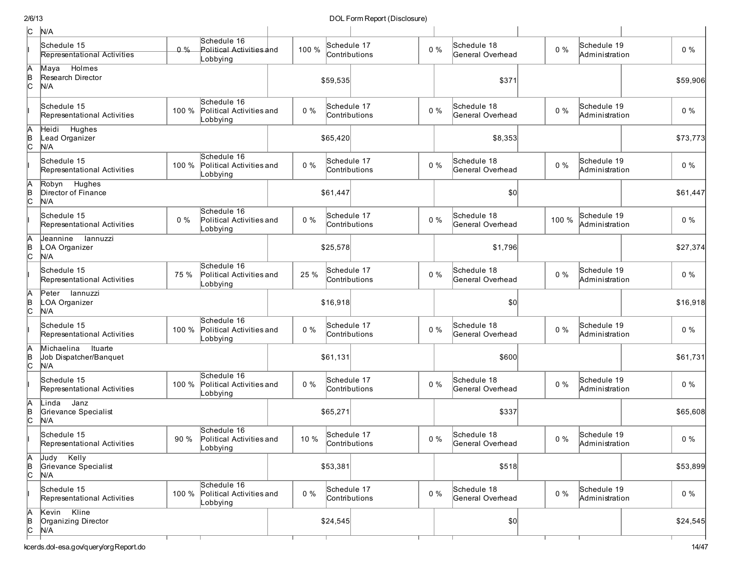### DOL Form Report (Disclosure)

| c             | N/A                                                    |       |                                                     |       |             |                              |       |                                 |       |                               |          |
|---------------|--------------------------------------------------------|-------|-----------------------------------------------------|-------|-------------|------------------------------|-------|---------------------------------|-------|-------------------------------|----------|
|               | Schedule 15<br>Representational Activities             | 0%    | Schedule 16<br>Political Activities and<br>Lobbying | 100 % |             | Schedule 17<br>Contributions | $0\%$ | Schedule 18<br>General Overhead | $0\%$ | Schedule 19<br>Administration | $0\%$    |
| A<br> в<br> C | Holmes<br>Maya<br>Research Director<br>N/A             |       |                                                     |       | \$59,535    |                              |       | \$371                           |       |                               | \$59,906 |
|               | Schedule 15<br>Representational Activities             | 100 % | Schedule 16<br>Political Activities and<br>_obbying | $0\%$ |             | Schedule 17<br>Contributions | $0\%$ | Schedule 18<br>General Overhead | $0\%$ | Schedule 19<br>Administration | $0\%$    |
| Ā<br>∣e<br> C | <b>Hughes</b><br>Heidi<br>Lead Organizer<br>N/A        |       |                                                     |       | \$65,420    |                              |       | \$8,353                         |       |                               | \$73,773 |
|               | Schedule 15<br>Representational Activities             | 100 % | Schedule 16<br>Political Activities and<br>_obbying | $0\%$ |             | Schedule 17<br>Contributions | $0\%$ | Schedule 18<br>General Overhead | $0\%$ | Schedule 19<br>Administration | $0\%$    |
| Ā<br>∣e<br> C | Robyn Hughes<br>Director of Finance<br>N/A             |       |                                                     |       | \$61,447    |                              |       | \$0                             |       |                               | \$61,447 |
|               | Schedule 15<br>Representational Activities             | $0\%$ | Schedule 16<br>Political Activities and<br>_obbying | $0\%$ |             | Schedule 17<br>Contributions | $0\%$ | Schedule 18<br>General Overhead | 100 % | Schedule 19<br>Administration | $0\%$    |
| Ā<br> в<br> С | Jeannine<br>lannuzzi<br>LOA Organizer<br>N/A           |       |                                                     |       | \$25,578    |                              |       | \$1,796                         |       |                               | \$27,374 |
|               | Schedule 15<br>Representational Activities             | 75 %  | Schedule 16<br>Political Activities and<br>_obbying | 25 %  |             | Schedule 17<br>Contributions | $0\%$ | Schedule 18<br>General Overhead | $0\%$ | Schedule 19<br>Administration | $0\%$    |
| A<br>B<br>C   | lannuzzi<br>Peter<br>LOA Organizer<br>N/A              |       |                                                     |       | \$16,918    |                              |       | \$0                             |       |                               | \$16,918 |
|               | Schedule 15<br>Representational Activities             | 100 % | Schedule 16<br>Political Activities and<br>_obbying | $0\%$ |             | Schedule 17<br>Contributions | $0\%$ | Schedule 18<br>General Overhead | $0\%$ | Schedule 19<br>Administration | $0\%$    |
| Ā<br>B<br>C   | Michaelina<br>Ituarte<br>Job Dispatcher/Banquet<br>N/A |       |                                                     |       | \$61,131    |                              |       | \$600                           |       |                               | \$61,731 |
|               | Schedule 15<br>Representational Activities             | 100 % | Schedule 16<br>Political Activities and<br>Lobbying | $0\%$ |             | Schedule 17<br>Contributions | $0\%$ | Schedule 18<br>General Overhead | $0\%$ | Schedule 19<br>Administration | $0\%$    |
| Ā<br>B<br>C   | Janz<br>Linda<br>Grievance Specialist<br>N/A           |       |                                                     |       | \$65,271    |                              |       | \$337                           |       |                               | \$65,608 |
|               | Schedule 15<br>Representational Activities             | 90 %  | Schedule 16<br>Political Activities and<br>Lobbying | 10 %  | Schedule 17 | Contributions                | $0\%$ | Schedule 18<br>General Overhead | $0\%$ | Schedule 19<br>Administration | $0\%$    |
| A<br>B<br>C   | Judy Kelly<br>Grievance Specialist<br>N/A              |       |                                                     |       | \$53,381    |                              |       | \$518                           |       |                               | \$53,899 |
|               | Schedule 15<br>Representational Activities             | 100 % | Schedule 16<br>Political Activities and<br>Lobbying | $0\%$ |             | Schedule 17<br>Contributions | $0\%$ | Schedule 18<br>General Overhead | $0\%$ | Schedule 19<br>Administration | $0\%$    |
| A<br>B<br>C   | Kevin Kline<br>Organizing Director<br>N/A              |       |                                                     |       | \$24,545    |                              |       | $ 10\rangle$                    |       |                               | \$24,545 |

т

т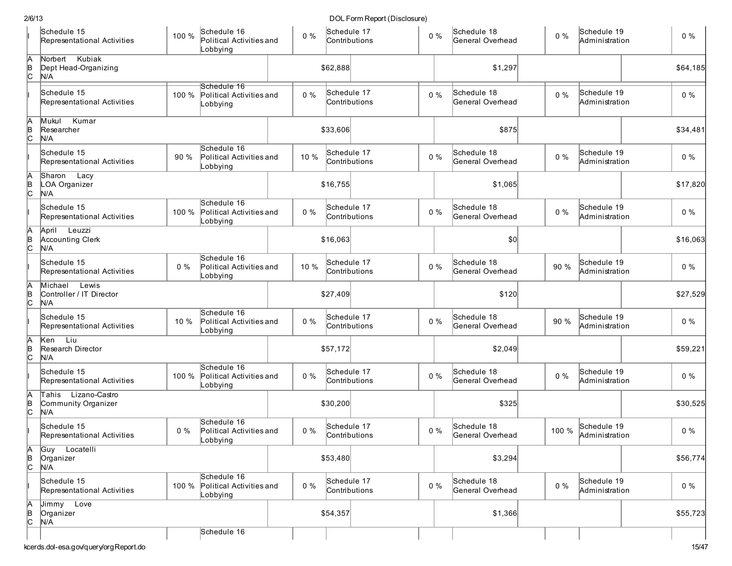| Schedule 15<br>Schedule 17<br>Schedule 19<br>Schedule 16<br>Schedule 18<br>100 %<br>$0\%$<br>$0\%$<br>$0\%$<br>$0\%$<br>Political Activities and<br>Representational Activities<br>Contributions<br>General Overhead<br>Administration<br>Lobbying<br>Norbert Kubiak<br>\$1,297<br>Dept Head-Organizing<br>\$62,888<br>N/A<br>Schedule 16<br>Schedule 18<br>Schedule 19<br>Schedule 15<br>Schedule 17<br>$0\%$<br>$0\%$<br>$0\%$<br>100 %<br>$0\%$<br>Political Activities and<br>General Overhead<br>Contributions<br>Administration<br>Representational Activities<br>_obbying<br>Kumar<br>Mukul<br>A<br>B<br>C<br>Researcher<br>\$33,606<br>\$875<br>N/A<br>Schedule 16<br>Schedule 17<br>Schedule 19<br>Schedule 15<br>Schedule 18<br>10 %<br>$0\%$<br>$0\%$<br>90 %<br>Political Activities and<br>$0\%$<br>Representational Activities<br>Contributions<br>General Overhead<br>Administration<br>_obbying<br>Sharon Lacy<br>h<br>LOA Organizer<br>\$1,065<br>\$16,755<br>N/A<br>Schedule 16<br>Schedule 17<br>Schedule 18<br>Schedule 19<br>Schedule 15<br>$0\%$<br>$0\%$<br>$0\%$<br>$0\%$<br>100 %<br>Political Activities and<br>Representational Activities<br>Contributions<br>General Overhead<br>Administration<br>_obbying<br>Leuzzi<br>A<br>April<br><b>Accounting Clerk</b><br>\$16,063<br>\$0<br>N/A<br>Schedule 16<br>Schedule 15<br>Schedule 17<br>Schedule 18<br>Schedule 19<br>$0\%$<br>10 %<br>90 %<br>$0\%$<br>$0\%$<br>Political Activities and<br>Representational Activities<br>Contributions<br>General Overhead<br>Administration<br>_obbying<br>A<br>Michael<br>Lewis<br>Controller / IT Director<br>\$27,409<br>\$120<br>N/A<br>Schedule 16<br>Schedule 15<br>Schedule 17<br>Schedule 18<br>Schedule 19<br>$0\%$<br>$0\%$<br>90 %<br>10 %<br>$0\%$<br>Political Activities and<br>Representational Activities<br>Contributions<br>General Overhead<br>Administration<br>_obbying<br>Liu<br>A<br>Ken<br>Research Director<br>\$57,172<br>\$2,049<br>N/A<br>Schedule 16<br>Schedule 19<br>Schedule 15<br>Schedule 17<br>Schedule 18<br>$0\%$<br>$0\%$<br>$0\%$<br>Political Activities and<br>$0\%$<br>100 %<br>Representational Activities<br>Contributions<br>General Overhead<br>Administration<br>Lobbying<br>Tahis Lizano-Castro<br>A<br>∣e<br> C<br>Community Organizer<br>\$30,200<br>\$325<br>N/A<br>Schedule 16<br>Schedule 17<br>Schedule 18<br>Schedule 19<br>Schedule 15<br>100 %<br>$0\%$<br>$0\%$<br>$0\%$<br>Political Activities and<br>$0\%$<br>Administration<br>Contributions<br>General Overhead<br>Representational Activities<br>Lobbying<br>Locatelli<br>A<br>B<br>C<br> Guy<br>\$3,294<br>\$53,480<br>Organizer<br>N/A<br>Schedule 16<br>Schedule 18<br>Schedule 15<br>Schedule 17<br>Schedule 19<br>$0\%$<br>$0\%$<br>$0\%$<br>100 % Political Activities and<br>$0\%$<br>Contributions<br>General Overhead<br>Representational Activities<br>Administration<br>Lobbying<br>$A$<br>$B$<br>$C$<br>Jimmy Love<br>\$54,357<br>\$1,366<br>Organizer<br>N/A<br>Schedule 16 | 2/6/13      |  |  | DOL Form Report (Disclosure) |  |  |  |          |
|----------------------------------------------------------------------------------------------------------------------------------------------------------------------------------------------------------------------------------------------------------------------------------------------------------------------------------------------------------------------------------------------------------------------------------------------------------------------------------------------------------------------------------------------------------------------------------------------------------------------------------------------------------------------------------------------------------------------------------------------------------------------------------------------------------------------------------------------------------------------------------------------------------------------------------------------------------------------------------------------------------------------------------------------------------------------------------------------------------------------------------------------------------------------------------------------------------------------------------------------------------------------------------------------------------------------------------------------------------------------------------------------------------------------------------------------------------------------------------------------------------------------------------------------------------------------------------------------------------------------------------------------------------------------------------------------------------------------------------------------------------------------------------------------------------------------------------------------------------------------------------------------------------------------------------------------------------------------------------------------------------------------------------------------------------------------------------------------------------------------------------------------------------------------------------------------------------------------------------------------------------------------------------------------------------------------------------------------------------------------------------------------------------------------------------------------------------------------------------------------------------------------------------------------------------------------------------------------------------------------------------------------------------------------------------------------------------------------------------------------------------------------------------------------------------------------------------------------------------------------------------------------------------------------------------------------------------------------------------------------------------------------------|-------------|--|--|------------------------------|--|--|--|----------|
|                                                                                                                                                                                                                                                                                                                                                                                                                                                                                                                                                                                                                                                                                                                                                                                                                                                                                                                                                                                                                                                                                                                                                                                                                                                                                                                                                                                                                                                                                                                                                                                                                                                                                                                                                                                                                                                                                                                                                                                                                                                                                                                                                                                                                                                                                                                                                                                                                                                                                                                                                                                                                                                                                                                                                                                                                                                                                                                                                                                                                            |             |  |  |                              |  |  |  |          |
|                                                                                                                                                                                                                                                                                                                                                                                                                                                                                                                                                                                                                                                                                                                                                                                                                                                                                                                                                                                                                                                                                                                                                                                                                                                                                                                                                                                                                                                                                                                                                                                                                                                                                                                                                                                                                                                                                                                                                                                                                                                                                                                                                                                                                                                                                                                                                                                                                                                                                                                                                                                                                                                                                                                                                                                                                                                                                                                                                                                                                            | A<br>B<br>C |  |  |                              |  |  |  | \$64,185 |
|                                                                                                                                                                                                                                                                                                                                                                                                                                                                                                                                                                                                                                                                                                                                                                                                                                                                                                                                                                                                                                                                                                                                                                                                                                                                                                                                                                                                                                                                                                                                                                                                                                                                                                                                                                                                                                                                                                                                                                                                                                                                                                                                                                                                                                                                                                                                                                                                                                                                                                                                                                                                                                                                                                                                                                                                                                                                                                                                                                                                                            |             |  |  |                              |  |  |  |          |
|                                                                                                                                                                                                                                                                                                                                                                                                                                                                                                                                                                                                                                                                                                                                                                                                                                                                                                                                                                                                                                                                                                                                                                                                                                                                                                                                                                                                                                                                                                                                                                                                                                                                                                                                                                                                                                                                                                                                                                                                                                                                                                                                                                                                                                                                                                                                                                                                                                                                                                                                                                                                                                                                                                                                                                                                                                                                                                                                                                                                                            |             |  |  |                              |  |  |  | \$34,481 |
|                                                                                                                                                                                                                                                                                                                                                                                                                                                                                                                                                                                                                                                                                                                                                                                                                                                                                                                                                                                                                                                                                                                                                                                                                                                                                                                                                                                                                                                                                                                                                                                                                                                                                                                                                                                                                                                                                                                                                                                                                                                                                                                                                                                                                                                                                                                                                                                                                                                                                                                                                                                                                                                                                                                                                                                                                                                                                                                                                                                                                            |             |  |  |                              |  |  |  |          |
|                                                                                                                                                                                                                                                                                                                                                                                                                                                                                                                                                                                                                                                                                                                                                                                                                                                                                                                                                                                                                                                                                                                                                                                                                                                                                                                                                                                                                                                                                                                                                                                                                                                                                                                                                                                                                                                                                                                                                                                                                                                                                                                                                                                                                                                                                                                                                                                                                                                                                                                                                                                                                                                                                                                                                                                                                                                                                                                                                                                                                            | B<br> C     |  |  |                              |  |  |  | \$17,820 |
|                                                                                                                                                                                                                                                                                                                                                                                                                                                                                                                                                                                                                                                                                                                                                                                                                                                                                                                                                                                                                                                                                                                                                                                                                                                                                                                                                                                                                                                                                                                                                                                                                                                                                                                                                                                                                                                                                                                                                                                                                                                                                                                                                                                                                                                                                                                                                                                                                                                                                                                                                                                                                                                                                                                                                                                                                                                                                                                                                                                                                            |             |  |  |                              |  |  |  |          |
|                                                                                                                                                                                                                                                                                                                                                                                                                                                                                                                                                                                                                                                                                                                                                                                                                                                                                                                                                                                                                                                                                                                                                                                                                                                                                                                                                                                                                                                                                                                                                                                                                                                                                                                                                                                                                                                                                                                                                                                                                                                                                                                                                                                                                                                                                                                                                                                                                                                                                                                                                                                                                                                                                                                                                                                                                                                                                                                                                                                                                            | B<br>C      |  |  |                              |  |  |  | \$16,063 |
|                                                                                                                                                                                                                                                                                                                                                                                                                                                                                                                                                                                                                                                                                                                                                                                                                                                                                                                                                                                                                                                                                                                                                                                                                                                                                                                                                                                                                                                                                                                                                                                                                                                                                                                                                                                                                                                                                                                                                                                                                                                                                                                                                                                                                                                                                                                                                                                                                                                                                                                                                                                                                                                                                                                                                                                                                                                                                                                                                                                                                            |             |  |  |                              |  |  |  |          |
|                                                                                                                                                                                                                                                                                                                                                                                                                                                                                                                                                                                                                                                                                                                                                                                                                                                                                                                                                                                                                                                                                                                                                                                                                                                                                                                                                                                                                                                                                                                                                                                                                                                                                                                                                                                                                                                                                                                                                                                                                                                                                                                                                                                                                                                                                                                                                                                                                                                                                                                                                                                                                                                                                                                                                                                                                                                                                                                                                                                                                            | B<br>C      |  |  |                              |  |  |  | \$27,529 |
|                                                                                                                                                                                                                                                                                                                                                                                                                                                                                                                                                                                                                                                                                                                                                                                                                                                                                                                                                                                                                                                                                                                                                                                                                                                                                                                                                                                                                                                                                                                                                                                                                                                                                                                                                                                                                                                                                                                                                                                                                                                                                                                                                                                                                                                                                                                                                                                                                                                                                                                                                                                                                                                                                                                                                                                                                                                                                                                                                                                                                            |             |  |  |                              |  |  |  |          |
|                                                                                                                                                                                                                                                                                                                                                                                                                                                                                                                                                                                                                                                                                                                                                                                                                                                                                                                                                                                                                                                                                                                                                                                                                                                                                                                                                                                                                                                                                                                                                                                                                                                                                                                                                                                                                                                                                                                                                                                                                                                                                                                                                                                                                                                                                                                                                                                                                                                                                                                                                                                                                                                                                                                                                                                                                                                                                                                                                                                                                            | в<br> С     |  |  |                              |  |  |  | \$59,221 |
|                                                                                                                                                                                                                                                                                                                                                                                                                                                                                                                                                                                                                                                                                                                                                                                                                                                                                                                                                                                                                                                                                                                                                                                                                                                                                                                                                                                                                                                                                                                                                                                                                                                                                                                                                                                                                                                                                                                                                                                                                                                                                                                                                                                                                                                                                                                                                                                                                                                                                                                                                                                                                                                                                                                                                                                                                                                                                                                                                                                                                            |             |  |  |                              |  |  |  |          |
|                                                                                                                                                                                                                                                                                                                                                                                                                                                                                                                                                                                                                                                                                                                                                                                                                                                                                                                                                                                                                                                                                                                                                                                                                                                                                                                                                                                                                                                                                                                                                                                                                                                                                                                                                                                                                                                                                                                                                                                                                                                                                                                                                                                                                                                                                                                                                                                                                                                                                                                                                                                                                                                                                                                                                                                                                                                                                                                                                                                                                            |             |  |  |                              |  |  |  | \$30,525 |
|                                                                                                                                                                                                                                                                                                                                                                                                                                                                                                                                                                                                                                                                                                                                                                                                                                                                                                                                                                                                                                                                                                                                                                                                                                                                                                                                                                                                                                                                                                                                                                                                                                                                                                                                                                                                                                                                                                                                                                                                                                                                                                                                                                                                                                                                                                                                                                                                                                                                                                                                                                                                                                                                                                                                                                                                                                                                                                                                                                                                                            |             |  |  |                              |  |  |  |          |
|                                                                                                                                                                                                                                                                                                                                                                                                                                                                                                                                                                                                                                                                                                                                                                                                                                                                                                                                                                                                                                                                                                                                                                                                                                                                                                                                                                                                                                                                                                                                                                                                                                                                                                                                                                                                                                                                                                                                                                                                                                                                                                                                                                                                                                                                                                                                                                                                                                                                                                                                                                                                                                                                                                                                                                                                                                                                                                                                                                                                                            |             |  |  |                              |  |  |  | \$56,774 |
|                                                                                                                                                                                                                                                                                                                                                                                                                                                                                                                                                                                                                                                                                                                                                                                                                                                                                                                                                                                                                                                                                                                                                                                                                                                                                                                                                                                                                                                                                                                                                                                                                                                                                                                                                                                                                                                                                                                                                                                                                                                                                                                                                                                                                                                                                                                                                                                                                                                                                                                                                                                                                                                                                                                                                                                                                                                                                                                                                                                                                            |             |  |  |                              |  |  |  |          |
|                                                                                                                                                                                                                                                                                                                                                                                                                                                                                                                                                                                                                                                                                                                                                                                                                                                                                                                                                                                                                                                                                                                                                                                                                                                                                                                                                                                                                                                                                                                                                                                                                                                                                                                                                                                                                                                                                                                                                                                                                                                                                                                                                                                                                                                                                                                                                                                                                                                                                                                                                                                                                                                                                                                                                                                                                                                                                                                                                                                                                            |             |  |  |                              |  |  |  | \$55,723 |
| kcerds.dol-esa.gov/query/orgReport.do                                                                                                                                                                                                                                                                                                                                                                                                                                                                                                                                                                                                                                                                                                                                                                                                                                                                                                                                                                                                                                                                                                                                                                                                                                                                                                                                                                                                                                                                                                                                                                                                                                                                                                                                                                                                                                                                                                                                                                                                                                                                                                                                                                                                                                                                                                                                                                                                                                                                                                                                                                                                                                                                                                                                                                                                                                                                                                                                                                                      |             |  |  |                              |  |  |  | 15/47    |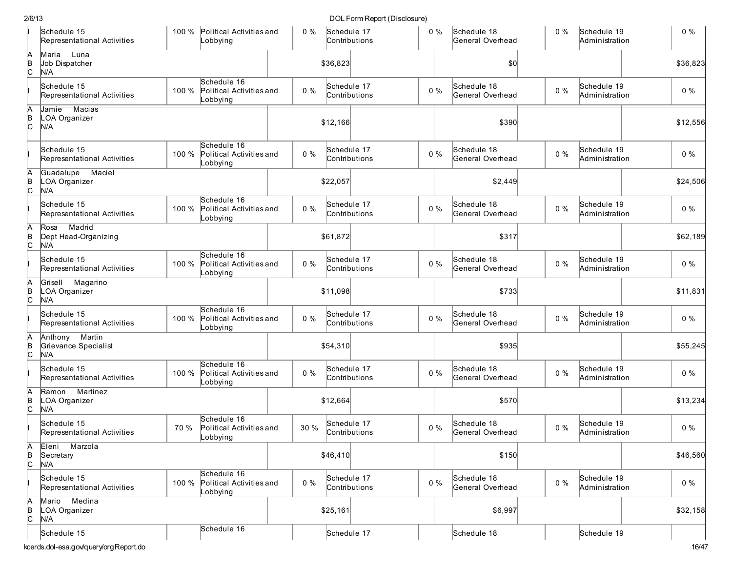| 2/6/13      |                                               |       |                                                           |       |                              | DOL Form Report (Disclosure) |       |                                 |       |                               |          |
|-------------|-----------------------------------------------|-------|-----------------------------------------------------------|-------|------------------------------|------------------------------|-------|---------------------------------|-------|-------------------------------|----------|
|             | Schedule 15<br>Representational Activities    |       | 100 % Political Activities and<br>_obbying                | 0%    | Schedule 17<br>Contributions |                              | $0\%$ | Schedule 18<br>General Overhead | $0\%$ | Schedule 19<br>Administration | $0\%$    |
| A<br>C.     | Luna<br>Maria<br>Job Dispatcher<br>N/A        |       |                                                           |       | \$36,823                     |                              |       | \$0 <sub>0</sub>                |       |                               | \$36,823 |
|             | Schedule 15<br>Representational Activities    | 100 % | Schedule 16<br>Political Activities and<br>_obbying       | $0\%$ | Schedule 17<br>Contributions |                              | $0\%$ | Schedule 18<br>General Overhead | $0\%$ | Schedule 19<br>Administration | $0\%$    |
| A           | Jamie Macias<br>.OA Organizer<br>N/A          |       |                                                           |       | \$12,166                     |                              |       | \$390                           |       |                               | \$12,556 |
|             | Schedule 15<br>Representational Activities    | 100 % | Schedule 16<br>Political Activities and<br>Lobbying       | $0\%$ | Schedule 17<br>Contributions |                              | $0\%$ | Schedule 18<br>General Overhead | $0\%$ | Schedule 19<br>Administration | $0\%$    |
|             | Maciel<br>Guadalupe<br>LOA Organizer<br>N/A   |       |                                                           |       | \$22,057                     |                              |       | \$2,449                         |       |                               | \$24,506 |
|             | Schedule 15<br>Representational Activities    | 100 % | Schedule 16<br>Political Activities and<br>Lobbying       | $0\%$ | Schedule 17<br>Contributions |                              | $0\%$ | Schedule 18<br>General Overhead | $0\%$ | Schedule 19<br>Administration | $0\%$    |
| А           | Madrid<br>Rosa<br>Dept Head-Organizing<br>N/A |       |                                                           |       | \$61,872                     |                              |       | \$317                           |       |                               | \$62,189 |
|             | Schedule 15<br>Representational Activities    | 100 % | Schedule 16<br>Political Activities and<br>Lobbying       | $0\%$ | Schedule 17<br>Contributions |                              | $0\%$ | Schedule 18<br>General Overhead | $0\%$ | Schedule 19<br>Administration | $0\%$    |
| A           | Grisell Magarino<br>LOA Organizer<br>N/A      |       |                                                           |       | \$11,098                     |                              |       | \$733                           |       |                               | \$11,831 |
|             | Schedule 15<br>Representational Activities    | 100 % | Schedule 16<br>Political Activities and<br>_obbying       | $0\%$ | Schedule 17<br>Contributions |                              | $0\%$ | Schedule 18<br>General Overhead | $0\%$ | Schedule 19<br>Administration | $0\%$    |
| A<br>C.     | Anthony Martin<br>Grievance Specialist<br>N/A |       |                                                           |       | \$54,310                     |                              |       | \$935                           |       |                               | \$55,245 |
|             | Schedule 15<br>Representational Activities    | 100 % | Schedule 16<br>Political Activities and<br>Lobbying       | $0\%$ | Schedule 17<br>Contributions |                              | $0\%$ | Schedule 18<br>General Overhead | $0\%$ | Schedule 19<br>Administration | $0\%$    |
| A<br>B<br>С | Ramon Martinez<br><b>OA Organizer</b><br>N/A  |       |                                                           |       | \$12,664                     |                              |       | \$570                           |       |                               | \$13,234 |
|             | Schedule 15<br>Representational Activities    |       | Schedule 16<br>70 % Political Activities and<br>Lobbying  | 30 %  | Schedule 17                  | Contributions                | $0\%$ | Schedule 18<br>General Overhead | $0\%$ | Schedule 19<br>Administration | $0\%$    |
| A<br>B<br>С | Marzola<br>Eleni<br>Secretary<br>N/A          |       |                                                           |       | \$46,410                     |                              |       | \$150                           |       |                               | \$46,560 |
|             | Schedule 15<br>Representational Activities    |       | Schedule 16<br>100 % Political Activities and<br>_obbying | $0\%$ | Schedule 17<br>Contributions |                              | $0\%$ | Schedule 18<br>General Overhead | $0\%$ | Schedule 19<br>Administration | $0\%$    |
| A<br>B<br>С | Medina<br>Mario<br>LOA Organizer<br>N/A       |       |                                                           |       | \$25,161                     |                              |       | \$6,997                         |       |                               | \$32,158 |
|             | Schedule 15                                   |       | Schedule 16                                               |       | Schedule 17                  |                              |       | Schedule 18                     |       | Schedule 19                   |          |
|             | cerds.dol-esa.gov/query/orgReport.do          |       |                                                           |       |                              |                              |       |                                 |       |                               | 16/47    |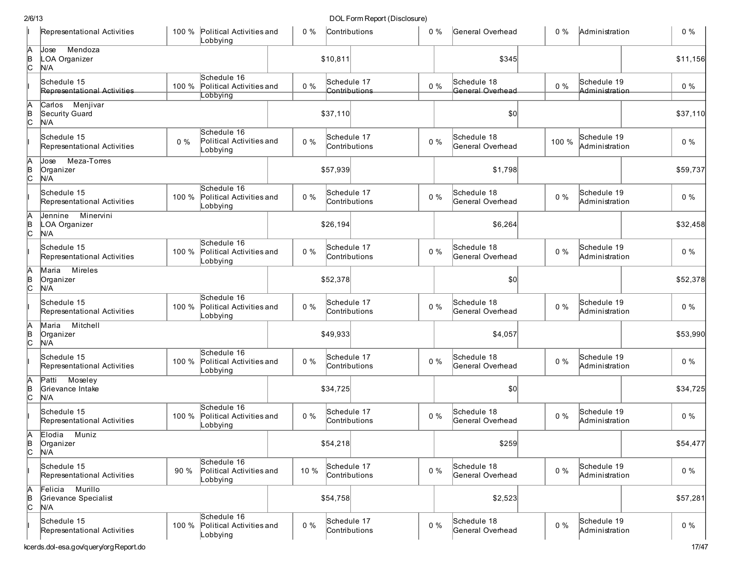|                       | Representational Activities                    | 100 % | Political Activities and<br>Lobbying                | $0\%$ |          | Contributions                | $0\%$ | General Overhead                | $0\%$ | Administration                | $0\%$ |          |
|-----------------------|------------------------------------------------|-------|-----------------------------------------------------|-------|----------|------------------------------|-------|---------------------------------|-------|-------------------------------|-------|----------|
| A<br>B<br>c           | Mendoza<br>Jose<br>LOA Organizer<br>N/A        |       |                                                     |       | \$10,811 |                              |       | \$345                           |       |                               |       | \$11,156 |
|                       | Schedule 15<br>Representational Activities     | 100 % | Schedule 16<br>Political Activities and<br>Lobbying | $0\%$ |          | Schedule 17<br>Contributions | $0\%$ | Schedule 18<br>General Overhead | $0\%$ | Schedule 19<br>Administration | $0\%$ |          |
| A<br>B<br>C           | Carlos Menjivar<br>Security Guard<br>N/A       |       |                                                     |       | \$37,110 |                              |       | \$0                             |       |                               |       | \$37,110 |
|                       | Schedule 15<br>Representational Activities     | 0%    | Schedule 16<br>Political Activities and<br>Lobbying | $0\%$ |          | Schedule 17<br>Contributions | $0\%$ | Schedule 18<br>General Overhead | 100 % | Schedule 19<br>Administration | $0\%$ |          |
| A<br>þ<br>c           | Meza-Torres<br>Jose<br>Organizer<br>N/A        |       |                                                     |       | \$57,939 |                              |       | \$1,798                         |       |                               |       | \$59,737 |
|                       | Schedule 15<br>Representational Activities     | 100 % | Schedule 16<br>Political Activities and<br>Lobbying | $0\%$ |          | Schedule 17<br>Contributions | $0\%$ | Schedule 18<br>General Overhead | $0\%$ | Schedule 19<br>Administration | $0\%$ |          |
| A<br>B<br>C           | Minervini<br>Jennine<br>LOA Organizer<br>N/A   |       |                                                     |       | \$26,194 |                              |       | \$6,264                         |       |                               |       | \$32,458 |
|                       | Schedule 15<br>Representational Activities     | 100 % | Schedule 16<br>Political Activities and<br>Lobbying | $0\%$ |          | Schedule 17<br>Contributions | $0\%$ | Schedule 18<br>General Overhead | $0\%$ | Schedule 19<br>Administration | $0\%$ |          |
| A<br>Þ<br>c           | <b>Mireles</b><br>Maria<br>Organizer<br>N/A    |       |                                                     |       | \$52,378 |                              |       | \$0                             |       |                               |       | \$52,378 |
|                       | Schedule 15<br>Representational Activities     | 100 % | Schedule 16<br>Political Activities and<br>Lobbying | $0\%$ |          | Schedule 17<br>Contributions | $0\%$ | Schedule 18<br>General Overhead | $0\%$ | Schedule 19<br>Administration | $0\%$ |          |
| A<br> в<br> С         | Mitchell<br>Maria<br>Organizer<br>N/A          |       |                                                     |       | \$49,933 |                              |       | \$4,057                         |       |                               |       | \$53,990 |
|                       | Schedule 15<br>Representational Activities     | 100 % | Schedule 16<br>Political Activities and<br>Lobbying | $0\%$ |          | Schedule 17<br>Contributions | $0\%$ | Schedule 18<br>General Overhead | $0\%$ | Schedule 19<br>Administration | $0\%$ |          |
| A<br>B<br>C           | Moseley<br>Patti<br>Grievance Intake<br>N/A    |       |                                                     |       | \$34,725 |                              |       | \$0                             |       |                               |       | \$34,725 |
|                       | Schedule 15<br>Representational Activities     | 100 % | Schedule 16<br>Political Activities and<br>Lobbying | $0\%$ |          | Schedule 17<br>Contributions | $0\%$ | Schedule 18<br>General Overhead | $0\%$ | Schedule 19<br>Administration | $0\%$ |          |
| lA.<br>$\overline{c}$ | Elodia<br>Muniz<br>Organizer<br>N/A            |       |                                                     |       | \$54,218 |                              |       | \$259                           |       |                               |       | \$54,477 |
|                       | Schedule 15<br>Representational Activities     | 90 %  | Schedule 16<br>Political Activities and<br>Lobbying | 10 %  |          | Schedule 17<br>Contributions | $0\%$ | Schedule 18<br>General Overhead | $0\%$ | Schedule 19<br>Administration | $0\%$ |          |
| A<br>B<br>C           | Felicia Murillo<br>Grievance Specialist<br>N/A |       |                                                     |       | \$54,758 |                              |       | \$2,523                         |       |                               |       | \$57,281 |
|                       | Schedule 15<br>Representational Activities     | 100 % | Schedule 16<br>Political Activities and<br>Lobbying | $0\%$ |          | Schedule 17<br>Contributions | $0\%$ | Schedule 18<br>General Overhead | $0\%$ | Schedule 19<br>Administration | $0\%$ |          |
|                       | kcerds.dol-esa.gov/query/orgReport.do          |       |                                                     |       |          |                              |       |                                 |       |                               |       | 17/47    |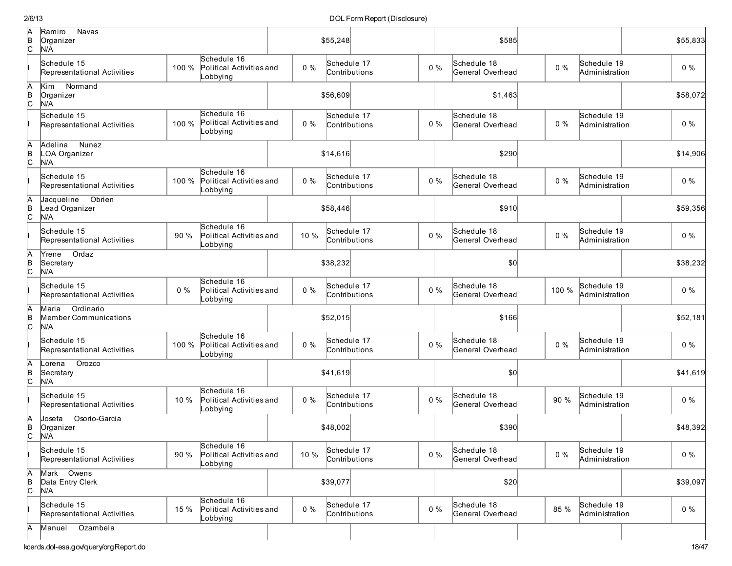| A<br>B<br>C         | <b>Navas</b><br>Ramiro<br>Organizer<br>N/A         |       |                                                     |       | \$55,248    |                              |       | \$585                           |       |                               | \$55,833 |
|---------------------|----------------------------------------------------|-------|-----------------------------------------------------|-------|-------------|------------------------------|-------|---------------------------------|-------|-------------------------------|----------|
|                     | Schedule 15<br>Representational Activities         | 100 % | Schedule 16<br>Political Activities and<br>Lobbying | $0\%$ | Schedule 17 | Contributions                | $0\%$ | Schedule 18<br>General Overhead | $0\%$ | Schedule 19<br>Administration | $0\%$    |
| $\frac{A}{C}$       | Kim<br>Normand<br>Organizer<br>N/A                 |       |                                                     |       | \$56,609    |                              |       | \$1,463                         |       |                               | \$58,072 |
|                     | Schedule 15<br>Representational Activities         | 100 % | Schedule 16<br>Political Activities and<br>Lobbying | $0\%$ |             | Schedule 17<br>Contributions | $0\%$ | Schedule 18<br>General Overhead | $0\%$ | Schedule 19<br>Administration | $0\%$    |
| A<br> в<br> С       | <b>Nunez</b><br>Adelina<br>LOA Organizer<br>N/A    |       |                                                     |       | \$14,616    |                              |       | \$290                           |       |                               | \$14,906 |
|                     | Schedule 15<br>Representational Activities         | 100 % | Schedule 16<br>Political Activities and<br>Lobbying | $0\%$ | Schedule 17 | Contributions                | $0\%$ | Schedule 18<br>General Overhead | $0\%$ | Schedule 19<br>Administration | $0\%$    |
| A<br>B<br>C         | Jacqueline<br>Obrien<br>Lead Organizer<br>N/A      |       |                                                     |       | \$58,446    |                              |       | \$910                           |       |                               | \$59,356 |
|                     | Schedule 15<br>Representational Activities         | 90 %  | Schedule 16<br>Political Activities and<br>Lobbying | 10 %  |             | Schedule 17<br>Contributions | $0\%$ | Schedule 18<br>General Overhead | $0\%$ | Schedule 19<br>Administration | $0\%$    |
| A<br>B<br>C         | Ordaz<br>Yrene<br>Secretary<br>N/A                 |       |                                                     |       | \$38,232    |                              |       | \$0                             |       |                               | \$38,232 |
|                     | Schedule 15<br>Representational Activities         | $0\%$ | Schedule 16<br>Political Activities and<br>Lobbying | $0\%$ | Schedule 17 | Contributions                | $0\%$ | Schedule 18<br>General Overhead | 100 % | Schedule 19<br>Administration | $0\%$    |
| A<br>B<br>C         | Ordinario<br>Maria<br>Member Communications<br>N/A |       |                                                     |       | \$52,015    |                              |       | \$166                           |       |                               | \$52,181 |
|                     | Schedule 15<br>Representational Activities         | 100 % | Schedule 16<br>Political Activities and<br>Lobbying | $0\%$ | Schedule 17 | Contributions                | $0\%$ | Schedule 18<br>General Overhead | $0\%$ | Schedule 19<br>Administration | $0\%$    |
| Ā<br> в<br> С       | Orozco<br>Lorena<br>Secretary<br>N/A               |       |                                                     |       | \$41,619    |                              |       | \$0                             |       |                               | \$41,619 |
|                     | Schedule 15<br>Representational Activities         | 10 %  | Schedule 16<br>Political Activities and<br>Lobbying | $0\%$ | Schedule 17 | Contributions                | $0\%$ | Schedule 18<br>General Overhead | 90 %  | Schedule 19<br>Administration | $0\%$    |
| IA<br>$\frac{B}{C}$ | Josefa<br>Osorio-Garcia<br>Organizer<br>N/A        |       |                                                     |       | \$48,002    |                              |       | \$390                           |       |                               | \$48,392 |
|                     | Schedule 15<br>Representational Activities         | 90%   | Schedule 16<br>Political Activities and<br>Lobbying | 10 %  |             | Schedule 17<br>Contributions | $0\%$ | Schedule 18<br>General Overhead | $0\%$ | Schedule 19<br>Administration | $0\%$    |
| Ā<br>$\overline{c}$ | Mark Owens<br>Data Entry Clerk<br>N/A              |       |                                                     |       | \$39,077    |                              |       | \$20                            |       |                               | \$39,097 |
|                     | Schedule 15<br>Representational Activities         | 15%   | Schedule 16<br>Political Activities and<br>Lobbying | $0\%$ |             | Schedule 17<br>Contributions | $0\%$ | Schedule 18<br>General Overhead | 85 %  | Schedule 19<br>Administration | $0\%$    |
| IА                  | Ozambela<br>Manuel                                 |       |                                                     |       |             |                              |       |                                 |       |                               |          |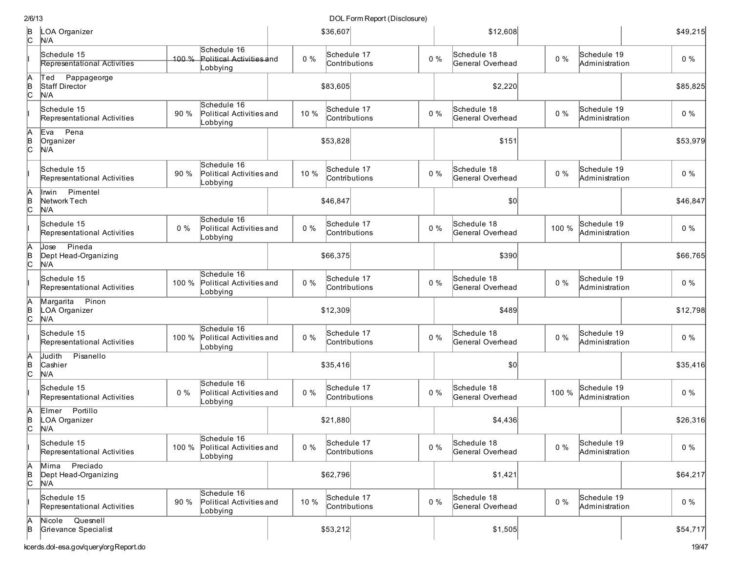| 2/6/13               |                                               |       |                                                     |       | DOL Form Report (Disclosure) |       |                                 |       |                               |          |
|----------------------|-----------------------------------------------|-------|-----------------------------------------------------|-------|------------------------------|-------|---------------------------------|-------|-------------------------------|----------|
| þ<br>lc.             | LOA Organizer<br>N/A                          |       |                                                     |       | \$36,607                     |       | \$12,608                        |       |                               | \$49,215 |
|                      | Schedule 15<br>Representational Activities    | 100%  | Schedule 16<br>Political Activities and<br>Lobbying | $0\%$ | Schedule 17<br>Contributions | $0\%$ | Schedule 18<br>General Overhead | $0\%$ | Schedule 19<br>Administration | $0\%$    |
| A<br>B<br>C          | Pappageorge<br>Ted<br>Staff Director<br>N/A   |       |                                                     |       | \$83,605                     |       | \$2,220                         |       |                               | \$85,825 |
|                      | Schedule 15<br>Representational Activities    | 90 %  | Schedule 16<br>Political Activities and<br>Lobbying | 10 %  | Schedule 17<br>Contributions | $0\%$ | Schedule 18<br>General Overhead | $0\%$ | Schedule 19<br>Administration | $0\%$    |
| A<br>B<br>C          | Pena<br>Eva<br>Organizer<br>N/A               |       |                                                     |       | \$53,828                     |       | \$151                           |       |                               | \$53,979 |
|                      | Schedule 15<br>Representational Activities    | 90 %  | Schedule 16<br>Political Activities and<br>Lobbying | 10 %  | Schedule 17<br>Contributions | $0\%$ | Schedule 18<br>General Overhead | $0\%$ | Schedule 19<br>Administration | $0\%$    |
| A<br>╞<br><b></b>    | Pimentel<br>llrwin<br>Network Tech<br>N/A     |       |                                                     |       | \$46,847                     |       | \$0                             |       |                               | \$46,847 |
|                      | Schedule 15<br>Representational Activities    | $0\%$ | Schedule 16<br>Political Activities and<br>Lobbying | 0%    | Schedule 17<br>Contributions | $0\%$ | Schedule 18<br>General Overhead | 100 % | Schedule 19<br>Administration | $0\%$    |
| A<br>$\overline{c}$  | Pineda<br>Jose<br>Dept Head-Organizing<br>N/A |       |                                                     |       | \$66,375                     |       | \$390                           |       |                               | \$66,765 |
|                      | Schedule 15<br>Representational Activities    | 100 % | Schedule 16<br>Political Activities and<br>Lobbying | $0\%$ | Schedule 17<br>Contributions | $0\%$ | Schedule 18<br>General Overhead | $0\%$ | Schedule 19<br>Administration | $0\%$    |
| A<br>B<br>C          | Margarita Pinon<br>LOA Organizer<br>N/A       |       |                                                     |       | \$12,309                     |       | \$489                           |       |                               | \$12,798 |
|                      | Schedule 15<br>Representational Activities    | 100 % | Schedule 16<br>Political Activities and<br>Lobbying | 0%    | Schedule 17<br>Contributions | $0\%$ | Schedule 18<br>General Overhead | $0\%$ | Schedule 19<br>Administration | $0\%$    |
| A<br>$\overline{c}$  | Pisanello<br>Judith<br>Cashier<br>N/A         |       |                                                     |       | \$35,416                     |       | \$0                             |       |                               | \$35,416 |
|                      | Schedule 15<br>Representational Activities    | $0\%$ | Schedule 16<br>Political Activities and<br>Lobbying | $0\%$ | Schedule 17<br>Contributions | $0\%$ | Schedule 18<br>General Overhead | 100 % | Schedule 19<br>Administration | $0\%$    |
| IA<br>$\overline{C}$ | Elmer Portillo<br>LOA Organizer<br>N/A        |       |                                                     |       | \$21,880                     |       | \$4,436                         |       |                               | \$26,316 |
|                      | Schedule 15<br>Representational Activities    | 100 % | Schedule 16<br>Political Activities and<br>Lobbying | $0\%$ | Schedule 17<br>Contributions | $0\%$ | Schedule 18<br>General Overhead | $0\%$ | Schedule 19<br>Administration | $0\%$    |
| А<br>$\overline{C}$  | Mima Preciado<br>Dept Head-Organizing<br>N/A  |       |                                                     |       | \$62,796                     |       | \$1,421                         |       |                               | \$64,217 |
|                      | Schedule 15<br>Representational Activities    | 90 %  | Schedule 16<br>Political Activities and<br>Lobbying | 10 %  | Schedule 17<br>Contributions | $0\%$ | Schedule 18<br>General Overhead | $0\%$ | Schedule 19<br>Administration | $0\%$    |
| А<br> B              | Nicole Quesnell<br>Grievance Specialist       |       |                                                     |       | \$53,212                     |       | \$1,505                         |       |                               | \$54,717 |

kcerds.dol-esa.gov/query/orgReport.do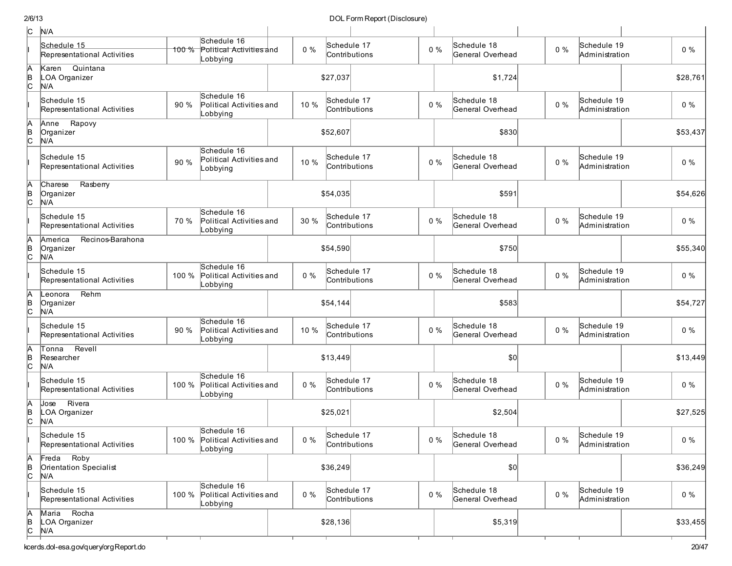| c                   | N/A                                             |       |                                                           |       |             |               |       |                                 |       |                               |          |
|---------------------|-------------------------------------------------|-------|-----------------------------------------------------------|-------|-------------|---------------|-------|---------------------------------|-------|-------------------------------|----------|
|                     | Schedule 15<br>Representational Activities      | 100 % | Schedule 16<br>Political Activities and<br>Lobbying       | $0\%$ | Schedule 17 | Contributions | $0\%$ | Schedule 18<br>General Overhead | $0\%$ | Schedule 19<br>Administration | $0\%$    |
| A<br>$\overline{C}$ | Quintana<br>Karen<br>LOA Organizer<br>N/A       |       |                                                           |       | \$27,037    |               |       | \$1,724                         |       |                               | \$28,761 |
|                     | Schedule 15<br>Representational Activities      | 90 %  | Schedule 16<br>Political Activities and<br>Lobbying       | 10 %  | Schedule 17 | Contributions | $0\%$ | Schedule 18<br>General Overhead | $0\%$ | Schedule 19<br>Administration | $0\%$    |
| A<br>B<br>C         | Rapovy<br>Anne<br>Organizer<br>N/A              |       |                                                           |       | \$52,607    |               |       | \$830                           |       |                               | \$53,437 |
|                     | Schedule 15<br>Representational Activities      | 90 %  | Schedule 16<br>Political Activities and<br>Lobbying       | 10 %  | Schedule 17 | Contributions | $0\%$ | Schedule 18<br>General Overhead | $0\%$ | Schedule 19<br>Administration | $0\%$    |
| A<br>B<br>c         | Charese<br>Rasberry<br>Organizer<br>N/A         |       |                                                           |       | \$54,035    |               |       | \$591                           |       |                               | \$54,626 |
|                     | Schedule 15<br>Representational Activities      | 70 %  | Schedule 16<br>Political Activities and<br>Lobbying       | 30 %  | Schedule 17 | Contributions | $0\%$ | Schedule 18<br>General Overhead | $0\%$ | Schedule 19<br>Administration | $0\%$    |
| A<br>þ<br>c         | America<br>Recinos-Barahona<br>Organizer<br>N/A |       |                                                           |       | \$54,590    |               |       | \$750                           |       |                               | \$55,340 |
|                     | Schedule 15<br>Representational Activities      | 100 % | Schedule 16<br>Political Activities and<br>Lobbying       | $0\%$ | Schedule 17 | Contributions | $0\%$ | Schedule 18<br>General Overhead | $0\%$ | Schedule 19<br>Administration | $0\%$    |
| A<br>B<br>c         | Rehm<br>Leonora<br>Organizer<br>N/A             |       |                                                           |       | \$54,144    |               |       | \$583                           |       |                               | \$54,727 |
|                     | Schedule 15<br>Representational Activities      | 90 %  | Schedule 16<br>Political Activities and<br>Lobbying       | 10 %  | Schedule 17 | Contributions | $0\%$ | Schedule 18<br>General Overhead | $0\%$ | Schedule 19<br>Administration | 0%       |
| A<br>B<br>C         | Revell<br>Tonna<br>Researcher<br>N/A            |       |                                                           |       | \$13,449    |               |       | \$0                             |       |                               | \$13,449 |
|                     | Schedule 15<br>Representational Activities      | 100 % | Schedule 16<br>Political Activities and<br>Lobbying       | $0\%$ | Schedule 17 | Contributions | $0\%$ | Schedule 18<br>General Overhead | $0\%$ | Schedule 19<br>Administration | $0\%$    |
| A<br>$\overline{c}$ | Rivera<br>Jose<br>LOA Organizer<br>N/A          |       |                                                           |       | \$25,021    |               |       | \$2,504                         |       |                               | \$27,525 |
|                     | Schedule 15<br>Representational Activities      |       | Schedule 16<br>100 % Political Activities and<br>Lobbying | $0\%$ | Schedule 17 | Contributions | $0\%$ | Schedule 18<br>General Overhead | $0\%$ | Schedule 19<br>Administration | $0\%$    |
| A<br>B<br>C         | Freda Roby<br>Orientation Specialist<br>N/A     |       |                                                           |       | \$36,249    |               |       | \$0]                            |       |                               | \$36,249 |
|                     | Schedule 15<br>Representational Activities      | 100 % | Schedule 16<br>Political Activities and<br>Lobbying       | $0\%$ | Schedule 17 | Contributions | $0\%$ | Schedule 18<br>General Overhead | $0\%$ | Schedule 19<br>Administration | $0\%$    |
| A<br>B<br>C         | Maria Rocha<br>LOA Organizer<br>N/A             |       |                                                           |       | \$28,136    |               |       | \$5,319                         |       |                               | \$33,455 |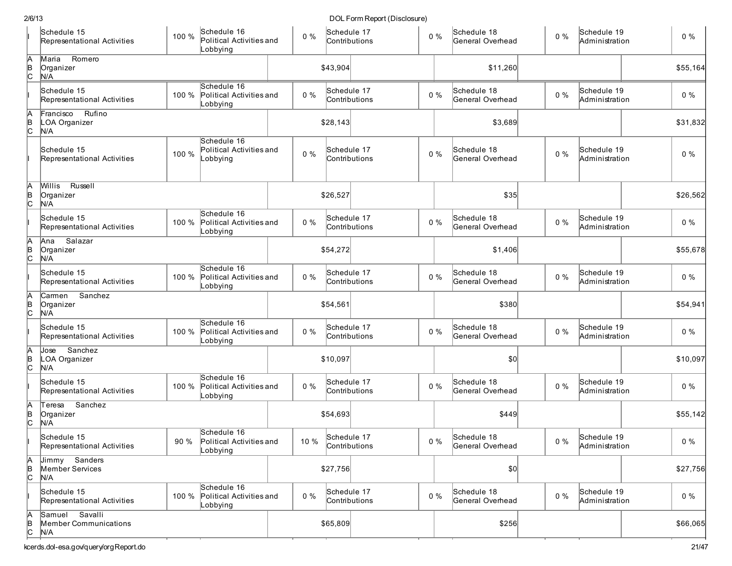| 2/6/13              |                                                |       |                                                     |       |          | DOL Form Report (Disclosure) |       |                                 |       |                               |          |
|---------------------|------------------------------------------------|-------|-----------------------------------------------------|-------|----------|------------------------------|-------|---------------------------------|-------|-------------------------------|----------|
|                     | Schedule 15<br>Representational Activities     | 100 % | Schedule 16<br>Political Activities and<br>Lobbying | $0\%$ |          | Schedule 17<br>Contributions | $0\%$ | Schedule 18<br>General Overhead | $0\%$ | Schedule 19<br>Administration | $0\%$    |
| A<br>B<br>C         | Romero<br>Maria<br>Organizer<br>N/A            |       |                                                     |       | \$43,904 |                              |       | \$11,260                        |       |                               | \$55,164 |
|                     | Schedule 15<br>Representational Activities     | 100 % | Schedule 16<br>Political Activities and<br>Lobbying | $0\%$ |          | Schedule 17<br>Contributions | $0\%$ | Schedule 18<br>General Overhead | $0\%$ | Schedule 19<br>Administration | $0\%$    |
| A<br>B<br>C         | Rufino<br>Francisco<br>LOA Organizer<br>N/A    |       |                                                     |       | \$28,143 |                              |       | \$3,689                         |       |                               | \$31,832 |
|                     | Schedule 15<br>Representational Activities     | 100 % | Schedule 16<br>Political Activities and<br>Lobbying | $0\%$ |          | Schedule 17<br>Contributions | $0\%$ | Schedule 18<br>General Overhead | $0\%$ | Schedule 19<br>Administration | $0\%$    |
| A<br>$\frac{B}{C}$  | Russell<br>Willis<br>Organizer<br>N/A          |       |                                                     |       | \$26,527 |                              |       | \$35                            |       |                               | \$26,562 |
|                     | Schedule 15<br>Representational Activities     | 100 % | Schedule 16<br>Political Activities and<br>Lobbying | $0\%$ |          | Schedule 17<br>Contributions | $0\%$ | Schedule 18<br>General Overhead | $0\%$ | Schedule 19<br>Administration | $0\%$    |
| A<br>B<br>C         | Salazar<br>Ana<br>Organizer<br>N/A             |       |                                                     |       | \$54,272 |                              |       | \$1,406                         |       |                               | \$55,678 |
|                     | Schedule 15<br>Representational Activities     | 100 % | Schedule 16<br>Political Activities and<br>Lobbying | $0\%$ |          | Schedule 17<br>Contributions | $0\%$ | Schedule 18<br>General Overhead | $0\%$ | Schedule 19<br>Administration | 0%       |
| Ā<br>B<br>C         | Sanchez<br>Carmen<br>Organizer<br>N/A          |       |                                                     |       | \$54,561 |                              |       | \$380                           |       |                               | \$54,941 |
|                     | Schedule 15<br>Representational Activities     | 100 % | Schedule 16<br>Political Activities and<br>Lobbying | $0\%$ |          | Schedule 17<br>Contributions | $0\%$ | Schedule 18<br>General Overhead | $0\%$ | Schedule 19<br>Administration | 0%       |
| A<br>B<br>C         | Sanchez<br>Jose<br>LOA Organizer<br>N/A        |       |                                                     |       | \$10,097 |                              |       | $ 10\rangle$                    |       |                               | \$10,097 |
|                     | Schedule 15<br>Representational Activities     | 100 % | Schedule 16<br>Political Activities and<br>Lobbying | $0\%$ |          | Schedule 17<br>Contributions | $0\%$ | Schedule 18<br>General Overhead | $0\%$ | Schedule 19<br>Administration | $0\%$    |
| Α<br>в<br>С         | Sanchez<br>Teresa<br>Organizer<br>N/A          |       |                                                     |       | \$54,693 |                              |       | \$449                           |       |                               | \$55,142 |
|                     | Schedule 15<br>Representational Activities     | 90 %  | Schedule 16<br>Political Activities and<br>Lobbying | 10 %  |          | Schedule 17<br>Contributions | $0\%$ | Schedule 18<br>General Overhead | $0\%$ | Schedule 19<br>Administration | $0\%$    |
| A<br>$\overline{a}$ | Jimmy Sanders<br>Member Services<br>N/A        |       |                                                     |       | \$27,756 |                              |       | $ 10\rangle$                    |       |                               | \$27,756 |
|                     | Schedule 15<br>Representational Activities     | 100 % | Schedule 16<br>Political Activities and<br>Lobbying | $0\%$ |          | Schedule 17<br>Contributions | $0\%$ | Schedule 18<br>General Overhead | $0\%$ | Schedule 19<br>Administration | $0\%$    |
| A<br>$\frac{B}{C}$  | Samuel Savalli<br>Member Communications<br>N/A |       |                                                     |       | \$65,809 |                              |       | \$256                           |       |                               | \$66,065 |
|                     | kcerds.dol-esa.gov/query/orgReport.do          |       |                                                     |       |          |                              |       |                                 |       |                               | 21/47    |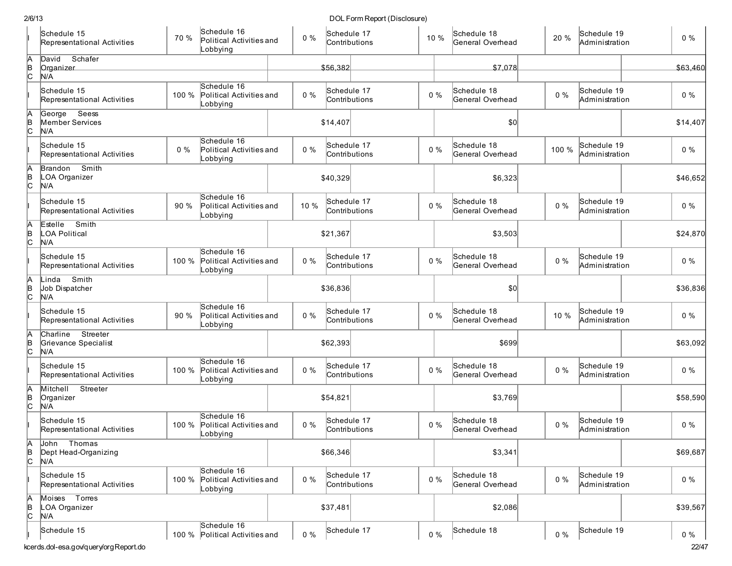| 2/6/13                                                             |                                                           |       |                              | DOL Form Report (Disclosure) |                                 |       |                               |                |
|--------------------------------------------------------------------|-----------------------------------------------------------|-------|------------------------------|------------------------------|---------------------------------|-------|-------------------------------|----------------|
| Schedule 15<br>70 %<br>Representational Activities                 | Schedule 16<br>Political Activities and<br>Lobbying       | $0\%$ | Schedule 17<br>Contributions | 10 %                         | Schedule 18<br>General Overhead | 20 %  | Schedule 19<br>Administration | $0\%$          |
| A<br>B<br>C<br>Schafer<br>David<br>Organizer<br>N/A                |                                                           |       | \$56,382                     |                              | \$7,078                         |       |                               | \$63,460       |
| Schedule 15<br>100 %<br>Representational Activities                | Schedule 16<br>Political Activities and<br>Lobbying       | 0%    | Schedule 17<br>Contributions | $0\%$                        | Schedule 18<br>General Overhead | $0\%$ | Schedule 19<br>Administration | $0\%$          |
| A<br>B<br>C<br>George Seess<br>Member Services<br>N/A              |                                                           |       | \$14,407                     |                              | \$0                             |       |                               | \$14,407       |
| Schedule 15<br>$0\%$<br>Representational Activities                | Schedule 16<br>Political Activities and<br>Lobbying       | $0\%$ | Schedule 17<br>Contributions | $0\%$                        | Schedule 18<br>General Overhead | 100 % | Schedule 19<br>Administration | $0\%$          |
| A<br>B<br>C<br>Smith<br>Brandon<br>LOA Organizer<br>N/A            |                                                           |       | \$40,329                     |                              | \$6,323                         |       |                               | \$46,652       |
| Schedule 15<br>90 %<br>Representational Activities                 | Schedule 16<br>Political Activities and<br>Lobbying       | 10 %  | Schedule 17<br>Contributions | $0\%$                        | Schedule 18<br>General Overhead | $0\%$ | Schedule 19<br>Administration | $0\%$          |
| Smith<br>A<br>Estelle<br> в<br> С<br><b>LOA Political</b><br>N/A   |                                                           |       | \$21,367                     |                              | \$3,503                         |       |                               | \$24,870       |
| Schedule 15<br>100 %<br>Representational Activities                | Schedule 16<br>Political Activities and<br>Lobbying       | $0\%$ | Schedule 17<br>Contributions | $0\%$                        | Schedule 18<br>General Overhead | $0\%$ | Schedule 19<br>Administration | $0\%$          |
| Ā<br>Smith<br>Linda<br> в<br> С<br>Job Dispatcher<br>N/A           |                                                           |       | \$36,836                     |                              | \$0                             |       |                               | \$36,836       |
| Schedule 15<br>90 %<br>Representational Activities                 | Schedule 16<br>Political Activities and<br>Lobbying       | $0\%$ | Schedule 17<br>Contributions | $0\%$                        | Schedule 18<br>General Overhead | 10 %  | Schedule 19<br>Administration | $0\%$          |
| Streeter<br>A<br>B<br>C<br>Charline<br>Grievance Specialist<br>N/A |                                                           |       | \$62,393                     |                              | \$699                           |       |                               | \$63,092       |
| Schedule 15<br>100 %<br>Representational Activities                | Schedule 16<br>Political Activities and<br>Lobbying       | $0\%$ | Schedule 17<br>Contributions | $0\%$                        | Schedule 18<br>General Overhead | $0\%$ | Schedule 19<br>Administration | $0\%$          |
| A<br>Mitchell Streeter<br>В<br>С<br>Organizer<br>N/A               |                                                           |       | \$54,821                     |                              | \$3,769                         |       |                               | \$58,590       |
| Schedule 15<br>Representational Activities                         | Schedule 16<br>100 % Political Activities and<br>Lobbying | 0%    | Schedule 17<br>Contributions | $0\%$                        | Schedule 18<br>General Overhead | $0\%$ | Schedule 19<br>Administration | $0\%$          |
| A<br>B<br>C<br>Thomas<br>John<br>Dept Head-Organizing<br>N/A       |                                                           |       | \$66,346                     |                              | \$3,341                         |       |                               | \$69,687       |
| Schedule 15<br>100 %<br>Representational Activities                | Schedule 16<br>Political Activities and<br>Lobbying       | $0\%$ | Schedule 17<br>Contributions | $0\%$                        | Schedule 18<br>General Overhead | $0\%$ | Schedule 19<br>Administration | $0\%$          |
| A<br>B<br>C<br>Moises Torres<br>LOA Organizer<br>N/A               |                                                           |       | \$37,481                     |                              | \$2,086                         |       |                               | \$39,567       |
| Schedule 15<br>kcerds.dol-esa.gov/query/orgReport.do               | Schedule 16<br>100 % Political Activities and             | $0\%$ | Schedule 17                  | $0\%$                        | Schedule 18                     | $0\%$ | Schedule 19                   | $0\%$<br>22/47 |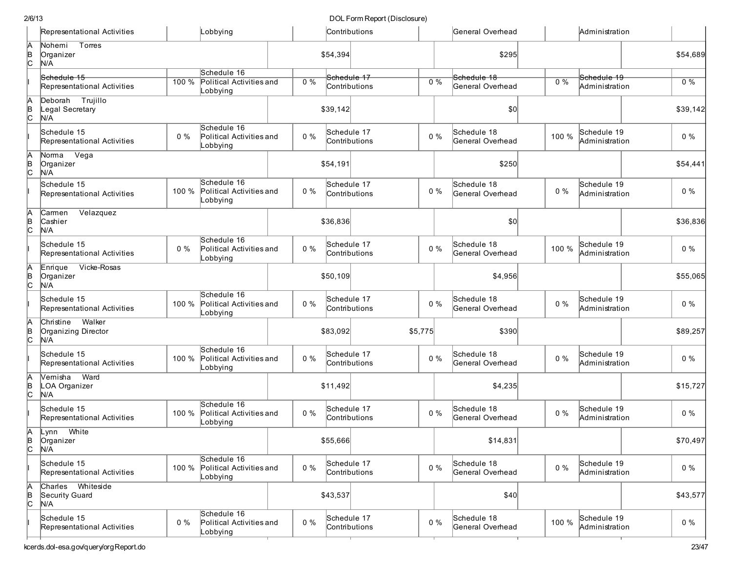| DOL Form Report (Disclosure) |  |
|------------------------------|--|
|------------------------------|--|

|                 | Representational Activities                       |       | Lobbying                                                   |       | Contributions                |         | General Overhead                |       | Administration                |          |
|-----------------|---------------------------------------------------|-------|------------------------------------------------------------|-------|------------------------------|---------|---------------------------------|-------|-------------------------------|----------|
| A<br>B<br>C     | Torres<br>Nohemi<br>Organizer<br>N/A              |       |                                                            |       | \$54,394                     |         | \$295                           |       |                               | \$54,689 |
|                 | Schedule 15<br>Representational Activities        | 100 % | Schedule 16<br><b>Political Activities and</b><br>Lobbying | 0%    | Schedule 17<br>Contributions | $0\%$   | Schedule 18<br>General Overhead | 0%    | Schedule 19<br>Administration | $0\%$    |
| A<br>B<br>C     | Deborah Trujillo<br>Legal Secretary<br>N/A        |       |                                                            |       | \$39,142                     |         | \$0                             |       |                               | \$39,142 |
|                 | Schedule 15<br>Representational Activities        | $0\%$ | Schedule 16<br>Political Activities and<br>Lobbying        | $0\%$ | Schedule 17<br>Contributions | $0\%$   | Schedule 18<br>General Overhead | 100 % | Schedule 19<br>Administration | $0\%$    |
| A<br>B<br>C     | Norma Vega<br>Organizer<br>N/A                    |       |                                                            |       | \$54,191                     |         | \$250                           |       |                               | \$54,441 |
|                 | Schedule 15<br>Representational Activities        | 100 % | Schedule 16<br>Political Activities and<br>Lobbying        | $0\%$ | Schedule 17<br>Contributions | $0\%$   | Schedule 18<br>General Overhead | $0\%$ | Schedule 19<br>Administration | $0\%$    |
| A<br>B<br>C     | Velazquez<br>Carmen<br>Cashier<br>N/A             |       |                                                            |       | \$36,836                     |         | \$0                             |       |                               | \$36,836 |
|                 | Schedule 15<br>Representational Activities        | $0\%$ | Schedule 16<br>Political Activities and<br>Lobbying        | $0\%$ | Schedule 17<br>Contributions | $0\%$   | Schedule 18<br>General Overhead | 100 % | Schedule 19<br>Administration | $0\%$    |
| A<br>B<br>C     | Vicke-Rosas<br>Enrique<br>Organizer<br>N/A        |       |                                                            |       | \$50,109                     |         | \$4,956                         |       |                               | \$55,065 |
|                 | Schedule 15<br>Representational Activities        | 100 % | Schedule 16<br>Political Activities and<br>Lobbying        | $0\%$ | Schedule 17<br>Contributions | $0\%$   | Schedule 18<br>General Overhead | $0\%$ | Schedule 19<br>Administration | $0\%$    |
| $\overline{AB}$ | Walker<br>Christine<br>Organizing Director<br>N/A |       |                                                            |       | \$83,092                     | \$5,775 | \$390                           |       |                               | \$89,257 |
|                 | Schedule 15<br>Representational Activities        | 100 % | Schedule 16<br>Political Activities and<br>Lobbying        | $0\%$ | Schedule 17<br>Contributions | $0\%$   | Schedule 18<br>General Overhead | $0\%$ | Schedule 19<br>Administration | $0\%$    |
| A<br>B<br>C     | Ward<br>Vernistha<br>LOA Organizer<br>N/A         |       |                                                            |       | \$11,492                     |         | \$4,235                         |       |                               | \$15,727 |
|                 | Schedule 15<br>Representational Activities        | 100 % | Schedule 16<br>Political Activities and<br>Lobbying        | $0\%$ | Schedule 17<br>Contributions | $0\%$   | Schedule 18<br>General Overhead | $0\%$ | Schedule 19<br>Administration | $0\%$    |
| A<br> В<br> C   | White<br>Lynn<br>Organizer<br>N/A                 |       |                                                            |       | \$55,666                     |         | \$14,831                        |       |                               | \$70,497 |
|                 | Schedule 15<br>Representational Activities        | 100 % | Schedule 16<br>Political Activities and<br>Lobbying        | $0\%$ | Schedule 17<br>Contributions | $0\%$   | Schedule 18<br>General Overhead | $0\%$ | Schedule 19<br>Administration | $0\%$    |
| A<br>B<br>C     | Charles Whiteside<br>Security Guard<br>N/A        |       |                                                            |       | \$43,537                     |         | \$40                            |       |                               | \$43,577 |
|                 | Schedule 15<br>Representational Activities        | $0\%$ | Schedule 16<br>Political Activities and<br>Lobbying        | $0\%$ | Schedule 17<br>Contributions | $0\%$   | Schedule 18<br>General Overhead | 100 % | Schedule 19<br>Administration | $0\%$    |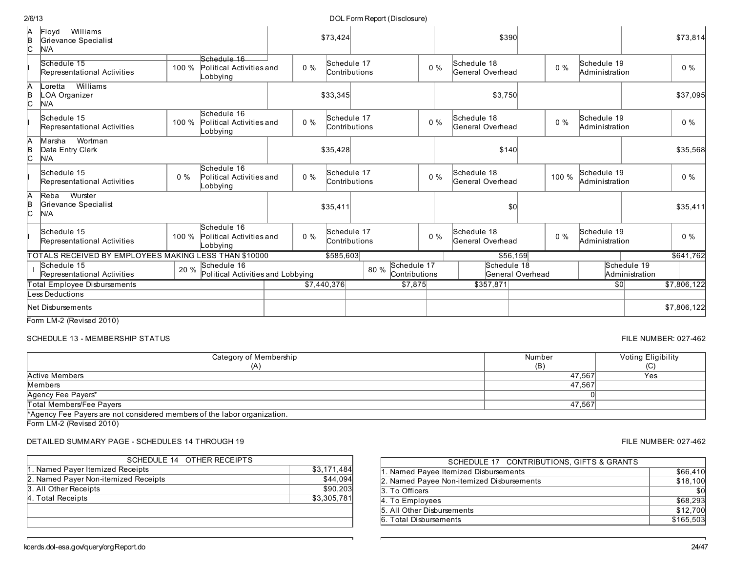| Schedule 15<br>Representational Activities                   | 100 % | Schedule 16<br>Political Activities and<br>_obbying | $0\%$ | Schedule 17<br>Contributions |      |                              | $0\%$ | Schedule 18<br>General Overhead |                  | $0\%$ | Schedule 19<br>Administration |                               | $0\%$       |
|--------------------------------------------------------------|-------|-----------------------------------------------------|-------|------------------------------|------|------------------------------|-------|---------------------------------|------------------|-------|-------------------------------|-------------------------------|-------------|
| Williams<br>.oretta<br>.OA Organizer<br>N/A                  |       |                                                     |       | \$33,345                     |      |                              |       | \$3,750                         |                  |       |                               |                               | \$37,095    |
| Schedule 15<br>Representational Activities                   | 100 % | Schedule 16<br>Political Activities and<br>Lobbying | $0\%$ | Schedule 17<br>Contributions |      |                              | $0\%$ | Schedule 18<br>General Overhead |                  | $0\%$ | Schedule 19<br>Administration |                               | $0\%$       |
| Wortman<br>Marstha<br>Data Entry Clerk<br>N/A                |       |                                                     |       | \$35,428                     |      |                              |       | \$140                           |                  |       |                               |                               | \$35,568    |
| Schedule 15<br>Representational Activities                   | $0\%$ | Schedule 16<br>Political Activities and<br>_obbying | $0\%$ | Schedule 17<br>Contributions |      |                              | $0\%$ | Schedule 18<br>General Overhead |                  | 100 % | Schedule 19<br>Administration |                               | $0\%$       |
| Wurster<br>Reba<br>Grievance Specialist<br>N/A               |       |                                                     |       | \$35,411                     |      |                              |       |                                 | S <sub>0</sub>   |       |                               |                               | \$35,411    |
| Schedule 15<br>Representational Activities                   | 100 % | Schedule 16<br>Political Activities and<br>_obbying | $0\%$ | Schedule 17<br>Contributions |      |                              | $0\%$ | Schedule 18<br>General Overhead |                  | $0\%$ | Schedule 19<br>Administration |                               | $0\%$       |
| <b>TOTALS RECEIVED BY EMPLOYEES MAKING LESS THAN \$10000</b> |       |                                                     |       | \$585,603                    |      |                              |       |                                 | \$56,159         |       |                               |                               | \$641,762   |
| Schedule 15<br>Representational Activities                   | 20 %  | Schedule 16<br>Political Activities and Lobbying    |       |                              | 80 % | Schedule 17<br>Contributions |       | Schedule 18                     | General Overhead |       |                               | Schedule 19<br>Administration |             |
| <b>Total Employee Disbursements</b>                          |       |                                                     |       | \$7,440,376                  |      | \$7,875                      |       | \$357,871                       |                  |       | \$0                           |                               | \$7,806,122 |
| ess Deductions                                               |       |                                                     |       |                              |      |                              |       |                                 |                  |       |                               |                               |             |
| Net Di <i>s</i> bursements                                   |       |                                                     |       |                              |      |                              |       |                                 |                  |       |                               |                               | \$7,806,122 |

Form LM-2 (Revised 2010)

SCHEDULE 13 - MEMBERSHIP STATUS FILE NUMBER: 027-462

| Category of Membership                                                   | Number | Voting Elig |
|--------------------------------------------------------------------------|--------|-------------|
| (A)                                                                      | (B)    | (C)         |
| Active Members                                                           | 47.567 | Yes         |
| Members                                                                  | 47,567 |             |
| Agency Fee Payers*                                                       |        |             |
| Total Members/Fee Payers                                                 | 47.567 |             |
| *Agency Fee Payers are not considered members of the labor organization. |        |             |

Form LM-2 (Revised 2010)

## DETAILED SUMMARY PAGE - SCHEDULES 14 THROUGH 19 FILE NUMBER: 027-462

| SCHEDULE 14 OTHER RECEIPTS           |             |
|--------------------------------------|-------------|
| 1. Named Payer Itemized Receipts     | \$3,171,484 |
| 2. Named Payer Non-itemized Receipts | \$44,094    |
| 3. All Other Receipts                | \$90,203    |
| 4. Total Receipts                    | \$3,305,781 |
|                                      |             |
|                                      |             |
|                                      |             |

Schedule 16

| SCHEDULE 17 CONTRIBUTIONS, GIFTS & GRANTS |                 |
|-------------------------------------------|-----------------|
| 1. Named Payee Itemized Disbursements     | \$66,410        |
| 2. Named Payee Non-itemized Disbursements | \$18,100        |
| 3. To Officers                            | $\overline{30}$ |
| 4. To Employees                           | \$68,293        |
| 5. All Other Disbursements                | \$12,700        |
| 6. Total Disbursements                    | \$165,503       |

\$73,424 \$390 \$73,814

## DOL Form Report (Disclosure)

| 2/6/13 |    |
|--------|----|
| ΙA     | IF |

N/A

Floyd Williams Grievance Specialist

B C

> Voting Eligibility  $(C)$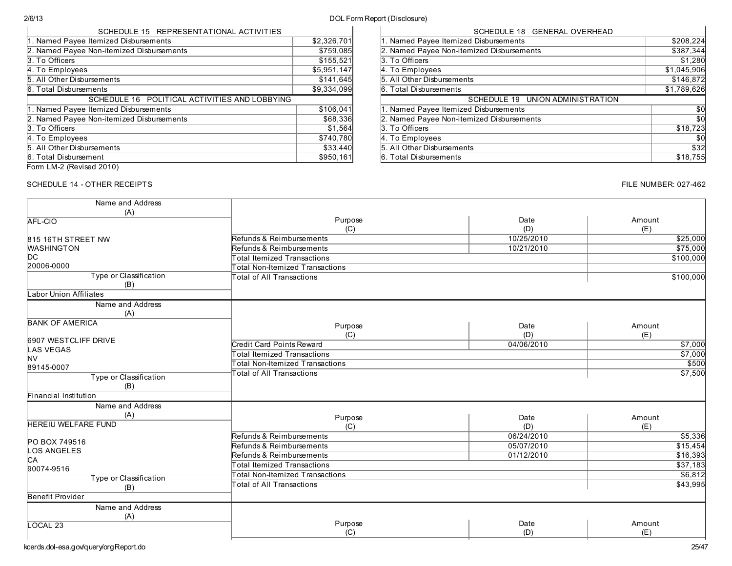# 2/6/13 DOL Form Report (Disclosure)

| SCHEDULE 15 REPRESENTATIONAL ACTIVITIES       |             |
|-----------------------------------------------|-------------|
| 1. Named Payee Itemized Disbursements         | \$2,326,701 |
| 2. Named Payee Non-itemized Disbursements     | \$759,085   |
| 3. To Officers                                | \$155,521   |
| 4. To Employees                               | \$5,951,147 |
| 5. All Other Disbursements                    | \$141,645   |
| 6. Total Disbursements                        | \$9.334.099 |
| SCHEDULE 16 POLITICAL ACTIVITIES AND LOBBYING |             |
| 1. Named Payee Itemized Disbursements         | \$106,041   |
| 2. Named Payee Non-itemized Disbursements     | \$68,336    |
| 3. To Officers                                | \$1,564     |
| 4. To Employees                               | \$740,780   |
| 5. All Other Disbursements                    | \$33,440    |
| 6. Total Disbursement                         | \$950,161   |
|                                               |             |

| SCHEDULE 18 GENERAL OVERHEAD              |             |
|-------------------------------------------|-------------|
| 1. Named Payee Itemized Disbursements     | \$208,224   |
| 2. Named Payee Non-itemized Disbursements | \$387,344   |
| 3. To Officers                            | \$1,280     |
| 4. To Employees                           | \$1,045,906 |
| 5. All Other Disbursements                | \$146,872   |
| 6. Total Disbursements                    | \$1,789,626 |
| SCHEDULE 19 UNION ADMINISTRATION          |             |
|                                           |             |
| 1. Named Payee Itemized Disbursements     | \$0         |
| 2. Named Payee Non-itemized Disbursements | \$0         |
|                                           | \$18,723    |
| 3. To Officers<br>4. To Employees         | \$0         |
| 5. All Other Disbursements                | \$32        |

Form LM-2 (Revised 2010)

## SCHEDULE 14 - OTHER RECEIPTS **FILE NUMBER: 027-462**

| Name and Address           |                                        |            |           |
|----------------------------|----------------------------------------|------------|-----------|
| (A)                        |                                        |            |           |
| <b>AFL-CIO</b>             | Purpose                                | Date       | Amount    |
|                            | (C)                                    | (D)        | (E)       |
| 815 16TH STREET NW         | Refunds & Reimbursements               | 10/25/2010 | \$25,000  |
| <b>WASHINGTON</b>          | Refunds & Reimbursements               | 10/21/2010 | \$75,000  |
| DC.                        | Total Itemized Transactions            |            | \$100,000 |
| 20006-0000                 | Total Non-Itemized Transactions        |            |           |
| Type or Classification     | Total of All Transactions              |            | \$100,000 |
| (B)                        |                                        |            |           |
| Labor Union Affiliates     |                                        |            |           |
| Name and Address           |                                        |            |           |
| (A)                        |                                        |            |           |
| <b>BANK OF AMERICA</b>     |                                        |            |           |
|                            | Purpose                                | Date       | Amount    |
| 6907 WESTCLIFF DRIVE       | (C)                                    | (D)        | (E)       |
| <b>LAS VEGAS</b>           | <b>Credit Card Points Reward</b>       | 04/06/2010 | \$7,000   |
| <b>NV</b>                  | Total Itemized Transactions            |            | \$7,000   |
| 89145-0007                 | Total Non-Itemized Transactions        |            | \$500     |
| Type or Classification     | <b>Total of All Transactions</b>       |            | \$7,500   |
| (B)                        |                                        |            |           |
| Financial Institution      |                                        |            |           |
| Name and Address           |                                        |            |           |
| (A)                        |                                        |            |           |
| <b>HEREIU WELFARE FUND</b> | Purpose                                | Date       | Amount    |
|                            | (C)                                    | (D)        | (E)       |
| PO BOX 749516              | Refunds & Reimbursements               | 06/24/2010 | \$5,336   |
| LOS ANGELES                | Refunds & Reimbursements               | 05/07/2010 | \$15,454  |
| <b>CA</b>                  | Refunds & Reimbursements               | 01/12/2010 | \$16,393  |
| 90074-9516                 | Total Itemized Transactions            |            | \$37,183  |
| Type or Classification     | <b>Total Non-Itemized Transactions</b> |            | \$6,812   |
| (B)                        | Total of All Transactions              |            | \$43,995  |
| Benefit Provider           |                                        |            |           |
| Name and Address           |                                        |            |           |
|                            |                                        |            |           |
| (A)<br>LOCAL <sub>23</sub> | Purpose                                | Date       | Amount    |
|                            | (C)                                    | (D)        | (E)       |
|                            |                                        |            |           |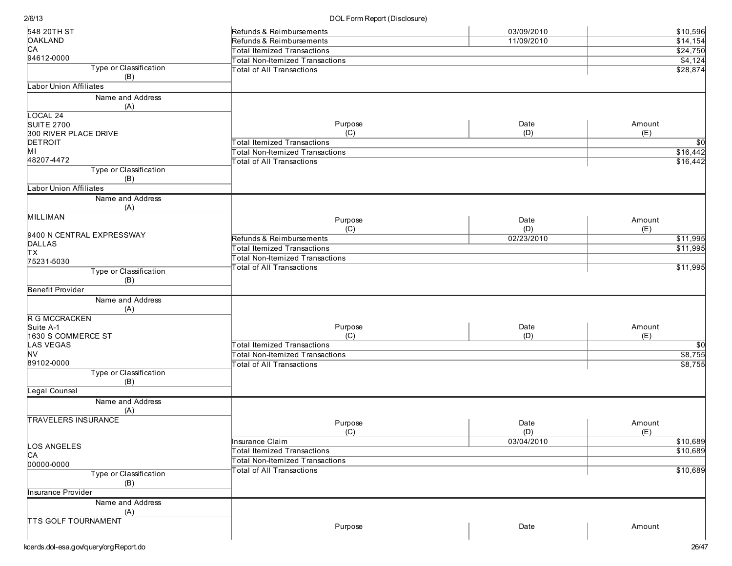| 548 20TH ST                   | Refunds & Reimbursements               | 03/09/2010 | \$10,596    |
|-------------------------------|----------------------------------------|------------|-------------|
| <b>OAKLAND</b>                | Refunds & Reimbursements               | 11/09/2010 | \$14,154    |
| CA                            | <b>Total Itemized Transactions</b>     |            | \$24,750    |
| 94612-0000                    | <b>Total Non-Itemized Transactions</b> |            | \$4,124     |
| Type or Classification        | Total of All Transactions              |            | \$28,874    |
| (B)                           |                                        |            |             |
| Labor Union Affiliates        |                                        |            |             |
| Name and Address<br>(A)       |                                        |            |             |
| LOCAL 24                      |                                        |            |             |
| <b>SUITE 2700</b>             | Purpose                                | Date       | Amount      |
| 300 RIVER PLACE DRIVE         | (C)                                    | (D)        | (E)         |
| DETROIT                       | <b>Total Itemized Transactions</b>     |            | \$0         |
| MI                            | <b>Total Non-Itemized Transactions</b> |            | \$16,442    |
| 48207-4472                    | <b>Total of All Transactions</b>       |            | \$16,442    |
| Type or Classification<br>(B) |                                        |            |             |
| <b>Labor Union Affiliates</b> |                                        |            |             |
| Name and Address              |                                        |            |             |
| (A)                           |                                        |            |             |
| <b>MILLIMAN</b>               |                                        |            |             |
|                               | Purpose                                | Date       | Amount      |
| 9400 N CENTRAL EXPRESSWAY     | (C)                                    | (D)        | (E)         |
| <b>DALLAS</b>                 | Refunds & Reimbursements               | 02/23/2010 | \$11,995    |
| ΙTΧ                           | <b>Total Itemized Transactions</b>     |            | \$11,995    |
| 75231-5030                    | <b>Total Non-Itemized Transactions</b> |            |             |
| Type or Classification        | <b>Total of All Transactions</b>       |            | \$11,995    |
| (B)                           |                                        |            |             |
| <b>Benefit Provider</b>       |                                        |            |             |
| Name and Address              |                                        |            |             |
| (A)                           |                                        |            |             |
| R G MCCRACKEN                 |                                        |            |             |
| Suite A-1                     | Purpose                                | Date       | Amount      |
| 1630 S COMMERCE ST            | (C)                                    | (D)        | (E)         |
| <b>LAS VEGAS</b>              | <b>Total Itemized Transactions</b>     |            | $\sqrt{50}$ |
| <b>NV</b>                     | <b>Total Non-Itemized Transactions</b> |            | \$8,755     |
| 89102-0000                    | <b>Total of All Transactions</b>       |            | \$8,755     |
| Type or Classification        |                                        |            |             |
| (B)                           |                                        |            |             |
| Legal Counsel                 |                                        |            |             |
| Name and Address              |                                        |            |             |
| (A)                           |                                        |            |             |
| <b>TRAVELERS INSURANCE</b>    |                                        |            | Amount      |
|                               | Purpose                                | Date       |             |
|                               | (C)                                    | (D)        | (E)         |
| LOS ANGELES                   | <b>Insurance Claim</b>                 | 03/04/2010 | \$10,689    |
| C <sub>A</sub>                | <b>Total Itemized Transactions</b>     |            | \$10,689    |
| 00000-0000                    | <b>Total Non-Itemized Transactions</b> |            |             |
| Type or Classification        | <b>Total of All Transactions</b>       |            | \$10,689    |
| (B)                           |                                        |            |             |
| <b>Insurance Provider</b>     |                                        |            |             |
| Name and Address              |                                        |            |             |
| (A)                           |                                        |            |             |
| <b>TTS GOLF TOURNAMENT</b>    |                                        |            |             |
|                               | Purpose                                | Date       | Amount      |
|                               |                                        |            |             |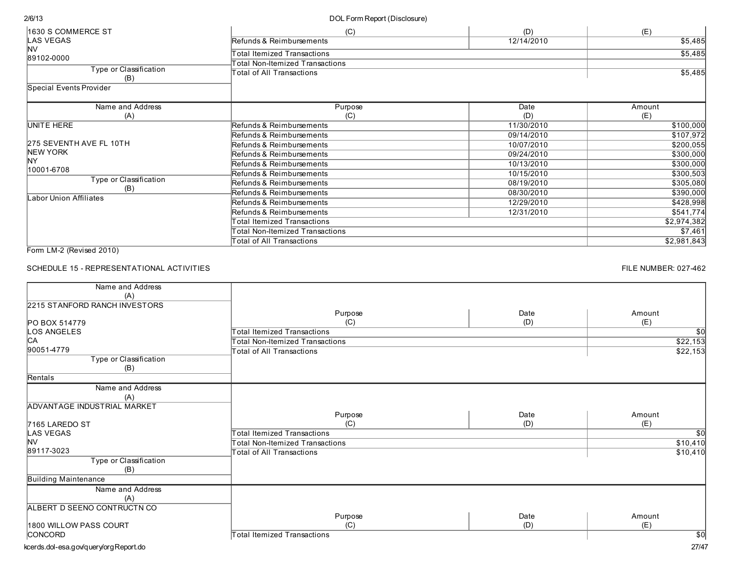DOL Form Report (Disclosure)

| 1630 S COMMERCE ST            | (C)                                                                   | (D)        | (E)         |
|-------------------------------|-----------------------------------------------------------------------|------------|-------------|
| <b>LAS VEGAS</b>              | Refunds & Reimbursements                                              | 12/14/2010 | \$5,485     |
| <b>NV</b><br>89102-0000       | <b>Total Itemized Transactions</b><br>Fotal Non-Itemized Transactions |            | \$5,485     |
| Type or Classification<br>(B) | Total of All Transactions                                             |            | \$5,485     |
| Special Events Provider       |                                                                       |            |             |
| Name and Address              | Purpose                                                               | Date       | Amount      |
| (A)                           | (C)                                                                   | (D)        | (E)         |
| UNITE HERE                    | Refunds & Reimbursements                                              | 11/30/2010 | \$100,000   |
|                               | Refunds & Reimbursements                                              | 09/14/2010 | \$107,972   |
| 275 SEVENTH AVE FL 10TH       | Refunds & Reimbursements                                              | 10/07/2010 | \$200,055   |
| NEW YORK                      | Refunds & Reimbursements                                              | 09/24/2010 | \$300,000   |
| lNY                           | Refunds & Reimbursements                                              | 10/13/2010 | \$300,000   |
| 10001-6708                    | Refunds & Reimbursements                                              | 10/15/2010 | \$300,503   |
| Type or Classification        | Refunds & Reimbursements                                              | 08/19/2010 | \$305,080   |
| (B)<br>Labor Union Affiliates | Refunds & Reimbursements                                              | 08/30/2010 | \$390,000   |
|                               | Refunds & Reimbursements                                              | 12/29/2010 | \$428,998   |
|                               | Refunds & Reimbursements                                              | 12/31/2010 | \$541,774   |
|                               | <b>Total Itemized Transactions</b>                                    |            | \$2,974,382 |
|                               | Total Non-Itemized Transactions                                       |            | \$7,461     |
|                               | Total of All Transactions                                             |            | \$2,981,843 |

Form LM-2 (Revised 2010)

## SCHEDULE 15 - REPRESENTATIONAL ACTIVITIES

FILE NUMBER: 027-462

| Name and Address              |                                        |      |                 |
|-------------------------------|----------------------------------------|------|-----------------|
| (A)                           |                                        |      |                 |
| 2215 STANFORD RANCH INVESTORS |                                        |      |                 |
|                               | Purpose                                | Date | Amount          |
| PO BOX 514779                 | (C)                                    | (D)  | (E)             |
| LOS ANGELES                   | <b>Total Itemized Transactions</b>     |      | $\sqrt{50}$     |
| IСA                           | <b>Total Non-Itemized Transactions</b> |      | \$22,153        |
| 90051-4779                    | <b>Total of All Transactions</b>       |      | \$22,153        |
| Type or Classification        |                                        |      |                 |
| (B)                           |                                        |      |                 |
| Rentals                       |                                        |      |                 |
| Name and Address              |                                        |      |                 |
| (A)                           |                                        |      |                 |
| ADVANTAGE INDUSTRIAL MARKET   |                                        |      |                 |
|                               | Purpose                                | Date | Amount          |
| 7165 LAREDO ST                | (C)                                    | (D)  | (E)             |
| LAS VEGAS                     | <b>Total Itemized Transactions</b>     |      | $\overline{50}$ |
| <b>NV</b><br>89117-3023       | Total Non-Itemized Transactions        |      | \$10,410        |
| Type or Classification        | <b>Total of All Transactions</b>       |      | \$10,410        |
| (B)                           |                                        |      |                 |
| <b>Building Maintenance</b>   |                                        |      |                 |
| Name and Address              |                                        |      |                 |
| (A)                           |                                        |      |                 |
| ALBERT D SEENO CONTRUCTN CO   |                                        |      |                 |
|                               | Purpose                                | Date | Amount          |
| 1800 WILLOW PASS COURT        | (C)                                    | (D)  | (E)             |
| CONCORD                       | <b>Total Itemized Transactions</b>     |      | $\overline{50}$ |
|                               |                                        |      | $- - - -$       |

kcerds.dol-esa.gov/query/orgReport.do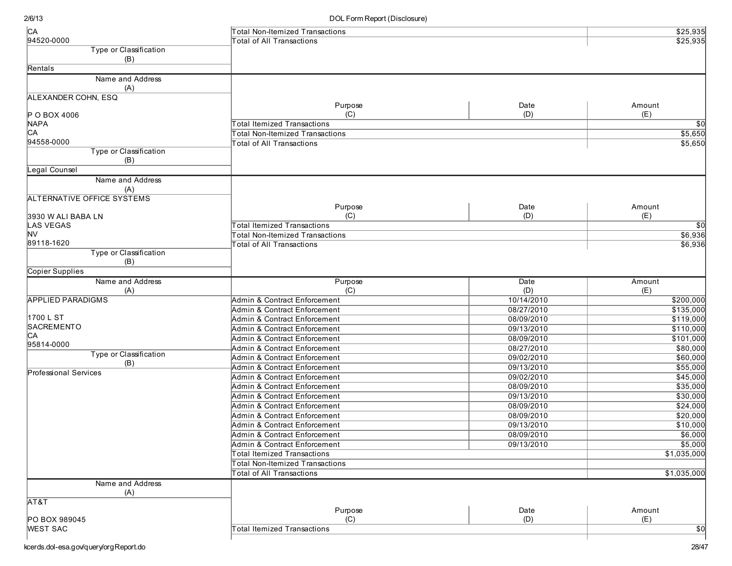| CA                            | <b>Total Non-Itemized Transactions</b> |            | \$25,935        |
|-------------------------------|----------------------------------------|------------|-----------------|
| 94520-0000                    | <b>Total of All Transactions</b>       |            | \$25,935        |
| Type or Classification        |                                        |            |                 |
| (B)                           |                                        |            |                 |
| Rentals                       |                                        |            |                 |
| Name and Address              |                                        |            |                 |
| (A)                           |                                        |            |                 |
| ALEXANDER COHN, ESQ           |                                        |            |                 |
|                               | Purpose                                | Date       | Amount          |
| P O BOX 4006                  | (C)                                    | (D)        | (E)             |
| <b>NAPA</b>                   | <b>Total Itemized Transactions</b>     |            | $\overline{30}$ |
| CA                            | <b>Total Non-Itemized Transactions</b> |            | \$5,650         |
| 94558-0000                    | <b>Total of All Transactions</b>       |            | \$5,650         |
| Type or Classification<br>(B) |                                        |            |                 |
| Legal Counsel                 |                                        |            |                 |
| Name and Address              |                                        |            |                 |
| (A)                           |                                        |            |                 |
| ALTERNATIVE OFFICE SYSTEMS    |                                        |            |                 |
|                               | Purpose                                | Date       | Amount          |
| 3930 W ALI BABA LN            | (C)                                    | (D)        | (E)             |
| <b>LAS VEGAS</b>              | Total Itemized Transactions            |            | $\sqrt{50}$     |
| <b>NV</b>                     | <b>Total Non-Itemized Transactions</b> |            | \$6,936         |
| 89118-1620                    | <b>Total of All Transactions</b>       |            | \$6,936         |
| Type or Classification        |                                        |            |                 |
| (B)                           |                                        |            |                 |
| Copier Supplies               |                                        |            |                 |
| Name and Address              | Purpose                                | Date       | Amount          |
| (A)                           | (C)                                    | (D)        | (E)             |
| <b>APPLIED PARADIGMS</b>      | Admin & Contract Enforcement           | 10/14/2010 | \$200,000       |
|                               | Admin & Contract Enforcement           | 08/27/2010 | \$135,000       |
| 1700 L ST<br>SACREMENTO       | Admin & Contract Enforcement           | 08/09/2010 | \$119,000       |
| CA                            | Admin & Contract Enforcement           | 09/13/2010 | \$110,000       |
| 95814-0000                    | Admin & Contract Enforcement           | 08/09/2010 | \$101,000       |
| Type or Classification        | Admin & Contract Enforcement           | 08/27/2010 | \$80,000        |
| (B)                           | Admin & Contract Enforcement           | 09/02/2010 | 560,000         |
| <b>Professional Services</b>  | Admin & Contract Enforcement           | 09/13/2010 | \$55,000        |
|                               | Admin & Contract Enforcement           | 09/02/2010 | \$45,000        |
|                               | Admin & Contract Enforcement           | 08/09/2010 | \$35,000        |
|                               | Admin & Contract Enforcement           | 09/13/2010 | 30,000          |
|                               | Admin & Contract Enforcement           | 08/09/2010 | \$24,000        |
|                               | Admin & Contract Enforcement           | 08/09/2010 | \$20,000        |
|                               | Admin & Contract Enforcement           | 09/13/2010 | \$10,000        |
|                               | Admin & Contract Enforcement           | 08/09/2010 | \$6,000         |
|                               | Admin & Contract Enforcement           | 09/13/2010 | \$5,000         |
|                               | Total Itemized Transactions            |            | \$1,035,000     |
|                               | <b>Total Non-Itemized Transactions</b> |            |                 |
|                               | Total of All Transactions              |            | \$1,035,000     |
| Name and Address<br>(A)       |                                        |            |                 |
| AT&T                          |                                        |            |                 |
|                               | Purpose                                | Date       | Amount          |
| PO BOX 989045                 | (C)                                    | (D)        | (E)             |
| <b>WEST SAC</b>               | <b>Total Itemized Transactions</b>     |            | $\overline{50}$ |
|                               |                                        |            |                 |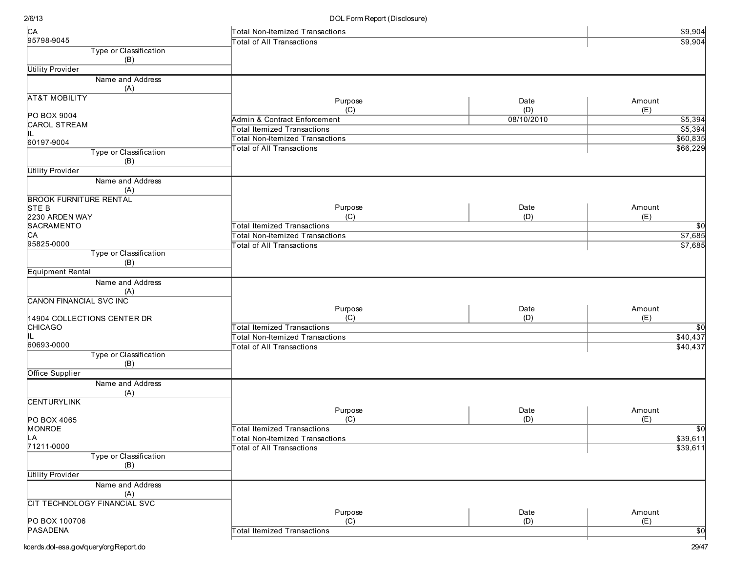| CA                             | Total Non-Itemized Transactions           |            | \$9,904                 |
|--------------------------------|-------------------------------------------|------------|-------------------------|
| 95798-9045                     | <b>Total of All Transactions</b>          |            | \$9,904                 |
| Type or Classification<br>(B)  |                                           |            |                         |
| <b>Utility Provider</b>        |                                           |            |                         |
| Name and Address               |                                           |            |                         |
| (A)                            |                                           |            |                         |
| <b>AT&amp;T MOBILITY</b>       | Purpose                                   | Date       | Amount                  |
|                                | (C)                                       | (D)        | (E)                     |
| PO BOX 9004                    | Admin & Contract Enforcement              | 08/10/2010 | \$5,394                 |
| <b>CAROL STREAM</b>            | <b>Total Itemized Transactions</b>        |            | \$5,394                 |
| IL.<br>60197-9004              | <b>Total Non-Itemized Transactions</b>    |            | \$60,835                |
| Type or Classification         | <b>Total of All Transactions</b>          |            | \$66,229                |
| (B)                            |                                           |            |                         |
| <b>Utility Provider</b>        |                                           |            |                         |
| Name and Address               |                                           |            |                         |
| (A)                            |                                           |            |                         |
| <b>BROOK FURNITURE RENTAL</b>  |                                           |            |                         |
| STE B                          | Purpose                                   | Date       | Amount                  |
| 2230 ARDEN WAY                 | (C)                                       | (D)        | (E)                     |
| SACRAMENTO                     | <b>Total Itemized Transactions</b>        |            | $\sqrt{50}$             |
| CA                             | <b>Total Non-Itemized Transactions</b>    |            | \$7,685                 |
| 95825-0000                     | <b>Total of All Transactions</b>          |            | \$7,685                 |
| Type or Classification         |                                           |            |                         |
| (B)                            |                                           |            |                         |
| <b>Equipment Rental</b>        |                                           |            |                         |
| Name and Address               |                                           |            |                         |
| (A)                            |                                           |            |                         |
| <b>CANON FINANCIAL SVC INC</b> |                                           |            |                         |
|                                | Purpose                                   | Date       | Amount                  |
| 14904 COLLECTIONS CENTER DR    | (C)<br><b>Total Itemized Transactions</b> | (D)        | (E)                     |
| <b>CHICAGO</b><br>lil.         | <b>Total Non-Itemized Transactions</b>    |            | $\sqrt{50}$<br>\$40,437 |
| 60693-0000                     | <b>Total of All Transactions</b>          |            | \$40,437                |
| Type or Classification         |                                           |            |                         |
| (B)                            |                                           |            |                         |
| Office Supplier                |                                           |            |                         |
| Name and Address               |                                           |            |                         |
| (A)                            |                                           |            |                         |
| <b>CENTURYLINK</b>             |                                           |            |                         |
|                                | Purpose                                   | Date       | Amount                  |
| PO BOX 4065                    | (C)                                       | (D)        | (E)                     |
| MONROE                         | <b>Total Itemized Transactions</b>        |            | $\sqrt{50}$             |
| LA<br>71211-0000               | <b>Total Non-Itemized Transactions</b>    |            | \$39,611                |
|                                | <b>Total of All Transactions</b>          |            | \$39,611                |
| Type or Classification         |                                           |            |                         |
| (B)                            |                                           |            |                         |
| <b>Utility Provider</b>        |                                           |            |                         |
| Name and Address               |                                           |            |                         |
| (A)                            |                                           |            |                         |
| CIT TECHNOLOGY FINANCIAL SVC   | Purpose                                   | Date       | Amount                  |
| PO BOX 100706                  | (C)                                       | (D)        | (E)                     |
| PASADENA                       | <b>Total Itemized Transactions</b>        |            | $\overline{30}$         |
|                                |                                           |            |                         |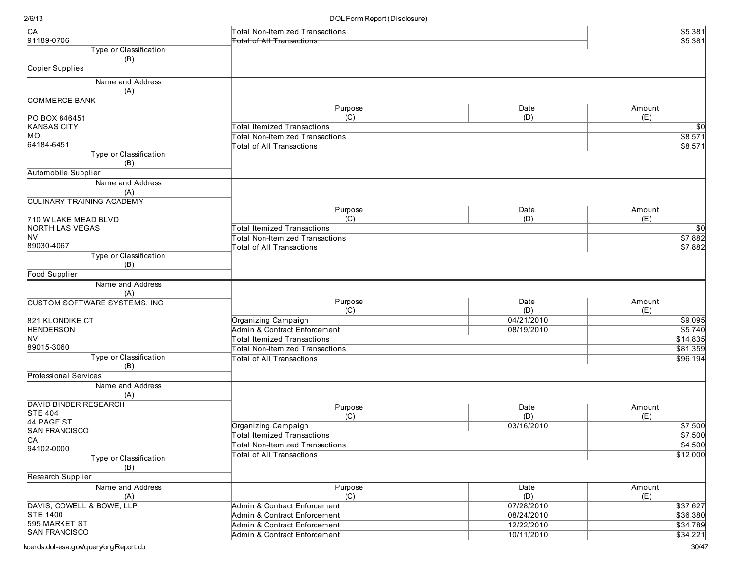| C <sub>A</sub>                      | Total Non-Itemized Transactions        |            | \$5,381  |
|-------------------------------------|----------------------------------------|------------|----------|
| 91189-0706                          | <b>Total of All Transactions</b>       |            | \$5,381  |
| Type or Classification              |                                        |            |          |
| (B)                                 |                                        |            |          |
| Copier Supplies                     |                                        |            |          |
| Name and Address                    |                                        |            |          |
| (A)                                 |                                        |            |          |
| <b>COMMERCE BANK</b>                |                                        |            |          |
|                                     | Purpose                                | Date       | Amount   |
| PO BOX 846451                       | (C)                                    | (D)        | (E)      |
| <b>KANSAS CITY</b>                  | <b>Total Itemized Transactions</b>     |            | \$0      |
| MO                                  | <b>Total Non-Itemized Transactions</b> |            | \$8,571  |
| 64184-6451                          | <b>Total of All Transactions</b>       |            | \$8,571  |
| Type or Classification              |                                        |            |          |
| (B)                                 |                                        |            |          |
| Automobile Supplier                 |                                        |            |          |
| Name and Address                    |                                        |            |          |
| (A)                                 |                                        |            |          |
| <b>CULINARY TRAINING ACADEMY</b>    |                                        |            |          |
|                                     | Purpose                                | Date       | Amount   |
| 710 W LAKE MEAD BLVD                | (C)                                    | (D)        | (E)      |
| NORTH LAS VEGAS                     | <b>Total Itemized Transactions</b>     |            | \$0      |
| NV                                  | <b>Total Non-Itemized Transactions</b> |            | \$7,882  |
| 89030-4067                          | <b>Total of All Transactions</b>       |            | \$7,882  |
| Type or Classification              |                                        |            |          |
| (B)                                 |                                        |            |          |
| <b>Food Supplier</b>                |                                        |            |          |
| Name and Address                    |                                        |            |          |
| (A)                                 |                                        |            |          |
| <b>CUSTOM SOFTWARE SYSTEMS, INC</b> | Purpose                                | Date       | Amount   |
|                                     | (C)                                    | (D)        | (E)      |
| 821 KLONDIKE CT                     | Organizing Campaign                    | 04/21/2010 | \$9,095  |
| <b>HENDERSON</b>                    | Admin & Contract Enforcement           | 08/19/2010 | \$5,740  |
| lNV                                 | <b>Total Itemized Transactions</b>     |            | \$14,835 |
| 89015-3060                          | <b>Total Non-Itemized Transactions</b> |            | \$81,359 |
| Type or Classification              | <b>Total of All Transactions</b>       |            | \$96,194 |
| (B)                                 |                                        |            |          |
| <b>Professional Services</b>        |                                        |            |          |
| Name and Address                    |                                        |            |          |
| (A)                                 |                                        |            |          |
| <b>DAVID BINDER RESEARCH</b>        |                                        |            |          |
| <b>STE 404</b>                      | Purpose                                | Date       | Amount   |
| 44 PAGE ST                          | (C)                                    | (D)        | (E)      |
| <b>SAN FRANCISCO</b>                | Organizing Campaign                    | 03/16/2010 | \$7,500  |
| ĮСA                                 | <b>Total Itemized Transactions</b>     |            | \$7,500  |
| 94102-0000                          | Total Non-Itemized Transactions        |            | \$4,500  |
| Type or Classification              | <b>Total of All Transactions</b>       |            | \$12,000 |
| (B)                                 |                                        |            |          |
| Research Supplier                   |                                        |            |          |
|                                     |                                        |            |          |
| Name and Address                    | Purpose                                | Date       | Amount   |
| (A)                                 | (C)                                    | (D)        | (E)      |
| DAVIS, COWELL & BOWE, LLP           | Admin & Contract Enforcement           | 07/28/2010 | \$37,627 |
| <b>STE 1400</b>                     | Admin & Contract Enforcement           | 08/24/2010 | \$36,380 |
| 595 MARKET ST                       | Admin & Contract Enforcement           | 12/22/2010 | \$34,789 |
| <b>SAN FRANCISCO</b>                | Admin & Contract Enforcement           | 10/11/2010 | \$34,221 |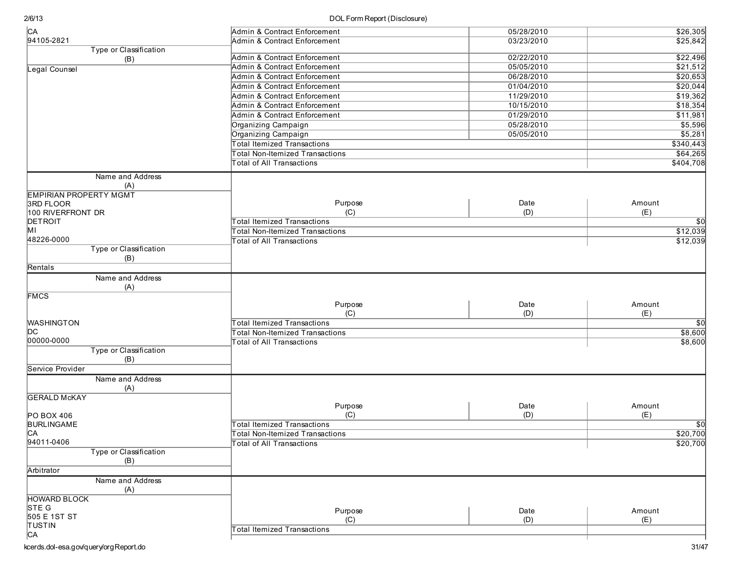| C <sub>A</sub>                             | Admin & Contract Enforcement              | 05/28/2010 | \$26,305        |
|--------------------------------------------|-------------------------------------------|------------|-----------------|
| 94105-2821                                 | <b>Admin &amp; Contract Enforcement</b>   | 03/23/2010 | \$25,842        |
| Type or Classification                     |                                           |            |                 |
| (B)                                        | Admin & Contract Enforcement              | 02/22/2010 | \$22,496        |
| Legal Counsel                              | Admin & Contract Enforcement              | 05/05/2010 | \$21,512        |
|                                            | Admin & Contract Enforcement              | 06/28/2010 | \$20,653        |
|                                            | Admin & Contract Enforcement              | 01/04/2010 | \$20,044        |
|                                            | <b>Admin &amp; Contract Enforcement</b>   | 11/29/2010 | \$19,362        |
|                                            | Admin & Contract Enforcement              | 10/15/2010 | \$18,354        |
|                                            | Admin & Contract Enforcement              | 01/29/2010 | \$11,981        |
|                                            | Organizing Campaign                       | 05/28/2010 | \$5,596         |
|                                            | Organizing Campaign                       | 05/05/2010 | \$5,281         |
|                                            | <b>Total Itemized Transactions</b>        |            | \$340,443       |
|                                            | <b>Total Non-Itemized Transactions</b>    |            | \$64,265        |
|                                            | <b>Total of All Transactions</b>          |            | \$404,708       |
|                                            |                                           |            |                 |
| Name and Address                           |                                           |            |                 |
| (A)                                        |                                           |            |                 |
| <b>EMPIRIAN PROPERTY MGMT</b><br>3RD FLOOR | Purpose                                   | Date       | Amount          |
| 100 RIVERFRONT DR                          | (C)                                       | (D)        | (E)             |
| DETROIT                                    | <b>Total Itemized Transactions</b>        |            | $\overline{50}$ |
| MГ                                         | <b>Total Non-Itemized Transactions</b>    |            | \$12,039        |
| 48226-0000                                 |                                           |            |                 |
| Type or Classification                     | <b>Total of All Transactions</b>          |            | \$12,039        |
| (B)                                        |                                           |            |                 |
| Rentals                                    |                                           |            |                 |
|                                            |                                           |            |                 |
| Name and Address                           |                                           |            |                 |
| (A)                                        |                                           |            |                 |
| <b>FMCS</b>                                | Purpose                                   | Date       | Amount          |
|                                            | (C)                                       | (D)        | (E)             |
| <b>WASHINGTON</b>                          | <b>Total Itemized Transactions</b>        |            | $\overline{50}$ |
| DC                                         | <b>Total Non-Itemized Transactions</b>    |            | \$8,600         |
| 00000-0000                                 |                                           |            |                 |
| Type or Classification                     | <b>Total of All Transactions</b>          |            | \$8,600         |
| (B)                                        |                                           |            |                 |
| Service Provider                           |                                           |            |                 |
|                                            |                                           |            |                 |
| Name and Address                           |                                           |            |                 |
| (A)<br><b>GERALD McKAY</b>                 |                                           |            |                 |
|                                            |                                           | Date       | Amount          |
|                                            | Purpose                                   | (D)        | (E)             |
| PO BOX 406<br><b>BURLINGAME</b>            | (C)<br><b>Total Itemized Transactions</b> |            |                 |
|                                            |                                           |            | $\overline{50}$ |
| CA<br>94011-0406                           | <b>Total Non-Itemized Transactions</b>    |            | \$20,700        |
|                                            | Total of All Transactions                 |            | \$20,700        |
| Type or Classification                     |                                           |            |                 |
| (B)                                        |                                           |            |                 |
| Arbitrator                                 |                                           |            |                 |
| Name and Address                           |                                           |            |                 |
| (A)                                        |                                           |            |                 |
| <b>HOWARD BLOCK</b>                        |                                           |            |                 |
| STE G                                      | Purpose                                   | Date       | Amount          |
| 505 E 1ST ST                               | (C)                                       | (D)        | (E)             |
| TUSTIN                                     | Total Itemized Transactions               |            |                 |
| C <sub>A</sub>                             |                                           |            |                 |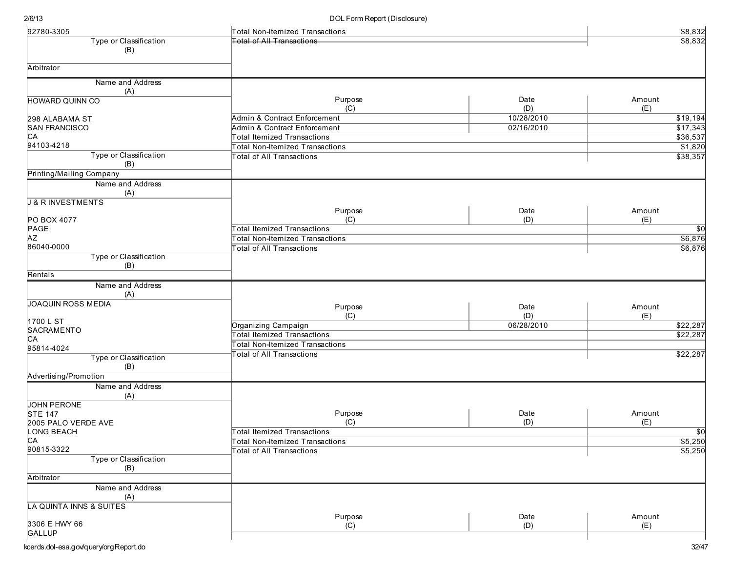| 92780-3305                          | Total Non-Itemized Transactions         |            | \$8,832                 |
|-------------------------------------|-----------------------------------------|------------|-------------------------|
| Type or Classification              | <b>Total of All Transactions</b>        |            | \$8,832                 |
| (B)                                 |                                         |            |                         |
|                                     |                                         |            |                         |
| Arbitrator                          |                                         |            |                         |
| Name and Address                    |                                         |            |                         |
| (A)                                 |                                         |            |                         |
| <b>HOWARD QUINN CO</b>              | Purpose                                 | Date       | Amount                  |
|                                     | (C)                                     | (D)        | (E)                     |
| 298 ALABAMA ST                      | <b>Admin &amp; Contract Enforcement</b> | 10/28/2010 | \$19,194                |
| <b>SAN FRANCISCO</b>                | Admin & Contract Enforcement            | 02/16/2010 | \$17,343                |
| CA                                  | Total Itemized Transactions             |            | \$36,537                |
| 94103-4218                          | <b>Total Non-Itemized Transactions</b>  |            | \$1,820                 |
| Type or Classification              | <b>Total of All Transactions</b>        |            | \$38,357                |
| (B)                                 |                                         |            |                         |
| Printing/Mailing Company            |                                         |            |                         |
| Name and Address                    |                                         |            |                         |
|                                     |                                         |            |                         |
| (A)<br><b>J &amp; R INVESTMENTS</b> |                                         |            |                         |
|                                     | Purpose                                 | Date       | Amount                  |
| PO BOX 4077                         | (C)                                     | (D)        | (E)                     |
| PAGE                                | <b>Total Itemized Transactions</b>      |            | $\overline{30}$         |
| <b>AZ</b>                           |                                         |            | \$6,876                 |
| 86040-0000                          | <b>Total Non-Itemized Transactions</b>  |            |                         |
| Type or Classification              | Total of All Transactions               |            | \$6,876                 |
|                                     |                                         |            |                         |
| (B)                                 |                                         |            |                         |
| Rentals                             |                                         |            |                         |
| Name and Address                    |                                         |            |                         |
| (A)                                 |                                         |            |                         |
| <b>JOAQUIN ROSS MEDIA</b>           | Purpose                                 | Date       | Amount                  |
|                                     | (C)                                     | (D)        | (E)                     |
| 1700 L ST                           | Organizing Campaign                     | 06/28/2010 | \$22,287                |
| SACRAMENTO                          | <b>Total Itemized Transactions</b>      |            | \$22,287                |
| CA                                  | <b>Total Non-Itemized Transactions</b>  |            |                         |
| 95814-4024                          | <b>Total of All Transactions</b>        |            | \$22,287                |
| Type or Classification              |                                         |            |                         |
| (B)                                 |                                         |            |                         |
| Advertising/Promotion               |                                         |            |                         |
| Name and Address                    |                                         |            |                         |
| (A)                                 |                                         |            |                         |
| <b>JOHN PERONE</b>                  |                                         |            |                         |
| <b>STE 147</b>                      | Purpose                                 | Date       | Amount                  |
| 2005 PALO VERDE AVE                 | (C)                                     | (D)        | (E)                     |
| LONG BEACH                          | <b>Total Itemized Transactions</b>      |            | $\overline{50}$         |
| <b>CA</b>                           | Total Non-Itemized Transactions         |            | $\frac{$5,250}{$5,250}$ |
| 90815-3322                          | Total of All Transactions               |            |                         |
| Type or Classification              |                                         |            |                         |
| (B)                                 |                                         |            |                         |
| Arbitrator                          |                                         |            |                         |
| Name and Address                    |                                         |            |                         |
| (A)                                 |                                         |            |                         |
| LA QUINTA INNS & SUITES             |                                         |            |                         |
|                                     | Purpose                                 | Date       | Amount                  |
| 3306 E HWY 66                       | (C)                                     | (D)        | (E)                     |
| GALLUP                              |                                         |            |                         |
|                                     |                                         |            |                         |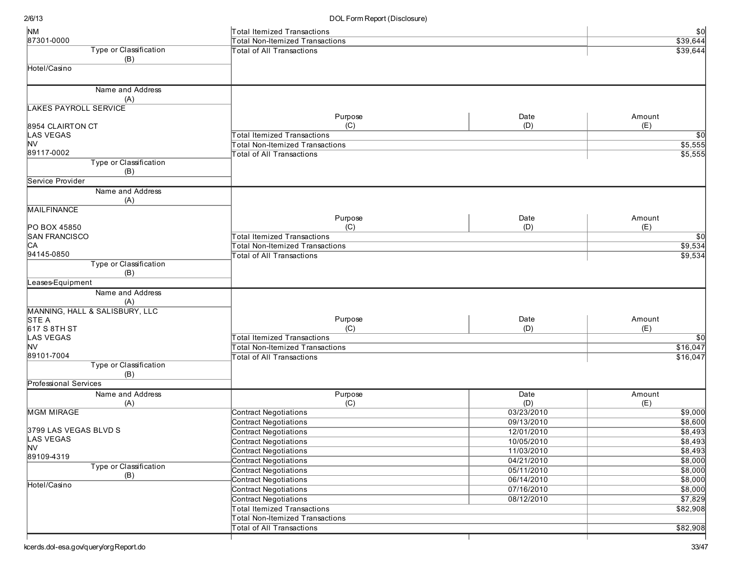| <b>NM</b>                      | <b>Total Itemized Transactions</b>     |            | $$0$            |
|--------------------------------|----------------------------------------|------------|-----------------|
| 87301-0000                     | <b>Total Non-Itemized Transactions</b> |            | \$39,644        |
| Type or Classification<br>(B)  | <b>Total of All Transactions</b>       |            | \$39,644        |
| Hotel/Casino                   |                                        |            |                 |
|                                |                                        |            |                 |
| Name and Address               |                                        |            |                 |
| (A)                            |                                        |            |                 |
| <b>LAKES PAYROLL SERVICE</b>   |                                        |            |                 |
|                                | Purpose                                | Date       | Amount          |
| 8954 CLAIRTON CT               | (C)                                    | (D)        | (E)             |
| <b>LAS VEGAS</b>               | <b>Total Itemized Transactions</b>     |            | $\overline{30}$ |
| <b>NV</b>                      | <b>Total Non-Itemized Transactions</b> |            | \$5,555         |
| 89117-0002                     | <b>Total of All Transactions</b>       |            | \$5,555         |
| Type or Classification<br>(B)  |                                        |            |                 |
| Service Provider               |                                        |            |                 |
| Name and Address<br>(A)        |                                        |            |                 |
| <b>MAILFINANCE</b>             |                                        |            |                 |
|                                | Purpose                                | Date       | Amount          |
| PO BOX 45850                   | (C)                                    | (D)        | (E)             |
| <b>SAN FRANCISCO</b>           | <b>Total Itemized Transactions</b>     |            | $\sqrt{50}$     |
| CA                             | <b>Total Non-Itemized Transactions</b> |            | \$9,534         |
| 94145-0850                     | <b>Total of All Transactions</b>       |            | \$9,534         |
| Type or Classification         |                                        |            |                 |
| (B)                            |                                        |            |                 |
| Leases-Equipment               |                                        |            |                 |
| Name and Address<br>(A)        |                                        |            |                 |
| MANNING, HALL & SALISBURY, LLC |                                        |            |                 |
| STE A                          | Purpose                                | Date       | Amount          |
| 617 S 8TH ST                   | (C)                                    | (D)        | (E)             |
| <b>LAS VEGAS</b>               | <b>Total Itemized Transactions</b>     |            | $\overline{30}$ |
| <b>NV</b>                      | <b>Total Non-Itemized Transactions</b> |            | \$16,047        |
| 89101-7004                     | <b>Total of All Transactions</b>       |            | \$16,047        |
| Type or Classification<br>(B)  |                                        |            |                 |
| Professional Services          |                                        |            |                 |
| Name and Address               | Purpose                                | Date       | Amount          |
| (A)                            | (C)                                    | (D)        | (E)             |
| <b>MGM MIRAGE</b>              | <b>Contract Negotiations</b>           | 03/23/2010 | \$9,000         |
|                                | <b>Contract Negotiations</b>           | 09/13/2010 | \$8,600         |
| 3799 LAS VEGAS BLVD S          | <b>Contract Negotiations</b>           | 12/01/2010 | \$8,493         |
| LAS VEGAS                      | <b>Contract Negotiations</b>           | 10/05/2010 | \$8,493         |
| <b>NV</b>                      | <b>Contract Negotiations</b>           | 11/03/2010 | \$8,493         |
| 89109-4319                     | <b>Contract Negotiations</b>           | 04/21/2010 | \$8,000         |
| Type or Classification         | <b>Contract Negotiations</b>           | 05/11/2010 | \$8,000         |
| (B)                            | <b>Contract Negotiations</b>           | 06/14/2010 | \$8,000         |
| Hotel/Casino                   | <b>Contract Negotiations</b>           | 07/16/2010 | \$8,000         |
|                                | <b>Contract Negotiations</b>           | 08/12/2010 | $\sqrt{$7,829}$ |
|                                | <b>Total Itemized Transactions</b>     |            | \$82,908        |
|                                | <b>Total Non-Itemized Transactions</b> |            |                 |
|                                | <b>Total of All Transactions</b>       |            | \$82,908        |
|                                |                                        |            |                 |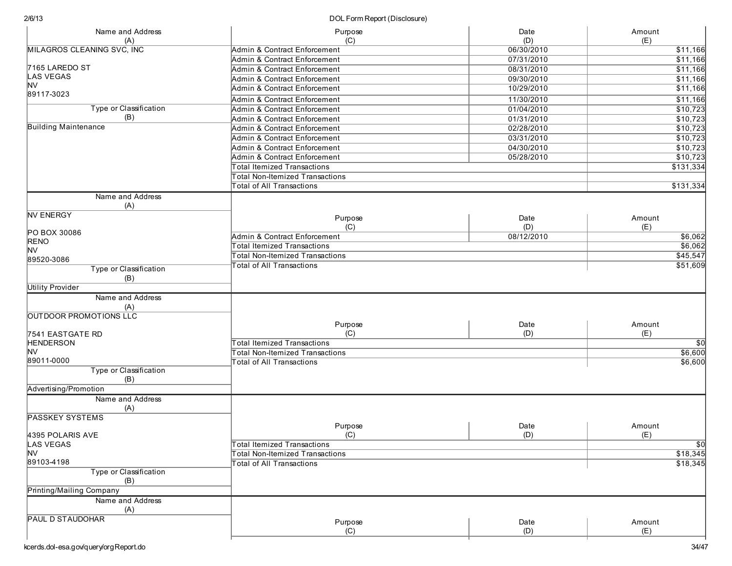| Name and Address<br>(A)       | Purpose<br>(C)                         | Date<br>(D) | Amount<br>(E)             |
|-------------------------------|----------------------------------------|-------------|---------------------------|
| MILAGROS CLEANING SVC, INC    | Admin & Contract Enforcement           | 06/30/2010  | \$11,166                  |
|                               | Admin & Contract Enforcement           | 07/31/2010  | \$11,166                  |
| 7165 LAREDO ST                | Admin & Contract Enforcement           | 08/31/2010  | \$11,166                  |
| <b>LAS VEGAS</b>              | Admin & Contract Enforcement           | 09/30/2010  | \$11,166                  |
| <b>NV</b>                     | Admin & Contract Enforcement           |             |                           |
| 89117-3023                    |                                        | 10/29/2010  | \$11,166                  |
|                               | Admin & Contract Enforcement           | 11/30/2010  | \$11,166                  |
| Type or Classification        | Admin & Contract Enforcement           | 01/04/2010  | \$10,723                  |
| (B)                           | Admin & Contract Enforcement           | 01/31/2010  | \$10,723                  |
| <b>Building Maintenance</b>   | Admin & Contract Enforcement           | 02/28/2010  | \$10,723                  |
|                               | Admin & Contract Enforcement           | 03/31/2010  | \$10,723                  |
|                               | Admin & Contract Enforcement           | 04/30/2010  | \$10,723                  |
|                               | Admin & Contract Enforcement           | 05/28/2010  | \$10,723                  |
|                               | <b>Total Itemized Transactions</b>     |             | \$131,334                 |
|                               | <b>Total Non-Itemized Transactions</b> |             |                           |
|                               | Total of All Transactions              |             | \$131,334                 |
| Name and Address<br>(A)       |                                        |             |                           |
| <b>NV ENERGY</b>              | Purpose                                | Date        | Amount                    |
|                               | (C)                                    | (D)         | (E)                       |
| PO BOX 30086                  | Admin & Contract Enforcement           | 08/12/2010  | \$6,062                   |
| <b>RENO</b>                   | <b>Total Itemized Transactions</b>     |             | \$6,062                   |
| <b>NV</b>                     | <b>Total Non-Itemized Transactions</b> |             | \$45,547                  |
| 89520-3086                    | <b>Total of All Transactions</b>       |             | \$51,609                  |
| Type or Classification<br>(B) |                                        |             |                           |
| <b>Utility Provider</b>       |                                        |             |                           |
| Name and Address              |                                        |             |                           |
| (A)                           |                                        |             |                           |
| OUTDOOR PROMOTIONS LLC        |                                        |             |                           |
|                               | Purpose                                | Date        | Amount                    |
| 7541 EASTGATE RD              | (C)                                    | (D)         | (E)                       |
| <b>HENDERSON</b>              | <b>Total Itemized Transactions</b>     |             | $\overline{50}$           |
| <b>NV</b><br>89011-0000       | <b>Total Non-Itemized Transactions</b> |             | \$6,600                   |
| Type or Classification        | Total of All Transactions              |             | \$6,600                   |
| (B)                           |                                        |             |                           |
| Advertising/Promotion         |                                        |             |                           |
| Name and Address              |                                        |             |                           |
| (A)                           |                                        |             |                           |
| <b>PASSKEY SYSTEMS</b>        |                                        |             |                           |
|                               | Purpose                                | Date        | Amount                    |
| 4395 POLARIS AVE<br>LAS VEGAS | (C)<br>Total Itemized Transactions     | (D)         | (E)                       |
| <b>NV</b>                     |                                        |             | $\frac{1}{2}$<br>\$18,345 |
| 89103-4198                    | Total Non-Itemized Transactions        |             |                           |
| <b>Type or Classification</b> | <b>Total of All Transactions</b>       |             | \$18,345                  |
| (B)                           |                                        |             |                           |
| Printing/Mailing Company      |                                        |             |                           |
| Name and Address              |                                        |             |                           |
| (A)                           |                                        |             |                           |
| <b>PAUL D STAUDOHAR</b>       | Purpose                                | Date        | Amount                    |
|                               | (C)                                    | (D)         | (E)                       |
|                               |                                        |             |                           |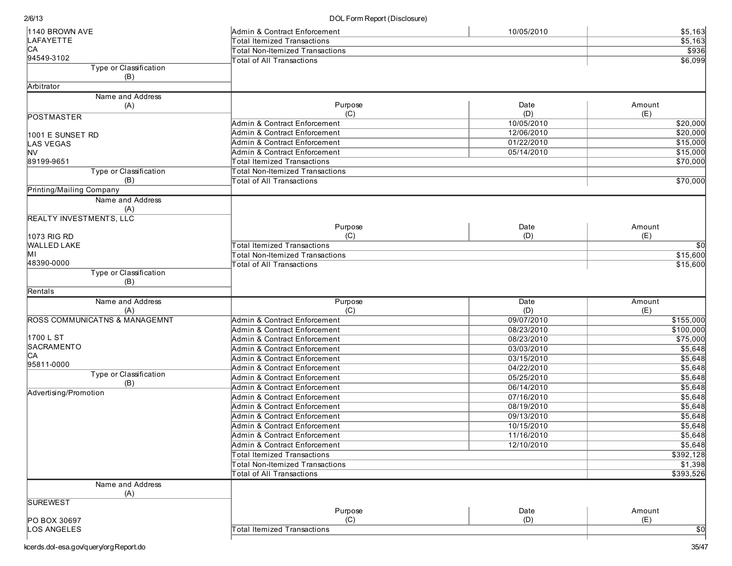| 1140 BROWN AVE                           | Admin & Contract Enforcement            | 10/05/2010 | \$5,163         |
|------------------------------------------|-----------------------------------------|------------|-----------------|
| LAFAYETTE                                | <b>Total Itemized Transactions</b>      |            | \$5,163         |
| C <sub>A</sub>                           | <b>Total Non-Itemized Transactions</b>  |            | \$936           |
| 94549-3102                               | <b>Total of All Transactions</b>        |            | \$6,099         |
| Type or Classification                   |                                         |            |                 |
| (B)                                      |                                         |            |                 |
| Arbitrator                               |                                         |            |                 |
| Name and Address                         |                                         |            |                 |
| (A)                                      | Purpose                                 | Date       | Amount          |
| <b>POSTMASTER</b>                        | (C)                                     | (D)        | (E)             |
|                                          | Admin & Contract Enforcement            | 10/05/2010 | \$20,000        |
| 1001 E SUNSET RD                         | Admin & Contract Enforcement            | 12/06/2010 | \$20,000        |
| <b>LAS VEGAS</b>                         | Admin & Contract Enforcement            | 01/22/2010 | \$15,000        |
| lNV                                      | Admin & Contract Enforcement            | 05/14/2010 | \$15,000        |
| 89199-9651                               | <b>Total Itemized Transactions</b>      |            | \$70,000        |
| Type or Classification                   | <b>Total Non-Itemized Transactions</b>  |            |                 |
| (B)                                      | <b>Total of All Transactions</b>        |            | \$70,000        |
| Printing/Mailing Company                 |                                         |            |                 |
| Name and Address                         |                                         |            |                 |
| (A)                                      |                                         |            |                 |
| <b>REALTY INVESTMENTS, LLC</b>           |                                         |            |                 |
|                                          | Purpose                                 | Date       | Amount          |
| 1073 RIG RD                              | (C)                                     | (D)        | (E)             |
| <b>WALLED LAKE</b>                       | <b>Total Itemized Transactions</b>      |            | $\sqrt{50}$     |
| MI                                       | <b>Total Non-Itemized Transactions</b>  |            | \$15,600        |
| 48390-0000                               | <b>Total of All Transactions</b>        |            | \$15,600        |
| Type or Classification                   |                                         |            |                 |
| (B)                                      |                                         |            |                 |
| Rentals                                  |                                         |            |                 |
| Name and Address                         | Purpose                                 | Date       | Amount          |
| (A)                                      | (C)                                     | (D)        | (E)             |
| <b>ROSS COMMUNICATNS &amp; MANAGEMNT</b> | Admin & Contract Enforcement            | 09/07/2010 | \$155,000       |
| 1700 L ST                                | <b>Admin &amp; Contract Enforcement</b> | 08/23/2010 | \$100,000       |
| SACRAMENTO                               | Admin & Contract Enforcement            | 08/23/2010 | \$75,000        |
| CА                                       | Admin & Contract Enforcement            | 03/03/2010 | \$5,648         |
| 95811-0000                               | Admin & Contract Enforcement            | 03/15/2010 | \$5,648         |
| Type or Classification                   | Admin & Contract Enforcement            | 04/22/2010 | \$5,648         |
| (B)                                      | Admin & Contract Enforcement            | 05/25/2010 | \$5,648         |
| Advertising/Promotion                    | Admin & Contract Enforcement            | 06/14/2010 | \$5,648         |
|                                          | Admin & Contract Enforcement            | 07/16/2010 | \$5,648         |
|                                          | Admin & Contract Enforcement            | 08/19/2010 | \$5,648         |
|                                          | Admin & Contract Enforcement            | 09/13/2010 | \$5,648         |
|                                          | Admin & Contract Enforcement            | 10/15/2010 | \$5,648         |
|                                          | Admin & Contract Enforcement            | 11/16/2010 | \$5,648         |
|                                          | Admin & Contract Enforcement            | 12/10/2010 | \$5,648         |
|                                          | <b>Total Itemized Transactions</b>      |            | \$392,128       |
|                                          | <b>Total Non-Itemized Transactions</b>  |            | \$1,398         |
|                                          | Total of All Transactions               |            | \$393,526       |
| Name and Address<br>(A)                  |                                         |            |                 |
| <b>SUREWEST</b>                          |                                         |            |                 |
|                                          | Purpose                                 | Date       | Amount          |
| PO BOX 30697                             | (C)                                     | (D)        | (E)             |
| LOS ANGELES                              | <b>Total Itemized Transactions</b>      |            | $\overline{50}$ |
|                                          |                                         |            |                 |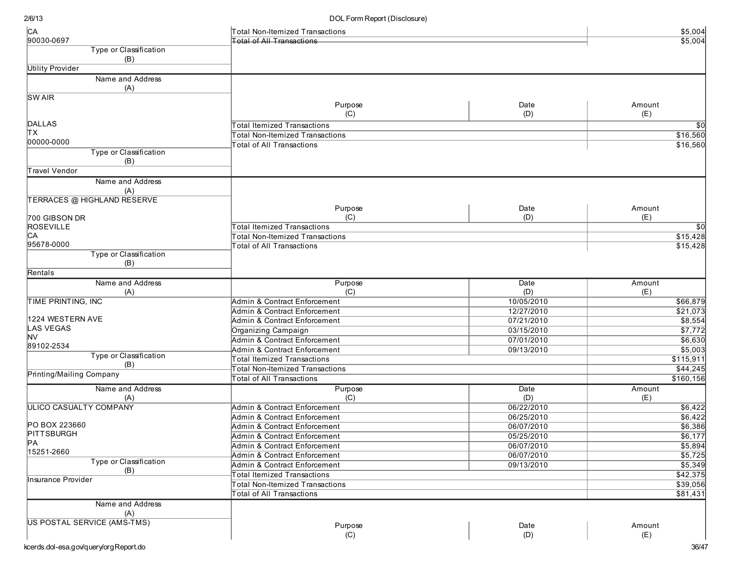| C <sub>A</sub>                       | <b>Total Non-Itemized Transactions</b> |                   | \$5,004        |
|--------------------------------------|----------------------------------------|-------------------|----------------|
| 90030-0697                           | <b>Total of All Transactions</b>       |                   | \$5,004        |
| Type or Classification               |                                        |                   |                |
| (B)                                  |                                        |                   |                |
| <b>Utility Provider</b>              |                                        |                   |                |
| Name and Address                     |                                        |                   |                |
| (A)                                  |                                        |                   |                |
| <b>SWAIR</b>                         |                                        |                   |                |
|                                      | Purpose                                | Date              | Amount         |
|                                      | (C)                                    | (D)               | (E)            |
| <b>DALLAS</b>                        | <b>Total Itemized Transactions</b>     |                   | \$0            |
| ΙTΧ                                  | <b>Total Non-Itemized Transactions</b> |                   | \$16,560       |
| 00000-0000                           | <b>Total of All Transactions</b>       |                   | \$16,560       |
| Type or Classification               |                                        |                   |                |
| (B)                                  |                                        |                   |                |
| Travel Vendor                        |                                        |                   |                |
| Name and Address                     |                                        |                   |                |
| (A)                                  |                                        |                   |                |
| <b>TERRACES @ HIGHLAND RESERVE</b>   |                                        |                   |                |
|                                      | Purpose                                | Date              | Amount         |
| 700 GIBSON DR                        | (C)                                    | (D)               | (E)            |
| <b>ROSEVILLE</b>                     | Total Itemized Transactions            |                   | \$0            |
| CА                                   | <b>Total Non-Itemized Transactions</b> |                   | \$15,428       |
| 95678-0000                           | <b>Total of All Transactions</b>       |                   | \$15,428       |
| Type or Classification               |                                        |                   |                |
| (B)                                  |                                        |                   |                |
| Rentals                              |                                        |                   |                |
| Name and Address                     | Purpose                                | Date              | Amount         |
| (A)                                  | (C)                                    | (D)               | (E)            |
| TIME PRINTING, INC                   | Admin & Contract Enforcement           | 10/05/2010        | \$66,879       |
|                                      | Admin & Contract Enforcement           | 12/27/2010        | \$21,073       |
| 1224 WESTERN AVE                     | Admin & Contract Enforcement           | 07/21/2010        | \$8,554        |
| LAS VEGAS                            | Organizing Campaign                    | 03/15/2010        | \$7,772        |
| NV                                   | Admin & Contract Enforcement           | 07/01/2010        | \$6,630        |
| 89102-2534                           | Admin & Contract Enforcement           | 09/13/2010        | \$5,003        |
| Type or Classification               | <b>Total Itemized Transactions</b>     |                   | \$115,911      |
| (B)                                  | <b>Total Non-Itemized Transactions</b> |                   | \$44,245       |
| Printing/Mailing Company             | <b>Total of All Transactions</b>       |                   | \$160, 156     |
| Name and Address                     |                                        | Date              | Amount         |
|                                      | Purpose<br>(C)                         |                   |                |
| (A)<br><b>ULICO CASUALTY COMPANY</b> | Admin & Contract Enforcement           | (D)<br>06/22/2010 | (E)<br>\$6,422 |
|                                      | Admin & Contract Enforcement           | 06/25/2010        | \$6,422        |
| PO BOX 223660                        |                                        |                   |                |
| PITTSBURGH                           | Admin & Contract Enforcement           | 06/07/2010        | \$6,386        |
| PA                                   | Admin & Contract Enforcement           | 05/25/2010        | \$6,177        |
| 15251-2660                           | Admin & Contract Enforcement           | 06/07/2010        | \$5,894        |
| Type or Classification               | Admin & Contract Enforcement           | 06/07/2010        | \$5,725        |
| (B)                                  | Admin & Contract Enforcement           | 09/13/2010        | \$5,349        |
| Insurance Provider                   | <b>Total Itemized Transactions</b>     |                   | \$42,375       |
|                                      | <b>Total Non-Itemized Transactions</b> |                   | \$39,056       |
|                                      | <b>Total of All Transactions</b>       |                   | \$81,431       |
| Name and Address                     |                                        |                   |                |
| (A)                                  |                                        |                   |                |
| US POSTAL SERVICE (AMS-TMS)          | Purpose                                | Date              | Amount         |
|                                      | (C)                                    | (D)               | (E)            |
|                                      |                                        |                   |                |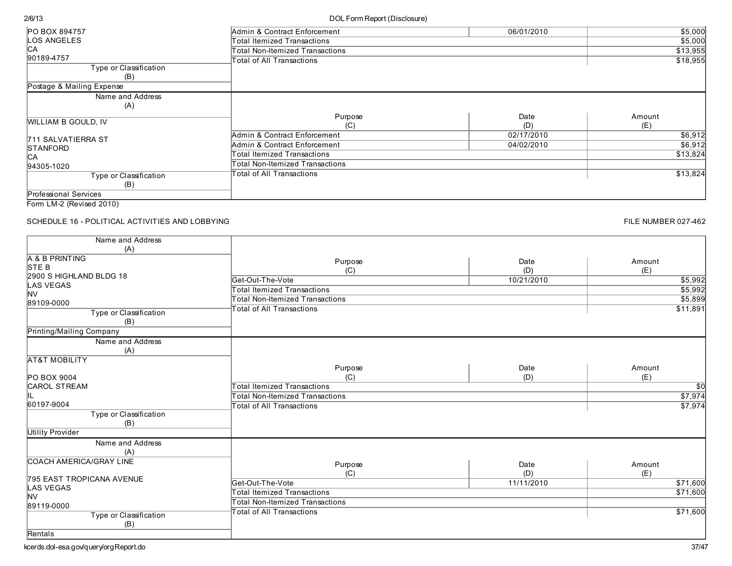## DOL Form Report (Disclosure)

| PO BOX 894757              | Admin & Contract Enforcement    | 06/01/2010 | \$5,000  |
|----------------------------|---------------------------------|------------|----------|
| <b>LOS ANGELES</b>         | Total Itemized Transactions     |            | \$5,000  |
| IСA                        | Total Non-Itemized Transactions |            | \$13,955 |
| 90189-4757                 | Total of All Transactions       |            | \$18,955 |
| Type or Classification     |                                 |            |          |
| (B)                        |                                 |            |          |
| Postage & Mailing Expense  |                                 |            |          |
| Name and Address           |                                 |            |          |
| (A)                        |                                 |            |          |
|                            | Purpose                         | Date       | Amount   |
| <b>WILLIAM B GOULD, IV</b> | (C)                             | (D)        | (E)      |
| 711 SALVATIERRA ST         | Admin & Contract Enforcement    | 02/17/2010 | \$6,912  |
| <b>STANFORD</b>            | Admin & Contract Enforcement    | 04/02/2010 | \$6,912  |
| IСA                        | Total Itemized Transactions     |            | \$13,824 |
| 94305-1020                 | Total Non-Itemized Transactions |            |          |
| Type or Classification     | Total of All Transactions       |            | \$13,824 |
| (B)                        |                                 |            |          |
| Professional Services      |                                 |            |          |
| Form LM-2 (Revised 2010)   |                                 |            |          |

SCHEDULE 16 - POLITICAL ACTIVITIES AND LOBBYING

| Name and Address               |                                        |            |          |
|--------------------------------|----------------------------------------|------------|----------|
| (A)                            |                                        |            |          |
| A & B PRINTING                 | Purpose                                | Date       | Amount   |
| STE B                          | (C)                                    | (D)        | (E)      |
| 2900 S HIGHLAND BLDG 18        | Get-Out-The-Vote                       | 10/21/2010 | \$5,992  |
| <b>LAS VEGAS</b>               | <b>Total Itemized Transactions</b>     |            | \$5,992  |
| <b>NV</b>                      | <b>Total Non-Itemized Transactions</b> |            | \$5,899  |
| 89109-0000                     | <b>Total of All Transactions</b>       |            | \$11,891 |
| Type or Classification         |                                        |            |          |
| (B)                            |                                        |            |          |
| Printing/Mailing Company       |                                        |            |          |
| Name and Address               |                                        |            |          |
| (A)                            |                                        |            |          |
| <b>AT&amp;T MOBILITY</b>       |                                        |            |          |
|                                | Purpose                                | Date       | Amount   |
| PO BOX 9004                    | (C)                                    | (D)        | (E)      |
| <b>CAROL STREAM</b>            | <b>Total Itemized Transactions</b>     |            | \$0      |
| IIL                            | <b>Total Non-Itemized Transactions</b> |            | \$7,974  |
| 60197-9004                     | <b>Total of All Transactions</b>       |            | \$7,974  |
| Type or Classification         |                                        |            |          |
| (B)                            |                                        |            |          |
| Utility Provider               |                                        |            |          |
| Name and Address               |                                        |            |          |
| (A)                            |                                        |            |          |
| <b>COACH AMERICA/GRAY LINE</b> |                                        |            |          |
|                                | Purpose                                | Date       | Amount   |
| 795 EAST TROPICANA AVENUE      | (C)                                    | (D)        | (E)      |
| <b>LAS VEGAS</b>               | Get-Out-The-Vote                       | 11/11/2010 | \$71,600 |
| <b>NV</b>                      | <b>Total Itemized Transactions</b>     |            | \$71,600 |
| 89119-0000                     | <b>Total Non-Itemized Transactions</b> |            |          |
| Type or Classification         | <b>Total of All Transactions</b>       |            | \$71,600 |
| (B)                            |                                        |            |          |
| Rentals                        |                                        |            |          |
|                                |                                        |            |          |

FILE NUMBER 027-462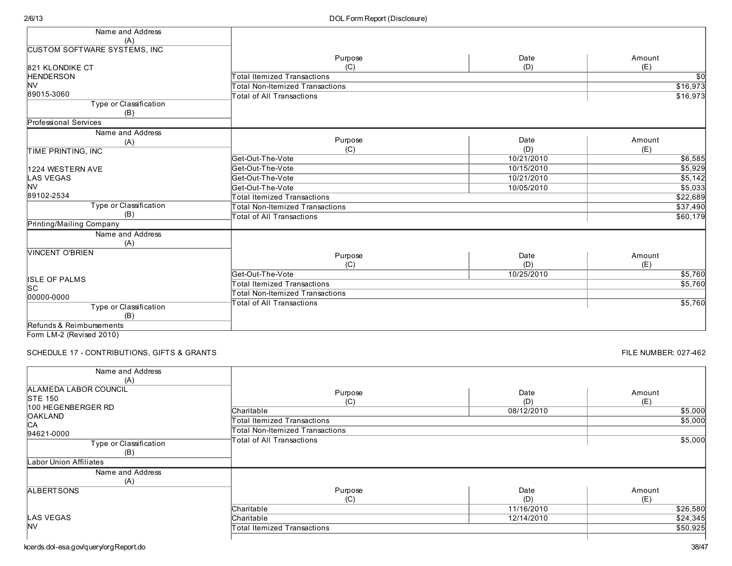| Name and Address                    |                                        |            |                 |
|-------------------------------------|----------------------------------------|------------|-----------------|
| (A)                                 |                                        |            |                 |
| <b>CUSTOM SOFTWARE SYSTEMS, INC</b> |                                        |            |                 |
|                                     | Purpose                                | Date       | Amount          |
| 821 KLONDIKE CT                     | (C)                                    | (D)        | (E)             |
| <b>HENDERSON</b>                    | <b>Total Itemized Transactions</b>     |            | $\overline{50}$ |
| <b>NV</b>                           | <b>Total Non-Itemized Transactions</b> |            | \$16,973        |
| 89015-3060                          | <b>Total of All Transactions</b>       |            | \$16,973        |
| Type or Classification              |                                        |            |                 |
| (B)                                 |                                        |            |                 |
| Professional Services               |                                        |            |                 |
| Name and Address                    |                                        |            |                 |
| (A)                                 | Purpose                                | Date       | Amount          |
| TIME PRINTING, INC                  | (C)                                    | (D)        | (E)             |
|                                     | Get-Out-The-Vote                       | 10/21/2010 | \$6,585         |
| 1224 WESTERN AVE                    | Get-Out-The-Vote                       | 10/15/2010 | \$5,929         |
| <b>LAS VEGAS</b>                    | Get-Out-The-Vote                       | 10/21/2010 | \$5,142         |
| <b>NV</b>                           | Get-Out-The-Vote                       | 10/05/2010 | \$5,033         |
| 89102-2534                          | <b>Total Itemized Transactions</b>     |            | \$22,689        |
| Type or Classification              | <b>Total Non-Itemized Transactions</b> |            | \$37,490        |
| (B)                                 | <b>Total of All Transactions</b>       |            | \$60,179        |
| Printing/Mailing Company            |                                        |            |                 |
| Name and Address                    |                                        |            |                 |
| (A)                                 |                                        |            |                 |
| <b>VINCENT O'BRIEN</b>              | Purpose                                | Date       | Amount          |
|                                     | (C)                                    | (D)        | (E)             |
|                                     | Get-Out-The-Vote                       | 10/25/2010 | \$5,760         |
| <b>ISLE OF PALMS</b>                | <b>Total Itemized Transactions</b>     |            | \$5,760         |
| lsc                                 | <b>Total Non-Itemized Transactions</b> |            |                 |
| 00000-0000                          | <b>Total of All Transactions</b>       |            | \$5,760         |
| Type or Classification              |                                        |            |                 |
| (B)                                 |                                        |            |                 |
| Refunds & Reimbursements            |                                        |            |                 |

Form LM-2 (Revised 2010)

SCHEDULE 17 - CONTRIBUTIONS, GIFTS & GRANTS

FILE NUMBER: 027-462

| Name and Address       |                                 |            |          |
|------------------------|---------------------------------|------------|----------|
| (A)                    |                                 |            |          |
| ALAMEDA LABOR COUNCIL  | Purpose                         | Date       | Amount   |
| <b>STE 150</b>         | (C)                             | (D)        | (E)      |
| 100 HEGENBERGER RD     | Charitable                      | 08/12/2010 | \$5,000  |
| <b>OAKLAND</b>         | Total Itemized Transactions     |            | \$5,000  |
| C <sub>A</sub>         | Total Non-Itemized Transactions |            |          |
| 94621-0000             | Total of All Transactions       |            | \$5,000  |
| Type or Classification |                                 |            |          |
| (B)                    |                                 |            |          |
| Labor Union Affiliates |                                 |            |          |
| Name and Address       |                                 |            |          |
| (A)                    |                                 |            |          |
| <b>ALBERTSONS</b>      | Purpose                         | Date       | Amount   |
|                        | (C)                             | (D)        | (E)      |
|                        | Charitable                      | 11/16/2010 | \$26,580 |
| LAS VEGAS              | Charitable                      | 12/14/2010 | \$24,345 |
| <b>NV</b>              | Total Itemized Transactions     |            | \$50,925 |
|                        |                                 |            |          |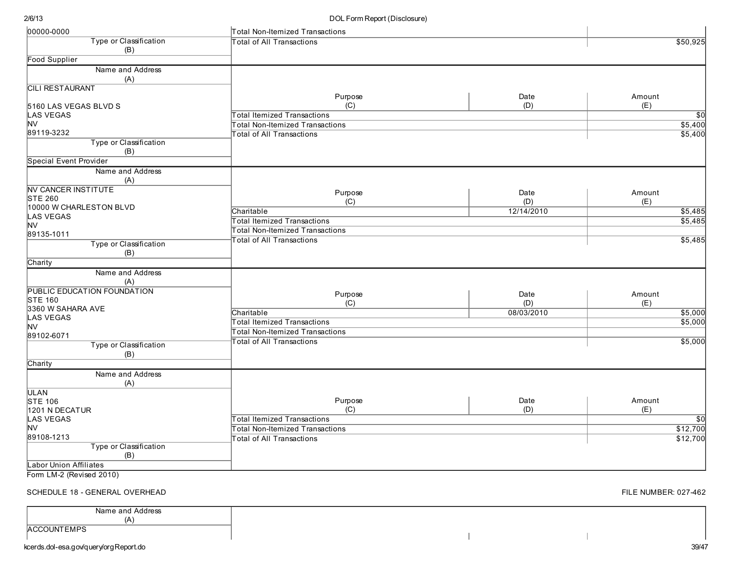#### DOL Form Report (Disclosure)

| 00000-0000                    | Total Non-Itemized Transactions        |            |                 |
|-------------------------------|----------------------------------------|------------|-----------------|
| Type or Classification        | Total of All Transactions              |            | \$50,925        |
| (B)                           |                                        |            |                 |
| Food Supplier                 |                                        |            |                 |
| Name and Address<br>(A)       |                                        |            |                 |
| <b>CILI RESTAURANT</b>        |                                        |            |                 |
|                               | Purpose                                | Date       | Amount          |
| 5160 LAS VEGAS BLVD S         | (C)                                    | (D)        | (E)             |
| <b>LAS VEGAS</b>              | Total Itemized Transactions            |            | $\overline{30}$ |
| <b>NV</b>                     | Total Non-Itemized Transactions        |            | \$5,400         |
| 89119-3232                    | <b>Total of All Transactions</b>       |            | \$5,400         |
| Type or Classification        |                                        |            |                 |
| (B)                           |                                        |            |                 |
| <b>Special Event Provider</b> |                                        |            |                 |
| Name and Address<br>(A)       |                                        |            |                 |
| <b>NV CANCER INSTITUTE</b>    | Purpose                                | Date       | Amount          |
| <b>STE 260</b>                | (C)                                    | (D)        | (E)             |
| 10000 W CHARLESTON BLVD       | Charitable                             | 12/14/2010 | \$5,485         |
| <b>LAS VEGAS</b>              | <b>Total Itemized Transactions</b>     |            | \$5,485         |
| <b>NV</b>                     | <b>Total Non-Itemized Transactions</b> |            |                 |
| 89135-1011                    | <b>Total of All Transactions</b>       |            | \$5,485         |
| Type or Classification        |                                        |            |                 |
| (B)                           |                                        |            |                 |
| Charity                       |                                        |            |                 |
| Name and Address              |                                        |            |                 |
| (A)                           |                                        |            |                 |
| PUBLIC EDUCATION FOUNDATION   | Purpose                                | Date       | Amount          |
| <b>STE 160</b>                | (C)                                    | (D)        | (E)             |
| 3360 W SAHARA AVE             | Charitable                             | 08/03/2010 | \$5,000         |
| <b>LAS VEGAS</b>              | <b>Total Itemized Transactions</b>     |            | \$5,000         |
| <b>NV</b><br>89102-6071       | Total Non-Itemized Transactions        |            |                 |
| Type or Classification        | <b>Total of All Transactions</b>       |            | \$5,000         |
|                               |                                        |            |                 |
| (B)<br>Charity                |                                        |            |                 |
|                               |                                        |            |                 |
| Name and Address<br>(A)       |                                        |            |                 |
| ULAN                          |                                        |            |                 |
| STE 106                       | Purpose                                | Date       | Amount          |
| 1201 N DECATUR                | (C)                                    | (D)        | (E)             |
| <b>LAS VEGAS</b>              | <b>Total Itemized Transactions</b>     |            | <b>\$0</b>      |
| <b>NV</b>                     | <b>Total Non-Itemized Transactions</b> |            | \$12,700        |
| 89108-1213                    | <b>Total of All Transactions</b>       |            | \$12,700        |
| Type or Classification        |                                        |            |                 |
| (B)                           |                                        |            |                 |
| <b>Labor Union Affiliates</b> |                                        |            |                 |
| Form LM-2 (Revised 2010)      |                                        |            |                 |

FILE NUMBER: 027-462

| Name and Address                                                                         |  |
|------------------------------------------------------------------------------------------|--|
| (A)                                                                                      |  |
| <b>NTEMPS</b><br><b>LACCC</b><br>$\sim$ $\sim$ $\sim$ $\sim$ $\sim$ $\sim$ $\sim$ $\sim$ |  |
|                                                                                          |  |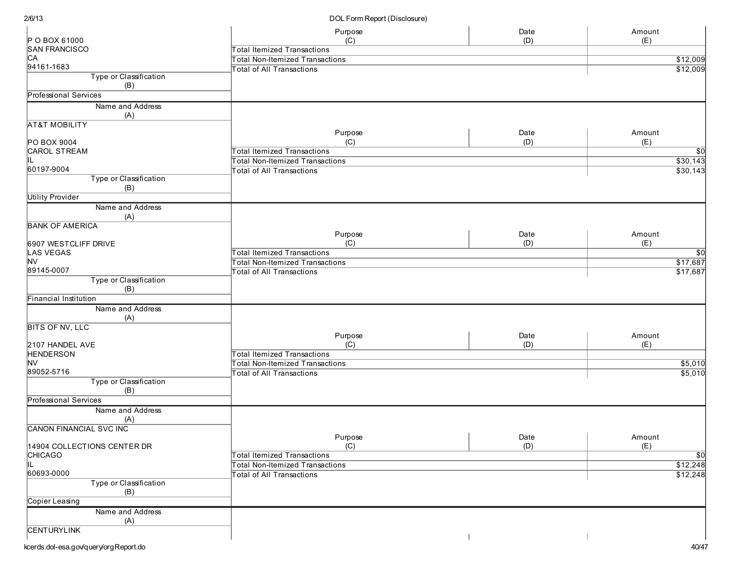|                                | Purpose                                | Date | Amount          |
|--------------------------------|----------------------------------------|------|-----------------|
| P O BOX 61000                  | (C)                                    | (D)  | (E)             |
| <b>SAN FRANCISCO</b>           | <b>Total Itemized Transactions</b>     |      |                 |
| CА                             | Total Non-Itemized Transactions        |      | \$12,009        |
| 94161-1683                     | <b>Total of All Transactions</b>       |      | \$12,009        |
| Type or Classification<br>(B)  |                                        |      |                 |
| <b>Professional Services</b>   |                                        |      |                 |
| Name and Address               |                                        |      |                 |
| (A)                            |                                        |      |                 |
| <b>AT&amp;T MOBILITY</b>       |                                        |      |                 |
|                                | Purpose                                | Date | Amount          |
| PO BOX 9004                    | (C)                                    | (D)  | (E)             |
| CAROL STREAM                   | <b>Total Itemized Transactions</b>     |      | $\overline{50}$ |
| IL.                            | <b>Total Non-Itemized Transactions</b> |      | \$30,143        |
| 60197-9004                     | <b>Total of All Transactions</b>       |      | \$30,143        |
| Type or Classification         |                                        |      |                 |
| (B)                            |                                        |      |                 |
| <b>Utility Provider</b>        |                                        |      |                 |
|                                |                                        |      |                 |
| Name and Address               |                                        |      |                 |
| (A)                            |                                        |      |                 |
| <b>BANK OF AMERICA</b>         |                                        |      |                 |
|                                | Purpose                                | Date | Amount          |
| 6907 WESTCLIFF DRIVE           | (C)                                    | (D)  | (E)             |
| LAS VEGAS                      | <b>Total Itemized Transactions</b>     |      | \$0             |
| M∨                             | Total Non-Itemized Transactions        |      | \$17,687        |
| 89145-0007                     | <b>Total of All Transactions</b>       |      | \$17,687        |
| Type or Classification         |                                        |      |                 |
| (B)                            |                                        |      |                 |
| Financial Institution          |                                        |      |                 |
| Name and Address               |                                        |      |                 |
| (A)                            |                                        |      |                 |
| <b>BITS OF NV, LLC</b>         |                                        |      |                 |
|                                | Purpose                                | Date | Amount          |
| 2107 HANDEL AVE                | (C)                                    | (D)  | (E)             |
| <b>HENDERSON</b>               | <b>Total Itemized Transactions</b>     |      |                 |
| NV                             | <b>Total Non-Itemized Transactions</b> |      | \$5,010         |
| 89052-5716                     | Total of All Transactions              |      | \$5,010         |
| Type or Classification         |                                        |      |                 |
| (B)                            |                                        |      |                 |
| Professional Services          |                                        |      |                 |
| Name and Address               |                                        |      |                 |
| (A)                            |                                        |      |                 |
| <b>CANON FINANCIAL SVC INC</b> |                                        |      |                 |
|                                | Purpose                                | Date | Amount          |
| 14904 COLLECTIONS CENTER DR    | (C)                                    | (D)  | (E)             |
| <b>CHICAGO</b>                 | <b>Total Itemized Transactions</b>     |      | $\overline{50}$ |
| IL                             | <b>Total Non-Itemized Transactions</b> |      | \$12,248        |
| 60693-0000                     | <b>Total of All Transactions</b>       |      | \$12,248        |
| Type or Classification         |                                        |      |                 |
| (B)                            |                                        |      |                 |
| Copier Leasing                 |                                        |      |                 |
| Name and Address               |                                        |      |                 |
| (A)                            |                                        |      |                 |
| <b>CENTURYLINK</b>             |                                        |      |                 |
|                                |                                        |      |                 |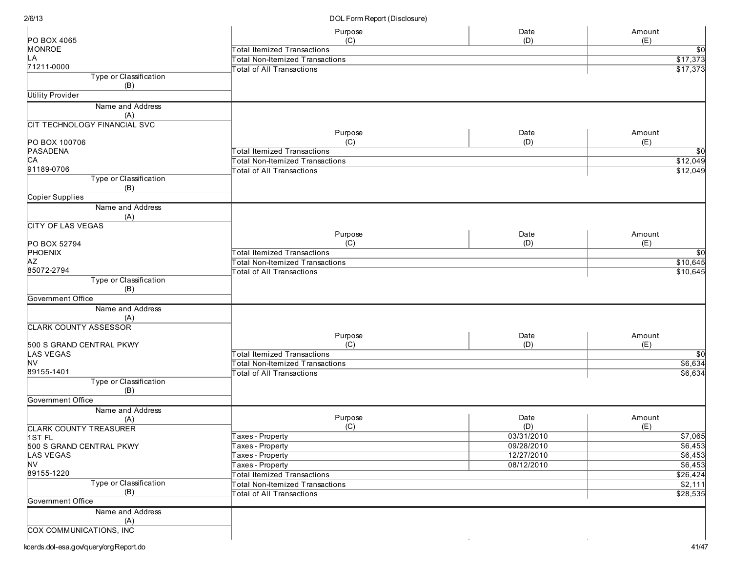|                                      | Purpose                                | Date       | Amount      |
|--------------------------------------|----------------------------------------|------------|-------------|
| PO BOX 4065                          | (C)                                    | (D)        | (E)         |
| <b>MONROE</b>                        | <b>Total Itemized Transactions</b>     |            | \$0∣        |
| LА                                   | <b>Total Non-Itemized Transactions</b> |            | \$17,373    |
| 71211-0000                           | <b>Total of All Transactions</b>       |            | \$17,373    |
| <b>Type or Classification</b><br>(B) |                                        |            |             |
| <b>Utility Provider</b>              |                                        |            |             |
| Name and Address                     |                                        |            |             |
| (A)                                  |                                        |            |             |
| CIT TECHNOLOGY FINANCIAL SVC         |                                        |            |             |
|                                      | Purpose                                | Date       | Amount      |
| PO BOX 100706                        | (C)                                    | (D)        | (E)         |
| PASADENA                             | <b>Total Itemized Transactions</b>     |            | \$0         |
| CА                                   | <b>Total Non-Itemized Transactions</b> |            | \$12,049    |
| 91189-0706                           | <b>Total of All Transactions</b>       |            | \$12,049    |
| Type or Classification               |                                        |            |             |
| (B)                                  |                                        |            |             |
| <b>Copier Supplies</b>               |                                        |            |             |
| Name and Address                     |                                        |            |             |
| (A)                                  |                                        |            |             |
| <b>CITY OF LAS VEGAS</b>             |                                        |            |             |
|                                      | Purpose                                | Date       | Amount      |
| PO BOX 52794                         | (C)                                    | (D)        | (E)         |
| PHOENIX                              | <b>Total Itemized Transactions</b>     |            | \$0         |
| AZ                                   | <b>Total Non-Itemized Transactions</b> |            | \$10,645    |
| 85072-2794                           | <b>Total of All Transactions</b>       |            | \$10,645    |
| Type or Classification               |                                        |            |             |
| (B)                                  |                                        |            |             |
| Government Office                    |                                        |            |             |
| Name and Address                     |                                        |            |             |
| (A)                                  |                                        |            |             |
| <b>CLARK COUNTY ASSESSOR</b>         | Purpose                                | Date       | Amount      |
| 500 S GRAND CENTRAL PKWY             | (C)                                    | (D)        | (E)         |
| LAS VEGAS                            | <b>Total Itemized Transactions</b>     |            | $\sqrt{50}$ |
| M∨                                   | <b>Total Non-Itemized Transactions</b> |            | \$6,634     |
| 89155-1401                           | <b>Total of All Transactions</b>       |            | \$6,634     |
| Type or Classification               |                                        |            |             |
| (B)                                  |                                        |            |             |
| Government Office                    |                                        |            |             |
| Name and Address                     |                                        |            |             |
| (A)                                  | Purpose                                | Date       | Amount      |
| <b>CLARK COUNTY TREASURER</b>        | (C)                                    | (D)        | (E)         |
| 1ST FL                               | Taxes - Property                       | 03/31/2010 | \$7,065     |
| 500 S GRAND CENTRAL PKWY             | Taxes - Property                       | 09/28/2010 | \$6,453     |
| LAS VEGAS                            | Taxes - Property                       | 12/27/2010 | \$6,453     |
| <b>NV</b>                            | Taxes - Property                       | 08/12/2010 | \$6,453     |
| 89155-1220                           | <b>Total Itemized Transactions</b>     |            | \$26,424    |
| Type or Classification               | <b>Total Non-Itemized Transactions</b> |            | \$2,111     |
| (B)                                  | <b>Total of All Transactions</b>       |            | \$28,535    |
| Government Office                    |                                        |            |             |
| Name and Address                     |                                        |            |             |
| (A)                                  |                                        |            |             |
| <b>COX COMMUNICATIONS, INC</b>       |                                        |            |             |
|                                      |                                        |            |             |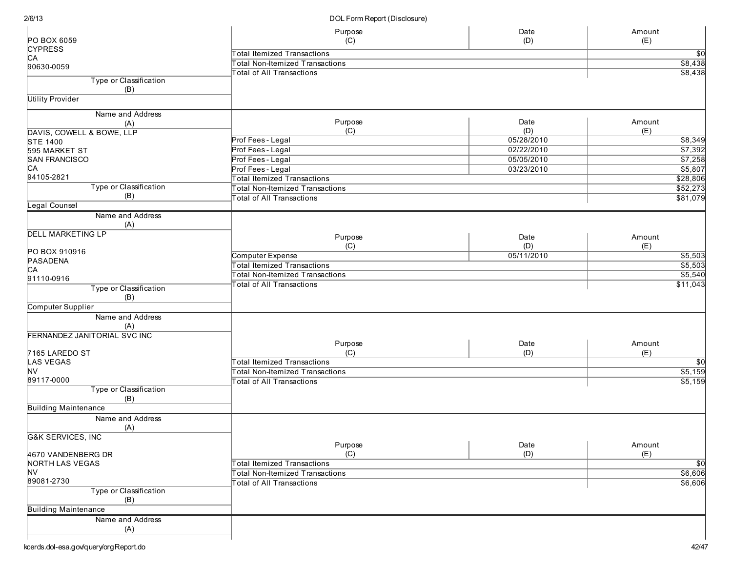| PO BOX 6059                   | Purpose<br>(C)                         | Date<br>(D) | Amount<br>(E)   |
|-------------------------------|----------------------------------------|-------------|-----------------|
| <b>CYPRESS</b>                | <b>Total Itemized Transactions</b>     |             | $\overline{30}$ |
| CA                            | <b>Total Non-Itemized Transactions</b> |             | \$8,438         |
| 90630-0059                    | <b>Total of All Transactions</b>       |             | \$8,438         |
| Type or Classification<br>(B) |                                        |             |                 |
| <b>Utility Provider</b>       |                                        |             |                 |
| Name and Address              |                                        |             |                 |
| (A)                           | Purpose                                | Date        | Amount          |
| DAVIS, COWELL & BOWE, LLP     | (C)                                    | (D)         | (E)             |
| <b>STE 1400</b>               | Prof Fees - Legal                      | 05/28/2010  | \$8,349         |
| 595 MARKET ST                 | Prof Fees - Legal                      | 02/22/2010  | \$7,392         |
| <b>SAN FRANCISCO</b>          | Prof Fees - Legal                      | 05/05/2010  | \$7,258         |
|                               |                                        |             |                 |
| CA<br>94105-2821              | Prof Fees - Legal                      | 03/23/2010  | \$5,807         |
|                               | <b>Total Itemized Transactions</b>     |             | \$28,806        |
| Type or Classification        | <b>Total Non-Itemized Transactions</b> |             | \$52,273        |
| (B)                           | <b>Total of All Transactions</b>       |             | \$81,079        |
| Legal Counsel                 |                                        |             |                 |
| Name and Address<br>(A)       |                                        |             |                 |
| <b>DELL MARKETING LP</b>      | Purpose                                | Date        | Amount          |
|                               | (C)                                    | (D)         | (E)             |
| PO BOX 910916                 |                                        |             |                 |
| PASADENA                      | Computer Expense                       | 05/11/2010  | \$5,503         |
| CA                            | <b>Total Itemized Transactions</b>     |             | \$5,503         |
| 91110-0916                    | <b>Total Non-Itemized Transactions</b> |             | \$5,540         |
| Type or Classification<br>(B) | <b>Total of All Transactions</b>       |             | \$11,043        |
| Computer Supplier             |                                        |             |                 |
|                               |                                        |             |                 |
| Name and Address<br>(A)       |                                        |             |                 |
| FERNANDEZ JANITORIAL SVC INC  |                                        |             |                 |
|                               | Purpose                                | Date        | Amount          |
| 7165 LAREDO ST                | (C)                                    | (D)         | (E)             |
| LAS VEGAS                     | <b>Total Itemized Transactions</b>     |             | $\sqrt{50}$     |
| <b>NV</b>                     | <b>Total Non-Itemized Transactions</b> |             | \$5,159         |
| 89117-0000                    | <b>Total of All Transactions</b>       |             | \$5,159         |
| Type or Classification<br>(B) |                                        |             |                 |
| <b>Building Maintenance</b>   |                                        |             |                 |
| Name and Address              |                                        |             |                 |
| (A)                           |                                        |             |                 |
| <b>G&amp;K SERVICES, INC</b>  |                                        |             |                 |
|                               | Purpose                                | Date        | Amount          |
|                               |                                        |             |                 |
| 4670 VANDENBERG DR            | (C)                                    | (D)         | (E)             |
| <b>NORTH LAS VEGAS</b>        | <b>Total Itemized Transactions</b>     |             | $\sqrt{50}$     |
| NV                            | <b>Total Non-Itemized Transactions</b> |             | \$6,606         |
| 89081-2730                    | <b>Total of All Transactions</b>       |             | \$6,606         |
| Type or Classification<br>(B) |                                        |             |                 |
| <b>Building Maintenance</b>   |                                        |             |                 |
|                               |                                        |             |                 |
| Name and Address<br>(A)       |                                        |             |                 |
|                               |                                        |             |                 |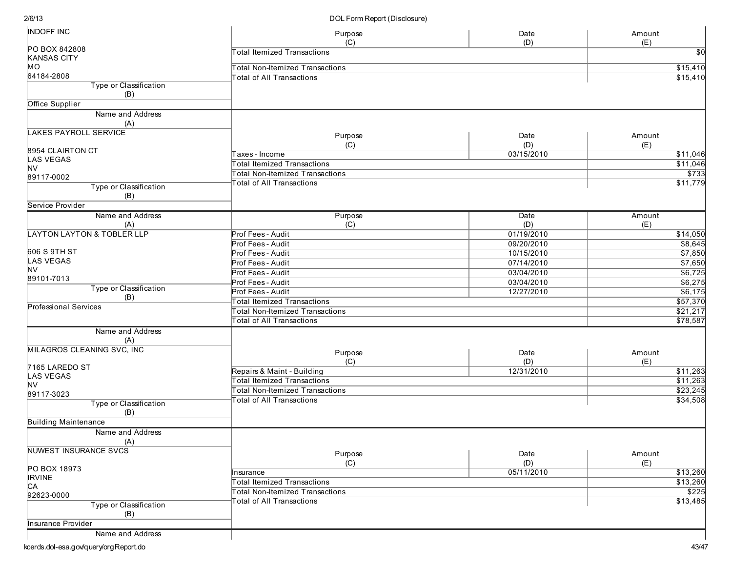| <b>INDOFF INC</b>                     | Purpose                                | Date        | Amount          |
|---------------------------------------|----------------------------------------|-------------|-----------------|
|                                       | (C)                                    | (D)         | (E)             |
| PO BOX 842808                         | <b>Total Itemized Transactions</b>     |             | $\overline{50}$ |
| <b>KANSAS CITY</b>                    |                                        |             |                 |
| MO                                    | <b>Total Non-Itemized Transactions</b> |             | \$15,410        |
| 64184-2808                            | <b>Total of All Transactions</b>       |             | \$15,410        |
| Type or Classification<br>(B)         |                                        |             |                 |
| Office Supplier                       |                                        |             |                 |
| Name and Address                      |                                        |             |                 |
| (A)                                   |                                        |             |                 |
| <b>LAKES PAYROLL SERVICE</b>          |                                        |             |                 |
|                                       | Purpose                                | Date        | Amount          |
| 8954 CLAIRTON CT                      | (C)                                    | (D)         | (E)             |
| <b>LAS VEGAS</b>                      | Taxes - Income                         | 03/15/2010  | \$11,046        |
| <b>NV</b>                             | <b>Total Itemized Transactions</b>     |             | \$11,046        |
| 89117-0002                            | <b>Total Non-Itemized Transactions</b> |             | \$733           |
|                                       | <b>Total of All Transactions</b>       |             | \$11,779        |
| Type or Classification<br>(B)         |                                        |             |                 |
| Service Provider                      |                                        |             |                 |
| Name and Address                      | Purpose                                | Date        | Amount          |
|                                       |                                        |             |                 |
| (A)                                   | (C)                                    | (D)         | (E)             |
| <b>LAYTON LAYTON &amp; TOBLER LLP</b> | Prof Fees - Audit                      | 01/19/2010  | \$14,050        |
|                                       | Prof Fees - Audit                      | 09/20/2010  | \$8,645         |
| 606 S 9TH ST                          | Prof Fees - Audit                      | 10/15/2010  | \$7,850         |
| <b>LAS VEGAS</b>                      | Prof Fees - Audit                      | 07/14/2010  | \$7,650         |
| <b>NV</b>                             | Prof Fees - Audit                      | 03/04/2010  | \$6,725         |
| 89101-7013                            | <b>Prof Fees - Audit</b>               | 03/04/2010  | \$6,275         |
| Type or Classification                | Prof Fees - Audit                      | 12/27/2010  | \$6,175         |
| (B)                                   |                                        |             |                 |
| Professional Services                 | <b>Total Itemized Transactions</b>     |             | \$57,370        |
|                                       | <b>Total Non-Itemized Transactions</b> |             | \$21,217        |
|                                       | <b>Total of All Transactions</b>       |             | \$78,587        |
| Name and Address                      |                                        |             |                 |
| (A)                                   |                                        |             |                 |
| <b>MILAGROS CLEANING SVC, INC</b>     | Purpose                                | Date        | Amount          |
|                                       | (C)                                    | (D)         | (E)             |
| 7165 LAREDO ST                        |                                        | 12/31/2010  |                 |
| <b>LAS VEGAS</b>                      | Repairs & Maint - Building             |             | \$11,263        |
| <b>NV</b>                             | <b>Total Itemized Transactions</b>     |             | \$11,263        |
| 89117-3023                            | <b>Total Non-Itemized Transactions</b> |             | \$23,245        |
| Type or Classification                | <b>Total of All Transactions</b>       |             | \$34,508        |
| (B)                                   |                                        |             |                 |
| <b>Building Maintenance</b>           |                                        |             |                 |
| Name and Address<br>(A)               |                                        |             |                 |
| NUWEST INSURANCE SVCS                 |                                        |             |                 |
|                                       | Purpose<br>(C)                         | Date<br>(D) | Amount<br>(E)   |
| PO BOX 18973                          | Insurance                              | 05/11/2010  | \$13,260        |
| <b>IRVINE</b>                         |                                        |             |                 |
| CA                                    | <b>Total Itemized Transactions</b>     |             | \$13,260        |
| 92623-0000                            | <b>Total Non-Itemized Transactions</b> |             | \$225           |
| Type or Classification                | <b>Total of All Transactions</b>       |             | \$13,485        |
| (B)                                   |                                        |             |                 |
| Insurance Provider                    |                                        |             |                 |
|                                       |                                        |             |                 |
| Name and Address                      |                                        |             |                 |
| kcerds.dol-esa.gov/query/orgReport.do |                                        |             | 43/47           |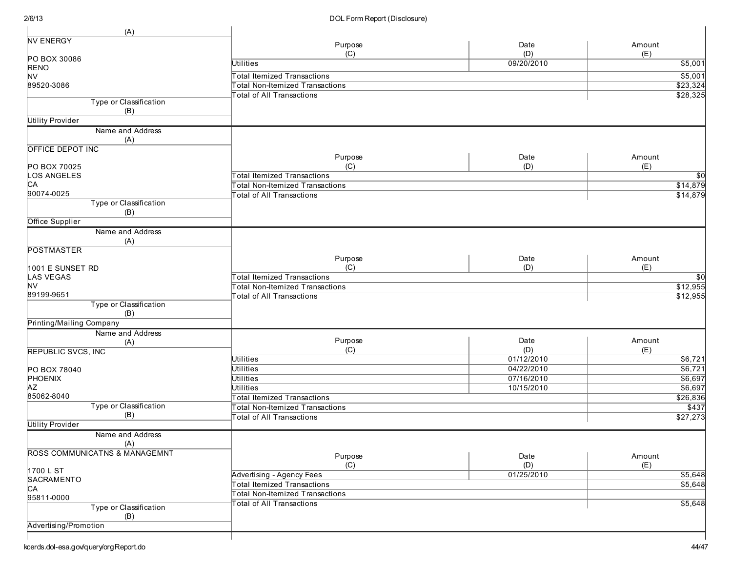| (A)                                      |                                        |             |                 |
|------------------------------------------|----------------------------------------|-------------|-----------------|
| <b>NV ENERGY</b>                         | Purpose                                | Date        | Amount          |
|                                          | (C)                                    | (D)         | (E)             |
| PO BOX 30086                             | <b>Utilities</b>                       | 09/20/2010  | \$5,001         |
| <b>RENO</b><br><b>NV</b>                 | <b>Total Itemized Transactions</b>     |             | \$5,001         |
| 89520-3086                               | <b>Total Non-Itemized Transactions</b> |             | \$23,324        |
|                                          | <b>Total of All Transactions</b>       |             | \$28,325        |
| Type or Classification                   |                                        |             |                 |
| (B)                                      |                                        |             |                 |
| <b>Utility Provider</b>                  |                                        |             |                 |
| Name and Address                         |                                        |             |                 |
| (A)                                      |                                        |             |                 |
| OFFICE DEPOT INC                         |                                        |             |                 |
|                                          | Purpose                                | Date        | Amount          |
| PO BOX 70025                             | (C)                                    | (D)         | (E)             |
| LOS ANGELES                              | <b>Total Itemized Transactions</b>     |             | <b>\$0</b>      |
| CА<br>90074-0025                         | <b>Total Non-Itemized Transactions</b> |             | \$14,879        |
|                                          | <b>Total of All Transactions</b>       |             | \$14,879        |
| Type or Classification                   |                                        |             |                 |
| (B)<br><b>Office Supplier</b>            |                                        |             |                 |
| Name and Address                         |                                        |             |                 |
| (A)                                      |                                        |             |                 |
| <b>POSTMASTER</b>                        |                                        |             |                 |
|                                          | Purpose                                | Date        | Amount          |
| 1001 E SUNSET RD                         | (C)                                    | (D)         | (E)             |
| <b>LAS VEGAS</b>                         | <b>Total Itemized Transactions</b>     |             | $\overline{50}$ |
| <b>NV</b>                                | <b>Total Non-Itemized Transactions</b> |             | \$12,955        |
| 89199-9651                               | <b>Total of All Transactions</b>       |             | \$12,955        |
| Type or Classification                   |                                        |             |                 |
| (B)                                      |                                        |             |                 |
| Printing/Mailing Company                 |                                        |             |                 |
| Name and Address                         |                                        |             |                 |
| (A)                                      | Purpose                                | Date<br>(D) | Amount<br>(E)   |
| <b>REPUBLIC SVCS, INC</b>                | (C)<br><b>Utilities</b>                | 01/12/2010  | \$6,721         |
| PO BOX 78040                             | <b>Utilities</b>                       | 04/22/2010  | \$6,721         |
| PHOENIX                                  | <b>Utilities</b>                       | 07/16/2010  | \$6,697         |
| <b>AZ</b>                                | <b>Utilities</b>                       | 10/15/2010  | \$6,697         |
| 85062-8040                               | <b>Total Itemized Transactions</b>     |             | \$26,836        |
| Type or Classification                   | <b>Total Non-Itemized Transactions</b> |             | \$437           |
| (B)                                      | <b>Total of All Transactions</b>       |             | \$27,273        |
| Utility Provider                         |                                        |             |                 |
| Name and Address                         |                                        |             |                 |
| (A)                                      |                                        |             |                 |
| <b>ROSS COMMUNICATNS &amp; MANAGEMNT</b> | Purpose                                | Date        | Amount          |
|                                          | (C)                                    | (D)         | (E)             |
| 1700 L ST                                | Advertising - Agency Fees              | 01/25/2010  | \$5,648         |
| SACRAMENTO                               | <b>Total Itemized Transactions</b>     |             | \$5,648         |
| CA                                       | <b>Total Non-Itemized Transactions</b> |             |                 |
| 95811-0000                               | <b>Total of All Transactions</b>       |             | \$5,648         |
| Type or Classification                   |                                        |             |                 |
| (B)                                      |                                        |             |                 |
| Advertising/Promotion                    |                                        |             |                 |
|                                          |                                        |             |                 |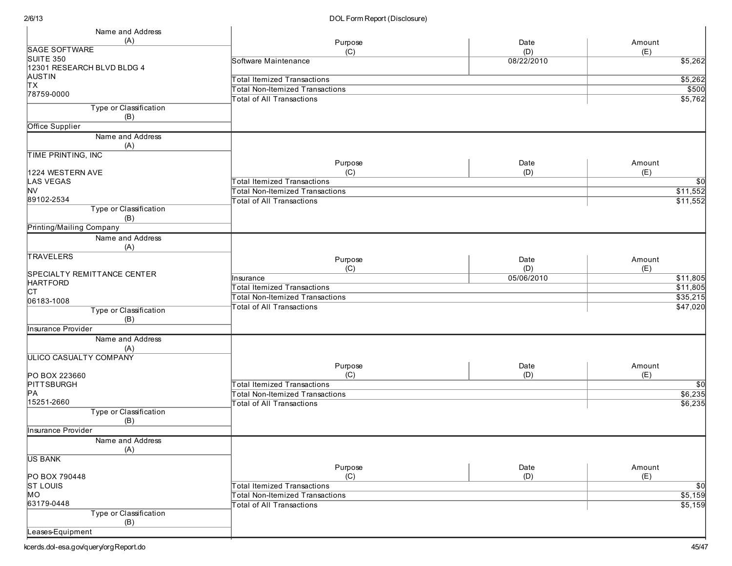| Name and Address                     |                                        |            |                 |
|--------------------------------------|----------------------------------------|------------|-----------------|
| (A)                                  | Purpose                                | Date       | Amount          |
| <b>SAGE SOFTWARE</b>                 | (C)                                    | (D)        | (E)             |
| SUITE 350                            | Software Maintenance                   | 08/22/2010 | \$5,262         |
| 12301 RESEARCH BLVD BLDG 4           |                                        |            |                 |
| AUSTIN                               | <b>Total Itemized Transactions</b>     |            | \$5,262         |
| Ιтх                                  | <b>Total Non-Itemized Transactions</b> |            | \$500           |
| 78759-0000                           | <b>Total of All Transactions</b>       |            | \$5,762         |
| Type or Classification               |                                        |            |                 |
| (B)                                  |                                        |            |                 |
| Office Supplier                      |                                        |            |                 |
| Name and Address<br>(A)              |                                        |            |                 |
| TIME PRINTING, INC                   |                                        |            |                 |
|                                      | Purpose                                | Date       | Amount          |
| 1224 WESTERN AVE                     | (C)                                    | (D)        | (E)             |
| <b>LAS VEGAS</b>                     | <b>Total Itemized Transactions</b>     |            | $\overline{50}$ |
| <b>NV</b>                            | <b>Total Non-Itemized Transactions</b> |            | \$11,552        |
| 89102-2534                           | <b>Total of All Transactions</b>       |            | \$11,552        |
| Type or Classification               |                                        |            |                 |
| (B)<br>Printing/Mailing Company      |                                        |            |                 |
| Name and Address                     |                                        |            |                 |
| (A)                                  |                                        |            |                 |
| TRAVELERS                            |                                        |            |                 |
|                                      | Purpose                                | Date       | Amount          |
| SPECIALTY REMITTANCE CENTER          | (C)                                    | (D)        | (E)             |
| <b>HARTFORD</b>                      | Insurance                              | 05/06/2010 | \$11,805        |
| Iст                                  | <b>Total Itemized Transactions</b>     |            | \$11,805        |
| 06183-1008                           | <b>Total Non-Itemized Transactions</b> |            | \$35,215        |
| Type or Classification               | <b>Total of All Transactions</b>       |            | \$47,020        |
| (B)                                  |                                        |            |                 |
| Insurance Provider                   |                                        |            |                 |
| Name and Address                     |                                        |            |                 |
| (A)<br><b>ULICO CASUALTY COMPANY</b> |                                        |            |                 |
|                                      | Purpose                                | Date       | Amount          |
| PO BOX 223660                        | (C)                                    | (D)        | (E)             |
| PITTSBURGH                           | <b>Total Itemized Transactions</b>     |            | \$0             |
| PA                                   | <b>Total Non-Itemized Transactions</b> |            | \$6,235         |
| 15251-2660                           | <b>Total of All Transactions</b>       |            | \$6,235         |
| Type or Classification               |                                        |            |                 |
| (B)                                  |                                        |            |                 |
| Insurance Provider                   |                                        |            |                 |
| Name and Address                     |                                        |            |                 |
| (A)                                  |                                        |            |                 |
| <b>US BANK</b>                       |                                        |            |                 |
|                                      | Purpose                                | Date       | Amount          |
| PO BOX 790448                        | (C)                                    | (D)        | (E)             |
| <b>ST LOUIS</b>                      | <b>Total Itemized Transactions</b>     |            | $\overline{50}$ |
| MO                                   | <b>Total Non-Itemized Transactions</b> |            | \$5,159         |
| 63179-0448                           | <b>Total of All Transactions</b>       |            | \$5,159         |
| Type or Classification<br>(B)        |                                        |            |                 |
| Leases-Equipment                     |                                        |            |                 |
|                                      |                                        |            |                 |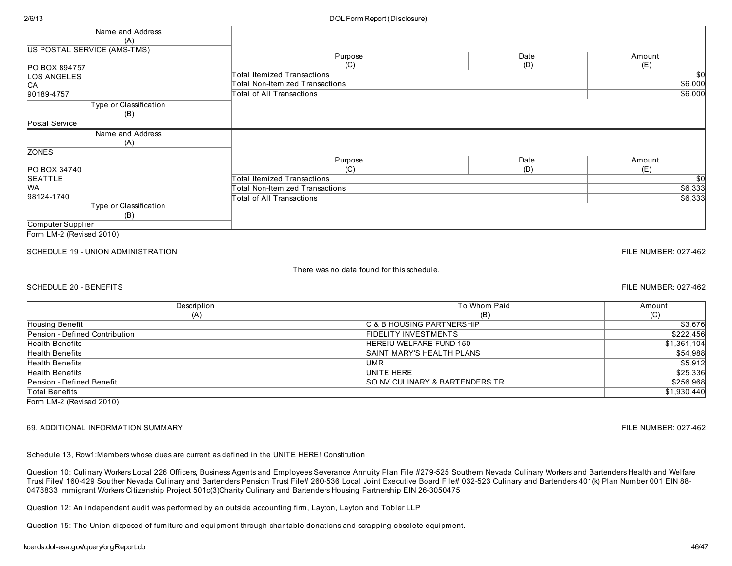#### 2/6/13 DOL Form Report (Disclosure)

| Name and Address                   |                                        |                                    |             |  |
|------------------------------------|----------------------------------------|------------------------------------|-------------|--|
| (A)                                |                                        |                                    |             |  |
| <b>US POSTAL SERVICE (AMS-TMS)</b> |                                        |                                    |             |  |
|                                    | Purpose                                | Date                               | Amount      |  |
| PO BOX 894757                      | (C)                                    | (D)                                | (E)<br>\$0  |  |
| LOS ANGELES                        |                                        | <b>Total Itemized Transactions</b> |             |  |
| <b>CA</b>                          | <b>Total Non-Itemized Transactions</b> |                                    | \$6,000     |  |
| 90189-4757                         | Total of All Transactions              |                                    | \$6,000     |  |
| Type or Classification             |                                        |                                    |             |  |
| (B)                                |                                        |                                    |             |  |
| Postal Service                     |                                        |                                    |             |  |
| Name and Address                   |                                        |                                    |             |  |
| (A)                                |                                        |                                    |             |  |
| <b>ZONES</b>                       |                                        |                                    |             |  |
|                                    | Purpose                                | Date                               | Amount      |  |
| PO BOX 34740                       | (C)                                    | (D)                                | (E)         |  |
| SEATTLE                            | <b>Total Itemized Transactions</b>     |                                    | $\sqrt{50}$ |  |
| <b>WA</b>                          | <b>Total Non-Itemized Transactions</b> |                                    | \$6,333     |  |
| 98124-1740                         | Total of All Transactions              |                                    | \$6,333     |  |
| Type or Classification             |                                        |                                    |             |  |
| (B)                                |                                        |                                    |             |  |
| Computer Supplier                  |                                        |                                    |             |  |

Form LM-2 (Revised 2010)

#### SCHEDULE 19 - UNION ADMINISTRATION FILE NUMBER: 027-462

#### There wasno data found for this schedule.

#### SCHEDULE 20 - BENEFITS FILE NUMBER: 027-462

| Description                    | To Whom Paid                              | Amount      |
|--------------------------------|-------------------------------------------|-------------|
| (A)                            | (B)                                       | (C)         |
| Housing Benefit                | C & B HOUSING PARTNERSHIP                 | \$3,676     |
| Pension - Defined Contribution | <b>FIDELITY INVESTMENTS</b>               | \$222,456   |
| Health Benefits                | HEREIU WELFARE FUND 150                   | \$1,361,104 |
| <b>Health Benefits</b>         | SAINT MARY'S HEALTH PLANS                 | \$54,988    |
| <b>Health Benefits</b>         | UMR                                       | \$5,912     |
| <b>Health Benefits</b>         | UNITE HERE                                | \$25,336    |
| Pension - Defined Benefit      | <b>SO NV CULINARY &amp; BARTENDERS TR</b> | \$256,968   |
| <b>Total Benefits</b>          |                                           | \$1,930,440 |
| Form LM-2 (Revised 2010)       |                                           |             |

#### 69. ADDITIONAL INFORMATION SUMMARY FILE NUMBER: 027-462

Schedule 13, Row1:Members whose duesare current asdefined in the UNITE HERE! Constitution

Question 10: Culinary Workers Local 226 Officers, Business Agents and Employees Severance Annuity Plan File #279-525 Southern Nevada Culinary Workers and Bartenders Health and Welfare Trust File# 160-429 Souther Nevada Culinary and Bartenders Pension Trust File# 260-536 Local Joint Executive Board File# 032-523 Culinary and Bartenders401(k) Plan Number 001 EIN 88- 0478833 Immigrant Workers Citizenship Project 501c(3)Charity Culinary and Bartenders Housing Partnership EIN 26-3050475

Question 12: An independent audit was performed by an outside accounting firm, Layton, Layton and Tobler LLP

Question 15: The Union disposed of furniture and equipment through charitable donationsand scrapping obsolete equipment.

### kcerds.dol-esa.gov/query/orgReport.do 46/47